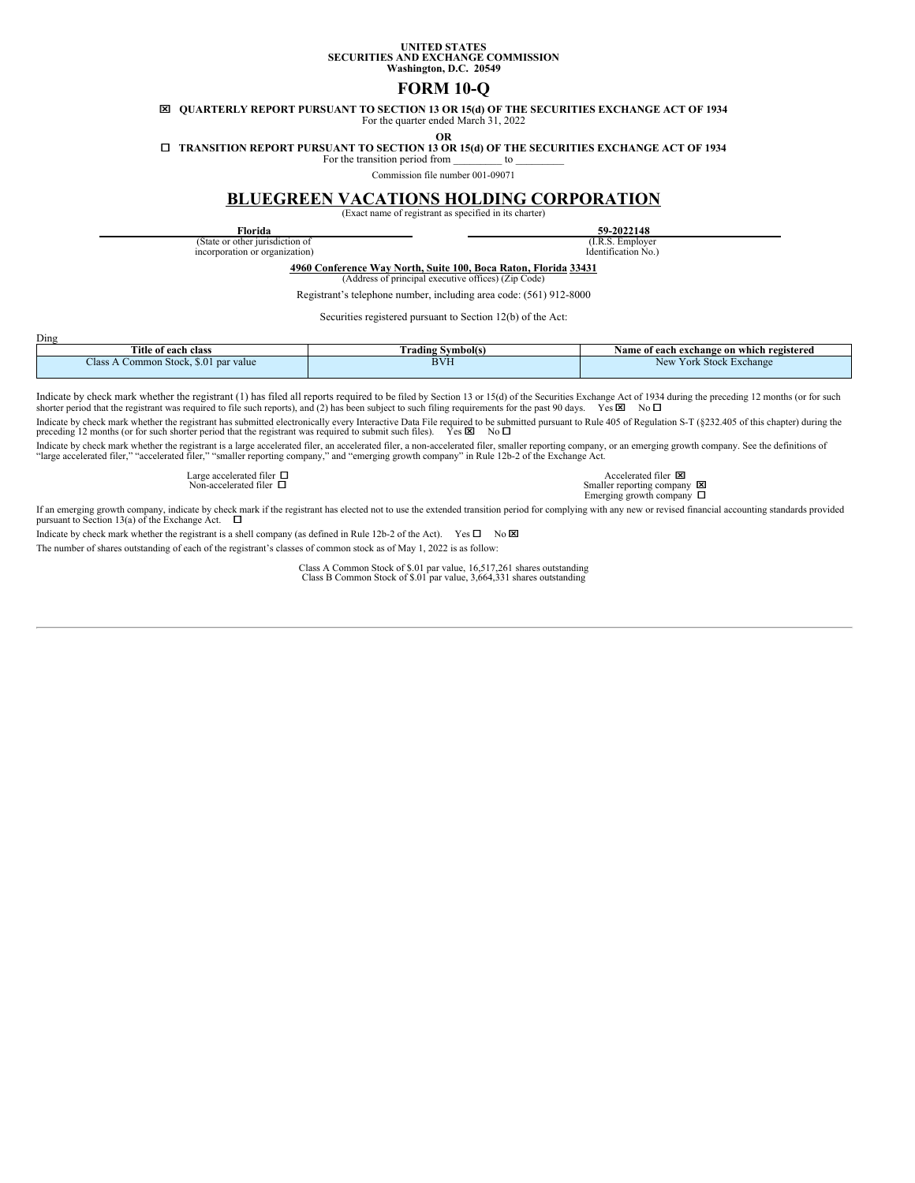## **UNITED STATES SECURITIES AND EXCHANGE COMMISSION Washington, D.C. 20549**

## **FORM 10-Q**

x **QUARTERLY REPORT PURSUANT TO SECTION 13 OR 15(d) OF THE SECURITIES EXCHANGE ACT OF 1934** For the quarter ended March 31, 2022

**OR**

¨ **TRANSITION REPORT PURSUANT TO SECTION 13 OR 15(d) OF THE SECURITIES EXCHANGE ACT OF 1934** For the transition period from  $\_\_$ 

Commission file number 001-09071

# **BLUEGREEN VACATIONS HOLDING CORPORATION**

(Exact name of registrant as specified in its charter)

(State or other jurisdiction of (I.R.S. Employer incorporation or organization) Identification No.)

**Florida** 59-2022148<br>
other iurisdiction of (I.R.S. Employer

**4960 Conference Way North, Suite 100, Boca Raton, Florida 33431** (Address of principal executive offices) (Zip Code)

Registrant's telephone number, including area code: (561) 912-8000

Securities registered pursuant to Section 12(b) of the Act:

| Ding                                        |                  |                                           |
|---------------------------------------------|------------------|-------------------------------------------|
| Title of each class                         | Frading Symbol(s | Name of each exchange on which registered |
| Class A Common Stock, \$.01,<br>. par value | <b>BVH</b>       | New York Stock Exchange                   |

Indicate by check mark whether the registrant (1) has filed all reports required to be filed by Section 13 or 15(d) of the Securities Exchange Act of 1934 during the preceding 12 months (or for such shorter period that the registrant was required to file such reports), and (2) has been subject to such filing requirements for the past 90 days. Yes  $\boxtimes$  No  $\Box$ 

Indicate by check mark whether the registrant has submitted electronically every Interactive Data File required to be submitted pursuant to Rule 405 of Regulation S-T (§232.405 of this chapter) during the preceding 12 mon

Indicate by check mark whether the registrant is a large accelerated filer, an accelerated filer, a non-accelerated filer, smaller reporting company, or an emerging growth company. See the definitions of "large accelerated filer," "accelerated filer," "smaller reporting company," and "emerging growth company" in Rule 12b-2 of the Exchange Act.

Large accelerated filer □ and the celerated filer □ and the celerated filer □ and the smaller reporting company ⊠ and Non-accelerated filer □ and the smaller reporting company ⊠ and the smaller reporting company ⊠ and the Emerging growth company  $\Box$ 

If an emerging growth company, indicate by check mark if the registrant has elected not to use the extended transition period for complying with any new or revised financial accounting standards provided pursuant to Section 13(a) of the Exchange Act.  $\Box$ 

Indicate by check mark whether the registrant is a shell company (as defined in Rule 12b-2 of the Act). Yes  $\Box$  No  $\boxtimes$ The number of shares outstanding of each of the registrant's classes of common stock as of May 1, 2022 is as follow:

Class A Common Stock of \$.01 par value, 16,517,261 shares outstanding

Class B Common Stock of \$.01 par value, 3,664,331 shares outstanding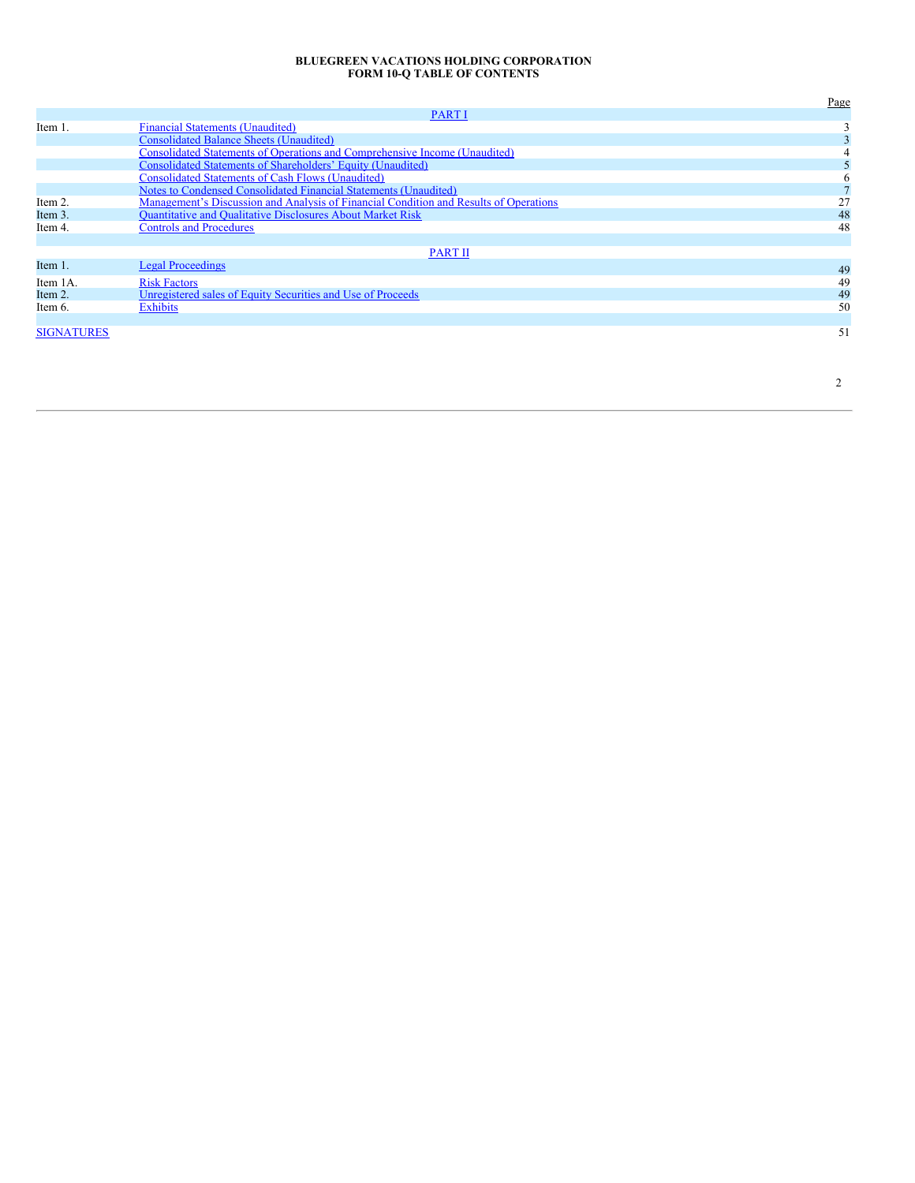#### **BLUEGREEN VACATIONS HOLDING CORPORATION FORM 10-Q TABLE OF CONTENTS**

|                   |                                                                                       | Page |
|-------------------|---------------------------------------------------------------------------------------|------|
|                   | <b>PARTI</b>                                                                          |      |
| Item 1.           | <b>Financial Statements (Unaudited)</b>                                               |      |
|                   | <b>Consolidated Balance Sheets (Unaudited)</b>                                        |      |
|                   | <b>Consolidated Statements of Operations and Comprehensive Income (Unaudited)</b>     |      |
|                   | Consolidated Statements of Shareholders' Equity (Unaudited)                           |      |
|                   | <b>Consolidated Statements of Cash Flows (Unaudited)</b>                              | h    |
|                   | Notes to Condensed Consolidated Financial Statements (Unaudited)                      |      |
| Item 2.           | Management's Discussion and Analysis of Financial Condition and Results of Operations | 27   |
| Item 3.           | <b>Quantitative and Qualitative Disclosures About Market Risk</b>                     | 48   |
| Item 4.           | <b>Controls and Procedures</b>                                                        | 48   |
|                   |                                                                                       |      |
|                   | <b>PART II</b>                                                                        |      |
| Item 1.           | <b>Legal Proceedings</b>                                                              | 49   |
| Item 1A.          | <b>Risk Factors</b>                                                                   | 49   |
| Item 2.           | Unregistered sales of Equity Securities and Use of Proceeds                           | 49   |
| Item 6.           | <b>Exhibits</b>                                                                       | 50   |
|                   |                                                                                       |      |
| <b>SIGNATURES</b> |                                                                                       | 51   |
|                   |                                                                                       |      |
|                   |                                                                                       |      |

2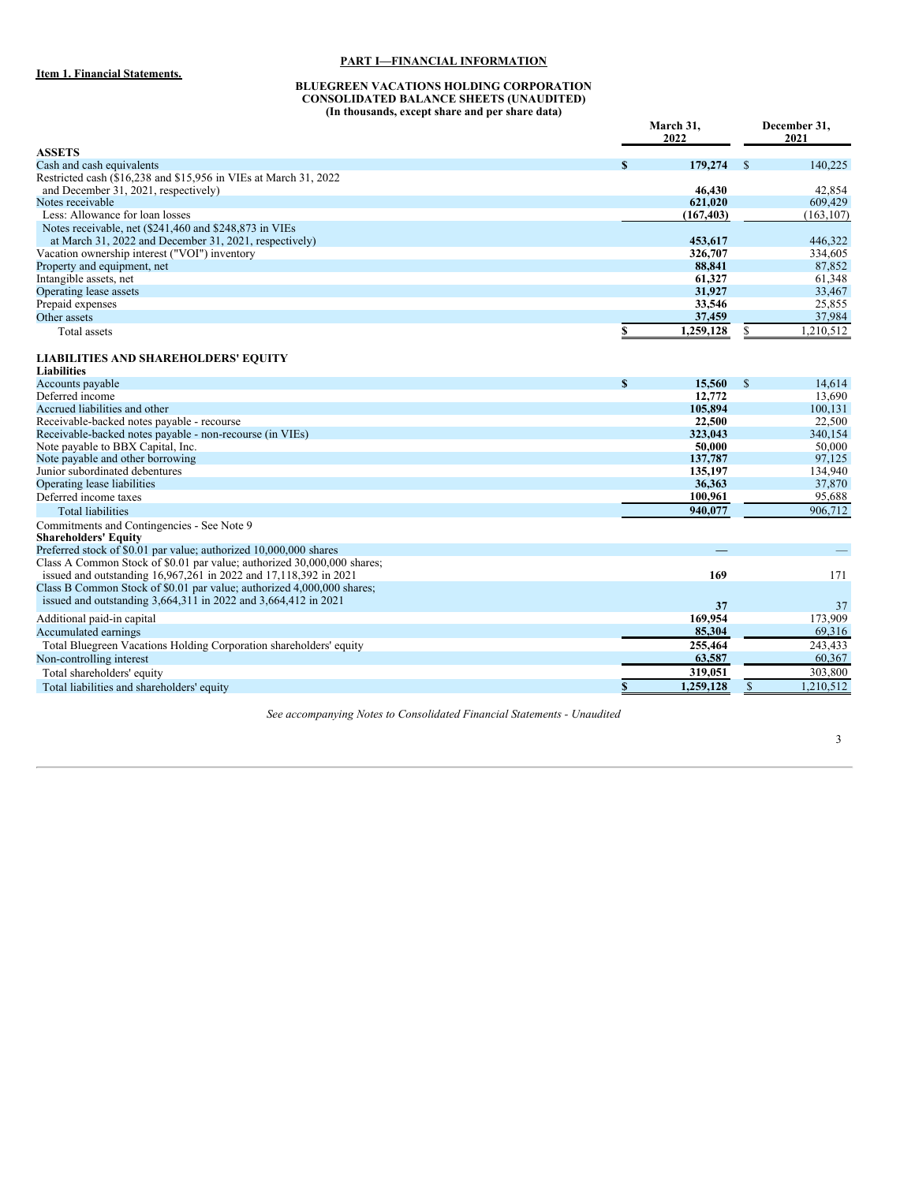## **Item 1. Financial Statements.**

## <span id="page-2-2"></span><span id="page-2-0"></span>**PART I—FINANCIAL INFORMATION**

#### <span id="page-2-1"></span>**BLUEGREEN VACATIONS HOLDING CORPORATION CONSOLIDATED BALANCE SHEETS (UNAUDITED) (In thousands, except share and per share data)**

|                                                                   |              | March 31,<br>2022 |              | December 31,<br>2021 |
|-------------------------------------------------------------------|--------------|-------------------|--------------|----------------------|
| <b>ASSETS</b>                                                     |              |                   |              |                      |
| Cash and cash equivalents                                         | S.           | 179,274           | -S           | 140,225              |
| Restricted cash (\$16,238 and \$15,956 in VIEs at March 31, 2022  |              |                   |              |                      |
| and December 31, 2021, respectively)                              |              | 46,430            |              | 42,854               |
| Notes receivable                                                  |              | 621,020           |              | 609,429              |
| Less: Allowance for loan losses                                   |              | (167, 403)        |              | (163, 107)           |
| Notes receivable, net (\$241,460 and \$248,873 in VIEs            |              |                   |              |                      |
| at March 31, 2022 and December 31, 2021, respectively)            |              | 453,617           |              | 446,322              |
| Vacation ownership interest ("VOI") inventory                     |              | 326,707           |              | 334,605              |
| Property and equipment, net                                       |              | 88,841            |              | 87,852               |
| Intangible assets, net                                            |              | 61,327            |              | 61,348               |
| Operating lease assets                                            |              | 31,927            |              | 33,467               |
| Prepaid expenses                                                  |              | 33,546            |              | 25,855               |
| Other assets                                                      |              | 37,459            |              | 37,984               |
| Total assets                                                      |              | 1,259,128         |              | 1,210,512            |
| <b>LIABILITIES AND SHAREHOLDERS' EQUITY</b><br><b>Liabilities</b> |              |                   |              |                      |
| Accounts payable                                                  | $\mathbf{s}$ | 15,560            | $\mathbb{S}$ | 14,614               |
| Deferred income                                                   |              | 12,772            |              | 13,690               |
| Accrued liabilities and other                                     |              | 105.894           |              | 100,131              |
| Receivable-backed notes payable - recourse                        |              | 22,500            |              | 22,500               |
| Receivable-backed notes payable - non-recourse (in VIEs)          |              | 323,043           |              | 340,154              |
| Note payable to BBX Capital, Inc.                                 |              | 50,000            |              | 50,000               |
| Note payable and other borrowing                                  |              | 137,787           |              | 97,125               |
| Junior subordinated debentures                                    |              | 135,197           |              | 134,940              |
| Operating lease liabilities                                       |              | 36,363            |              | 37,870               |
| Deferred income taxes                                             |              | 100,961           |              | 95,688               |
| <b>Total liabilities</b>                                          |              | 940,077           |              | 906,712              |
| Commitments and Contingencies - See Note 9                        |              |                   |              |                      |
| <b>Shareholders' Equity</b>                                       |              |                   |              |                      |
| Preferred stock of \$0.01 par value; authorized 10,000,000 shares |              |                   |              |                      |
|                                                                   |              |                   |              |                      |

| Class A Common Stock of \$0.01 par value; authorized 30,000,000 shares; |           |           |
|-------------------------------------------------------------------------|-----------|-----------|
| issued and outstanding $16,967,261$ in 2022 and $17,118,392$ in 2021    | 169       | 171       |
| Class B Common Stock of \$0.01 par value; authorized 4,000,000 shares;  |           |           |
| issued and outstanding $3,664,311$ in 2022 and $3,664,412$ in 2021      | 37        | 37        |
| Additional paid-in capital                                              | 169,954   | 173,909   |
| Accumulated earnings                                                    | 85,304    | 69,316    |
| Total Bluegreen Vacations Holding Corporation shareholders' equity      | 255,464   | 243,433   |
| Non-controlling interest                                                | 63,587    | 60,367    |
| Total shareholders' equity                                              | 319,051   | 303,800   |
| Total liabilities and shareholders' equity                              | 1,259,128 | 1,210,512 |
|                                                                         |           |           |

*See accompanying Notes to Consolidated Financial Statements - Unaudited*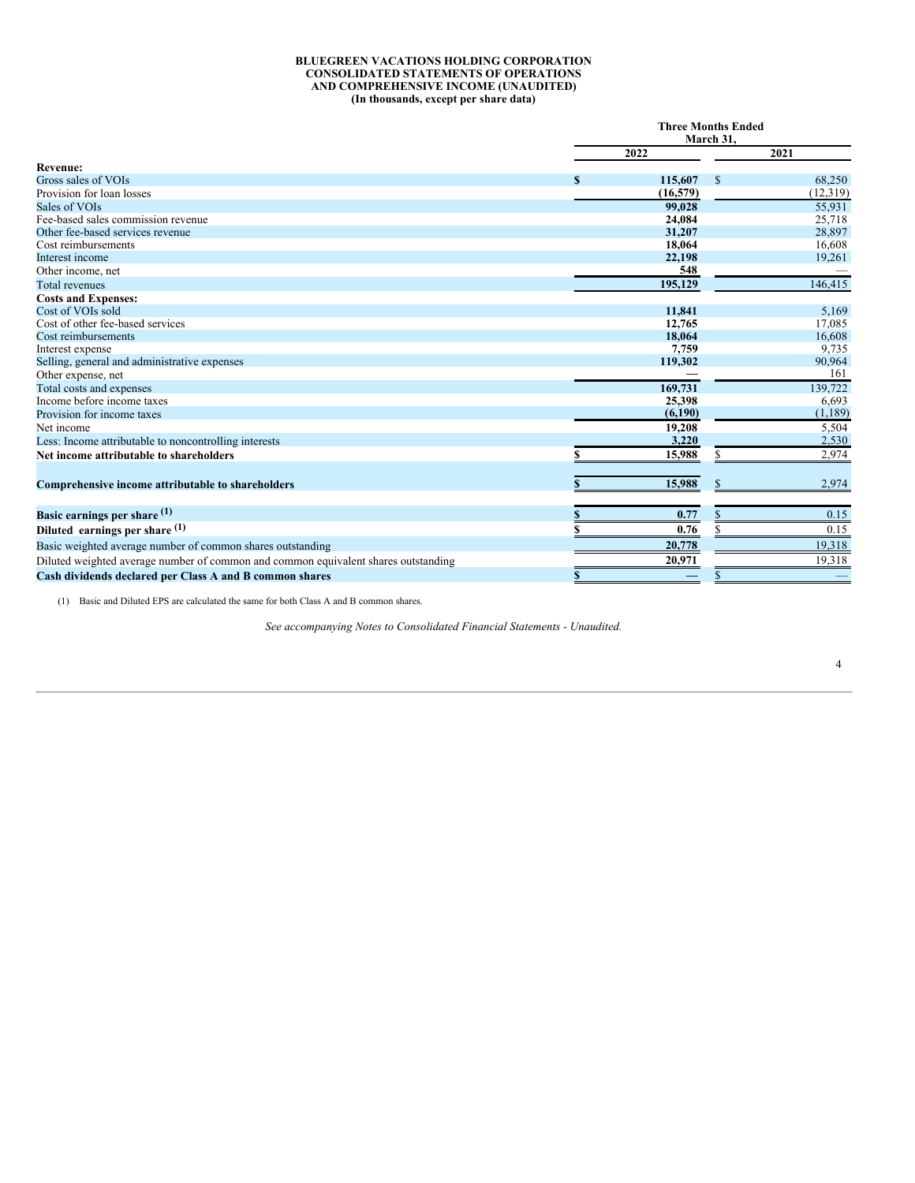#### <span id="page-3-0"></span>**BLUEGREEN VACATIONS HOLDING CORPORATION CONSOLIDATED STATEMENTS OF OPERATIONS AND COMPREHENSIVE INCOME (UNAUDITED) (In thousands, except per share data)**

|                                                                                    | <b>Three Months Ended</b><br>March 31, |           |               |          |  |  |  |  |
|------------------------------------------------------------------------------------|----------------------------------------|-----------|---------------|----------|--|--|--|--|
|                                                                                    |                                        | 2022      |               | 2021     |  |  |  |  |
| Revenue:                                                                           |                                        |           |               |          |  |  |  |  |
| Gross sales of VOIs                                                                |                                        | 115,607   | <sup>\$</sup> | 68,250   |  |  |  |  |
| Provision for loan losses                                                          |                                        | (16, 579) |               | (12,319) |  |  |  |  |
| Sales of VOIs                                                                      |                                        | 99.028    |               | 55,931   |  |  |  |  |
| Fee-based sales commission revenue                                                 |                                        | 24,084    |               | 25,718   |  |  |  |  |
| Other fee-based services revenue                                                   |                                        | 31,207    |               | 28,897   |  |  |  |  |
| Cost reimbursements                                                                |                                        | 18,064    |               | 16,608   |  |  |  |  |
| Interest income                                                                    |                                        | 22,198    |               | 19,261   |  |  |  |  |
| Other income, net                                                                  |                                        | 548       |               |          |  |  |  |  |
| <b>Total revenues</b>                                                              |                                        | 195,129   |               | 146,415  |  |  |  |  |
| <b>Costs and Expenses:</b>                                                         |                                        |           |               |          |  |  |  |  |
| Cost of VOIs sold                                                                  |                                        | 11,841    |               | 5,169    |  |  |  |  |
| Cost of other fee-based services                                                   |                                        | 12,765    |               | 17,085   |  |  |  |  |
| Cost reimbursements                                                                |                                        | 18,064    |               | 16,608   |  |  |  |  |
| Interest expense                                                                   |                                        | 7,759     |               | 9,735    |  |  |  |  |
| Selling, general and administrative expenses                                       |                                        | 119,302   |               | 90,964   |  |  |  |  |
| Other expense, net                                                                 |                                        |           |               | 161      |  |  |  |  |
| Total costs and expenses                                                           |                                        | 169,731   |               | 139,722  |  |  |  |  |
| Income before income taxes                                                         |                                        | 25,398    |               | 6,693    |  |  |  |  |
| Provision for income taxes                                                         |                                        | (6,190)   |               | (1,189)  |  |  |  |  |
| Net income                                                                         |                                        | 19,208    |               | 5,504    |  |  |  |  |
| Less: Income attributable to noncontrolling interests                              |                                        | 3,220     |               | 2,530    |  |  |  |  |
| Net income attributable to shareholders                                            |                                        | 15,988    |               | 2,974    |  |  |  |  |
| Comprehensive income attributable to shareholders                                  |                                        | 15,988    |               | 2,974    |  |  |  |  |
| Basic earnings per share (1)                                                       |                                        | 0.77      |               | 0.15     |  |  |  |  |
| Diluted earnings per share (1)                                                     |                                        | 0.76      |               | 0.15     |  |  |  |  |
| Basic weighted average number of common shares outstanding                         |                                        | 20,778    |               | 19,318   |  |  |  |  |
| Diluted weighted average number of common and common equivalent shares outstanding |                                        | 20,971    |               | 19,318   |  |  |  |  |
| Cash dividends declared per Class A and B common shares                            | S                                      |           | S             |          |  |  |  |  |

(1) Basic and Diluted EPS are calculated the same for both Class A and B common shares.

*See accompanying Notes to Consolidated Financial Statements - Unaudited.*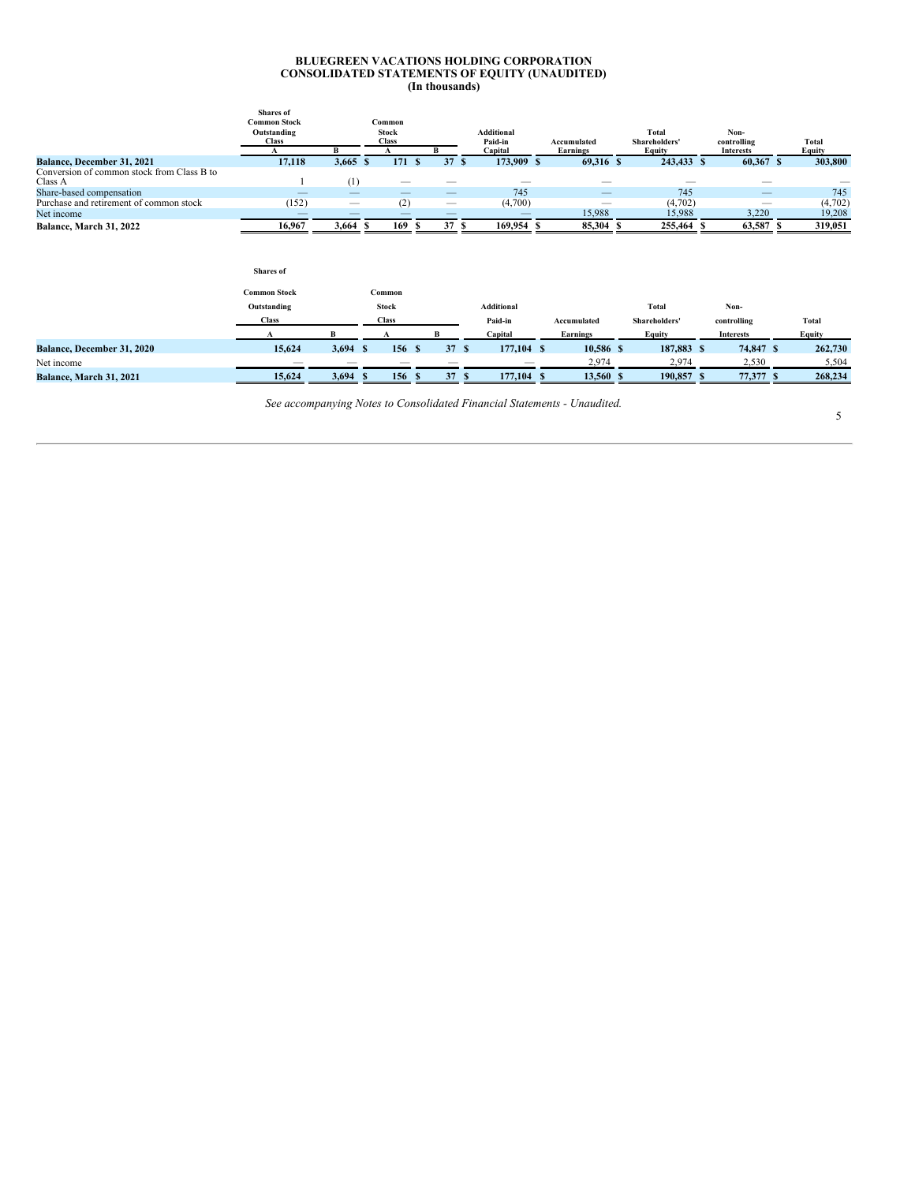#### <span id="page-4-0"></span>**BLUEGREEN VACATIONS HOLDING CORPORATION CONSOLIDATED STATEMENTS OF EQUITY (UNAUDITED) (In thousands)**

|                                                       | <b>Shares</b> of                        |             |                   |           |    |                    |     |                                |                         |                                 |                        |
|-------------------------------------------------------|-----------------------------------------|-------------|-------------------|-----------|----|--------------------|-----|--------------------------------|-------------------------|---------------------------------|------------------------|
|                                                       | <b>Common Stock</b>                     |             | Common            |           |    |                    |     |                                |                         |                                 |                        |
|                                                       | Outstanding                             |             | <b>Stock</b>      |           |    | <b>Additional</b>  |     |                                | <b>Total</b>            | Non-                            |                        |
|                                                       | <b>Class</b>                            | <b>B</b>    | <b>Class</b><br>A | B         |    | Paid-in<br>Capital |     | <b>Accumulated</b><br>Earnings | Shareholders'<br>Equity | controlling<br><b>Interests</b> | <b>Total</b><br>Equity |
| Balance, December 31, 2021                            | 17,118                                  | $3,665$ \$  | 171S              | 37S       |    | 173,909 \$         |     | 69,316 \$                      | 243,433 \$              | $60,367$ \$                     | 303,800                |
| Conversion of common stock from Class B to<br>Class A |                                         | (1)         |                   |           |    |                    |     |                                |                         |                                 |                        |
| Share-based compensation                              |                                         |             |                   |           |    | 745                |     |                                | 745                     |                                 | 745                    |
| Purchase and retirement of common stock<br>Net income | (152)<br>--                             |             | (2)               | _         |    | (4,700)            |     | 15,988                         | (4,702)<br>15,988       | 3,220                           | (4,702)<br>19,208      |
| Balance, March 31, 2022                               | 16,967                                  | 3,664<br>-S | 169               | 37S<br>-S |    | 169,954 \$         |     | 85,304 \$                      | 255,464 \$              | 63,587 \$                       | 319,051                |
|                                                       | <b>Shares</b> of<br><b>Common Stock</b> |             | Common            |           |    |                    |     |                                |                         |                                 |                        |
|                                                       | Outstanding                             |             | <b>Stock</b>      |           |    | <b>Additional</b>  |     |                                | <b>Total</b>            | Non-                            |                        |
|                                                       | <b>Class</b>                            |             | <b>Class</b>      |           |    | Paid-in            |     | Accumulated                    | Shareholders'           | controlling                     | Total                  |
|                                                       |                                         | в           | A                 | B         |    | Capital            |     | Earnings                       | Equity                  | <b>Interests</b>                | Equity                 |
| Balance, December 31, 2020                            | 15,624                                  | $3,694$ \$  | 156S              | 37S       |    | 177,104 \$         |     | 10,586 \$                      | 187,883 \$              | 74,847 \$                       | 262,730                |
| Net income                                            |                                         |             |                   |           |    |                    |     | 2,974                          | 2,974                   | 2,530                           | 5,504                  |
| Balance, March 31, 2021                               | 15,624                                  | 3,694<br>-9 | 156S              | 37        | -8 | 177,104            | - 5 | 13,560 \$                      | 190,857 \$              | 77,377 \$                       | 268,234                |

*See accompanying Notes to Consolidated Financial Statements - Unaudited.*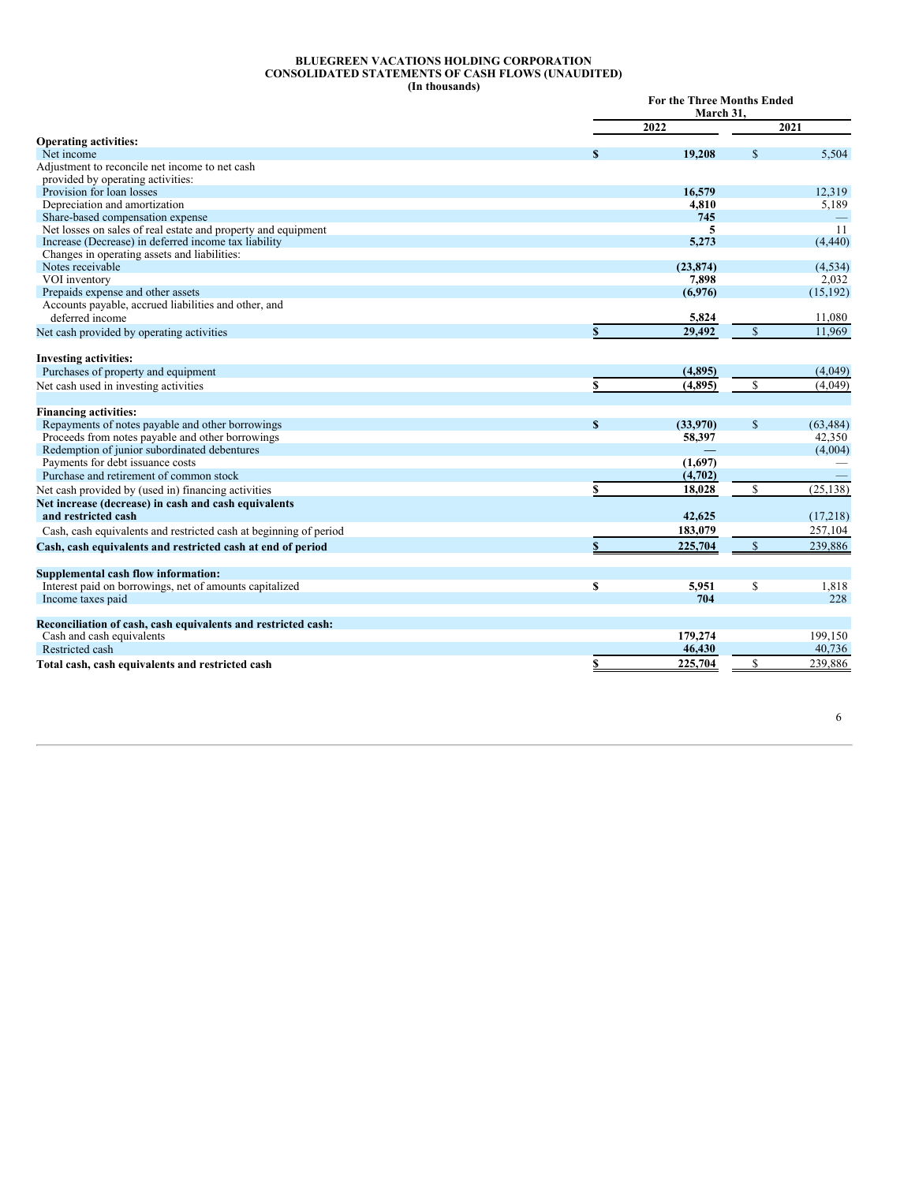#### <span id="page-5-0"></span>**BLUEGREEN VACATIONS HOLDING CORPORATION CONSOLIDATED STATEMENTS OF CASH FLOWS (UNAUDITED) (In thousands)**

|                                                                   |              | <b>For the Three Months Ended</b><br>March 31. |               |           |
|-------------------------------------------------------------------|--------------|------------------------------------------------|---------------|-----------|
|                                                                   |              | 2022                                           |               | 2021      |
| <b>Operating activities:</b>                                      |              |                                                |               |           |
| Net income                                                        | \$           | 19.208                                         | <sup>\$</sup> | 5.504     |
| Adjustment to reconcile net income to net cash                    |              |                                                |               |           |
| provided by operating activities:<br>Provision for loan losses    |              | 16,579                                         |               | 12,319    |
| Depreciation and amortization                                     |              | 4,810                                          |               | 5,189     |
| Share-based compensation expense                                  |              | 745                                            |               |           |
| Net losses on sales of real estate and property and equipment     |              | 5                                              |               | 11        |
| Increase (Decrease) in deferred income tax liability              |              | 5,273                                          |               | (4, 440)  |
| Changes in operating assets and liabilities:                      |              |                                                |               |           |
| Notes receivable                                                  |              | (23, 874)                                      |               | (4, 534)  |
| VOI inventory                                                     |              | 7,898                                          |               | 2,032     |
| Prepaids expense and other assets                                 |              | (6,976)                                        |               | (15, 192) |
| Accounts payable, accrued liabilities and other, and              |              |                                                |               |           |
| deferred income                                                   |              | 5,824                                          |               | 11,080    |
| Net cash provided by operating activities                         | \$           | 29,492                                         | $\mathbf S$   | 11,969    |
| <b>Investing activities:</b>                                      |              |                                                |               |           |
| Purchases of property and equipment                               |              | (4,895)                                        |               | (4,049)   |
| Net cash used in investing activities                             | \$           | (4, 895)                                       | \$            | (4,049)   |
| <b>Financing activities:</b>                                      |              |                                                |               |           |
| Repayments of notes payable and other borrowings                  | $\mathbf{s}$ | (33,970)                                       | $\mathbb{S}$  | (63, 484) |
| Proceeds from notes payable and other borrowings                  |              | 58,397                                         |               | 42,350    |
| Redemption of junior subordinated debentures                      |              |                                                |               | (4,004)   |
| Payments for debt issuance costs                                  |              | (1,697)                                        |               |           |
| Purchase and retirement of common stock                           |              | (4,702)                                        |               |           |
| Net cash provided by (used in) financing activities               | \$           | 18,028                                         | $\mathbb{S}$  | (25, 138) |
| Net increase (decrease) in cash and cash equivalents              |              |                                                |               |           |
| and restricted cash                                               |              | 42,625                                         |               | (17,218)  |
| Cash, cash equivalents and restricted cash at beginning of period |              | 183,079                                        |               | 257,104   |
| Cash, cash equivalents and restricted cash at end of period       | \$           | 225,704                                        | $\mathbb S$   | 239,886   |
| Supplemental cash flow information:                               |              |                                                |               |           |
| Interest paid on borrowings, net of amounts capitalized           | \$           | 5,951                                          | $\mathbb{S}$  | 1,818     |
| Income taxes paid                                                 |              | 704                                            |               | 228       |
| Reconciliation of cash, cash equivalents and restricted cash:     |              |                                                |               |           |
| Cash and cash equivalents                                         |              | 179,274                                        |               | 199.150   |
| Restricted cash                                                   |              | 46,430                                         |               | 40,736    |
| Total cash, cash equivalents and restricted cash                  | S            | 225,704                                        | S             | 239,886   |
|                                                                   |              |                                                |               |           |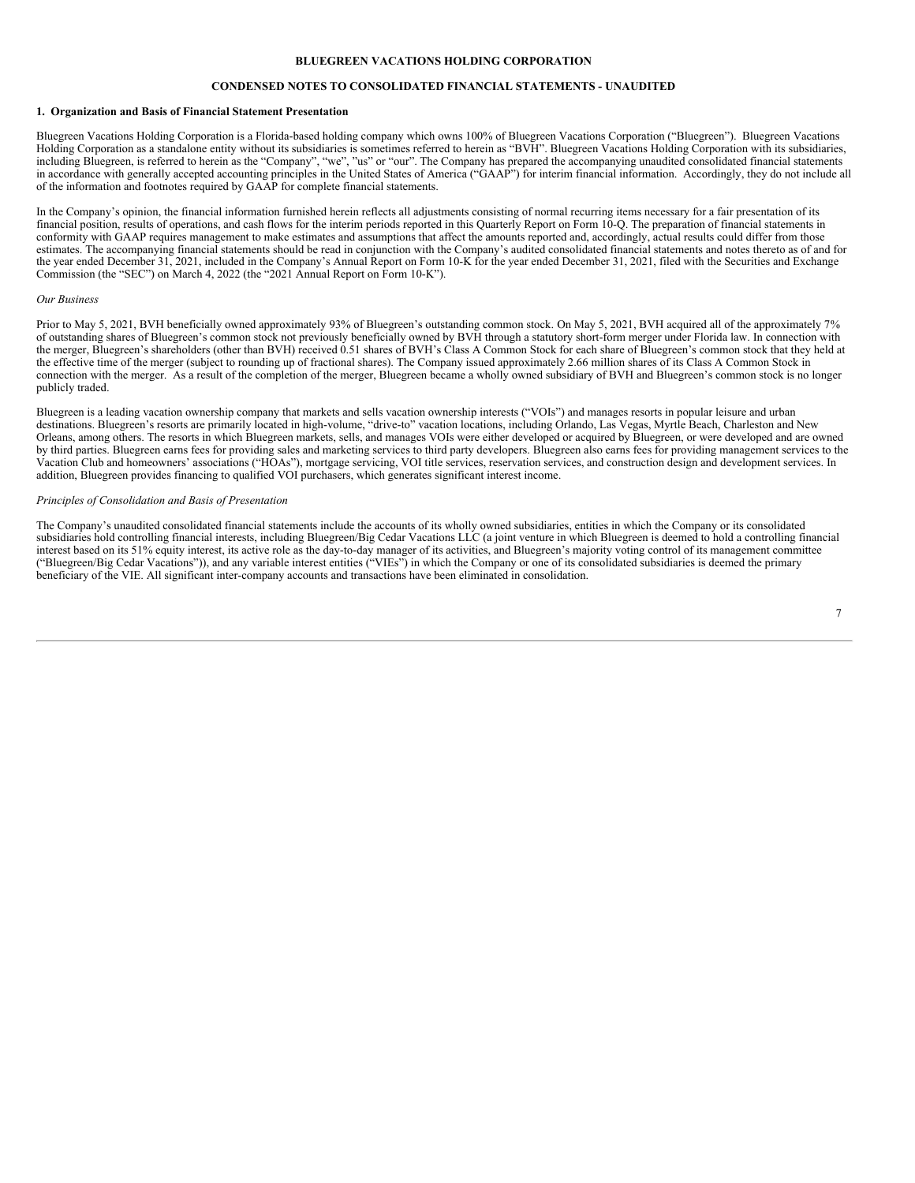### <span id="page-6-0"></span>**BLUEGREEN VACATIONS HOLDING CORPORATION**

#### **CONDENSED NOTES TO CONSOLIDATED FINANCIAL STATEMENTS - UNAUDITED**

### **1. Organization and Basis of Financial Statement Presentation**

Bluegreen Vacations Holding Corporation is a Florida-based holding company which owns 100% of Bluegreen Vacations Corporation ("Bluegreen"). Bluegreen Vacations Holding Corporation as a standalone entity without its subsidiaries is sometimes referred to herein as "BVH". Bluegreen Vacations Holding Corporation with its subsidiaries, including Bluegreen, is referred to herein as the "Company", "we", "us" or "our". The Company has prepared the accompanying unaudited consolidated financial statements in accordance with generally accepted accounting principles in the United States of America ("GAAP") for interim financial information. Accordingly, they do not include all of the information and footnotes required by GAAP for complete financial statements.

In the Company's opinion, the financial information furnished herein reflects all adjustments consisting of normal recurring items necessary for a fair presentation of its financial position, results of operations, and cash flows for the interim periods reported in this Quarterly Report on Form 10-Q. The preparation of financial statements in conformity with GAAP requires management to make estimates and assumptions that affect the amounts reported and, accordingly, actual results could differ from those estimates. The accompanying financial statements should be read in conjunction with the Company's audited consolidated financial statements and notes thereto as of and for the year ended December 31, 2021, included in the Company's Annual Report on Form 10-K for the year ended December 31, 2021, filed with the Securities and Exchange Commission (the "SEC") on March 4, 2022 (the "2021 Annual Report on Form 10-K").

#### *Our Business*

Prior to May 5, 2021, BVH beneficially owned approximately 93% of Bluegreen's outstanding common stock. On May 5, 2021, BVH acquired all of the approximately 7% of outstanding shares of Bluegreen's common stock not previously beneficially owned by BVH through a statutory short-form merger under Florida law. In connection with the merger, Bluegreen's shareholders (other than BVH) received 0.51 shares of BVH's Class A Common Stock for each share of Bluegreen's common stock that they held at the effective time of the merger (subject to rounding up of fractional shares). The Company issued approximately 2.66 million shares of its Class A Common Stock in connection with the merger. As a result of the completion of the merger, Bluegreen became a wholly owned subsidiary of BVH and Bluegreen's common stock is no longer publicly traded.

Bluegreen is a leading vacation ownership company that markets and sells vacation ownership interests ("VOIs") and manages resorts in popular leisure and urban destinations. Bluegreen's resorts are primarily located in high-volume, "drive-to" vacation locations, including Orlando, Las Vegas, Myrtle Beach, Charleston and New Orleans, among others. The resorts in which Bluegreen markets, sells, and manages VOIs were either developed or acquired by Bluegreen, or were developed and are owned by third parties. Bluegreen earns fees for providing sales and marketing services to third party developers. Bluegreen also earns fees for providing management services to the Vacation Club and homeowners' associations ("HOAs"), mortgage servicing, VOI title services, reservation services, and construction design and development services. In addition, Bluegreen provides financing to qualified VOI purchasers, which generates significant interest income.

#### *Principles of Consolidation and Basis of Presentation*

The Company's unaudited consolidated financial statements include the accounts of its wholly owned subsidiaries, entities in which the Company or its consolidated subsidiaries hold controlling financial interests, including Bluegreen/Big Cedar Vacations LLC (a joint venture in which Bluegreen is deemed to hold a controlling financial interest based on its 51% equity interest, its active role as the day-to-day manager of its activities, and Bluegreen's majority voting control of its management committee ("Bluegreen/Big Cedar Vacations")), and any variable interest entities ("VIEs") in which the Company or one of its consolidated subsidiaries is deemed the primary beneficiary of the VIE. All significant inter-company accounts and transactions have been eliminated in consolidation.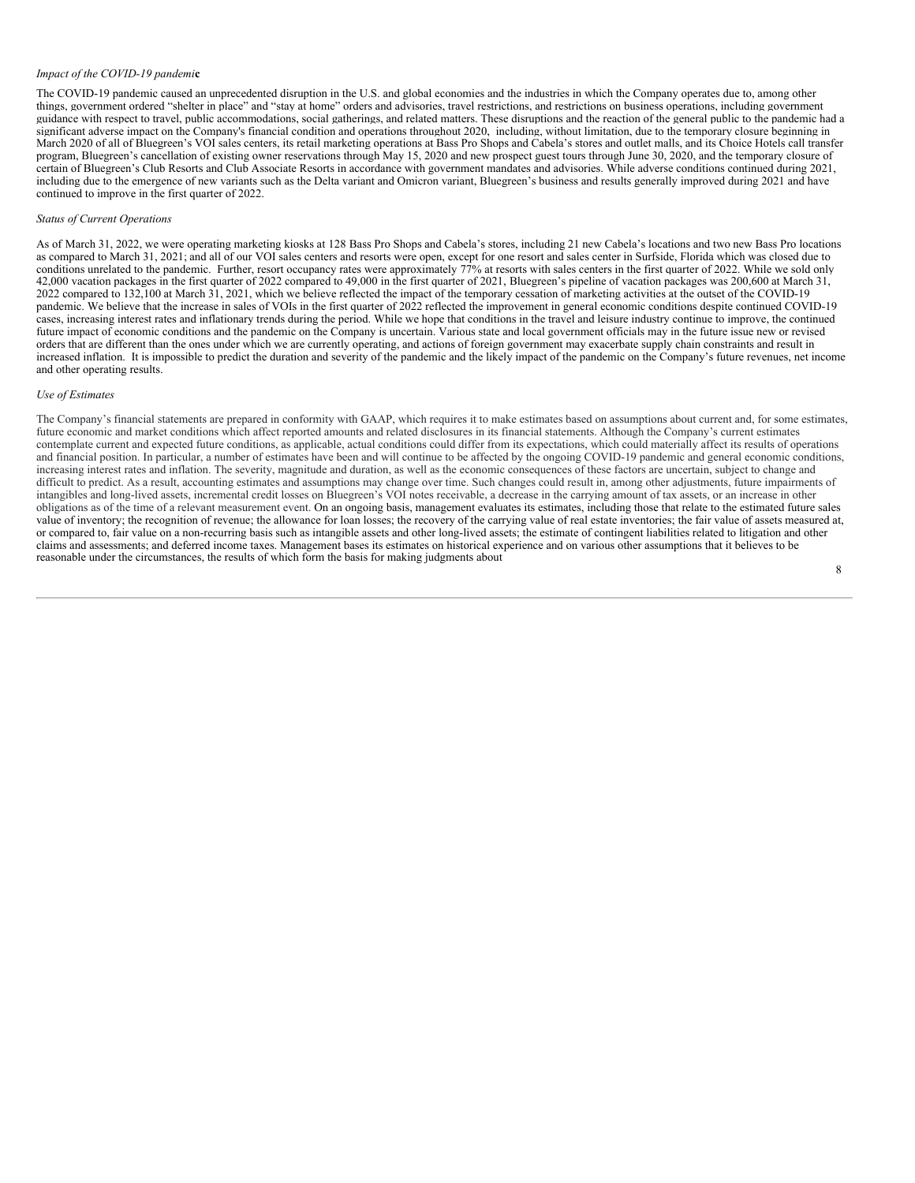## *Impact of the COVID-19 pandemi***c**

The COVID-19 pandemic caused an unprecedented disruption in the U.S. and global economies and the industries in which the Company operates due to, among other things, government ordered "shelter in place" and "stay at home" orders and advisories, travel restrictions, and restrictions on business operations, including government guidance with respect to travel, public accommodations, social gatherings, and related matters. These disruptions and the reaction of the general public to the pandemic had a significant adverse impact on the Company's financial condition and operations throughout 2020, including, without limitation, due to the temporary closure beginning in March 2020 of all of Bluegreen's VOI sales centers, its retail marketing operations at Bass Pro Shops and Cabela's stores and outlet malls, and its Choice Hotels call transfer program, Bluegreen's cancellation of existing owner reservations through May 15, 2020 and new prospect guest tours through June 30, 2020, and the temporary closure of certain of Bluegreen's Club Resorts and Club Associate Resorts in accordance with government mandates and advisories. While adverse conditions continued during 2021, including due to the emergence of new variants such as the Delta variant and Omicron variant, Bluegreen's business and results generally improved during 2021 and have continued to improve in the first quarter of 2022.

#### *Status of Current Operations*

As of March 31, 2022, we were operating marketing kiosks at 128 Bass Pro Shops and Cabela's stores, including 21 new Cabela's locations and two new Bass Pro locations as compared to March 31, 2021; and all of our VOI sales centers and resorts were open, except for one resort and sales center in Surfside, Florida which was closed due to conditions unrelated to the pandemic. Further, resort occupancy rates were approximately 77% at resorts with sales centers in the first quarter of 2022. While we sold only 42,000 vacation packages in the first quarter of 2022 compared to 49,000 in the first quarter of 2021, Bluegreen's pipeline of vacation packages was 200,600 at March 31, 2022 compared to 132,100 at March 31, 2021, which we believe reflected the impact of the temporary cessation of marketing activities at the outset of the COVID-19 pandemic. We believe that the increase in sales of VOIs in the first quarter of 2022 reflected the improvement in general economic conditions despite continued COVID-19 cases, increasing interest rates and inflationary trends during the period. While we hope that conditions in the travel and leisure industry continue to improve, the continued future impact of economic conditions and the pandemic on the Company is uncertain. Various state and local government officials may in the future issue new or revised orders that are different than the ones under which we are currently operating, and actions of foreign government may exacerbate supply chain constraints and result in increased inflation. It is impossible to predict the duration and severity of the pandemic and the likely impact of the pandemic on the Company's future revenues, net income and other operating results.

## *Use of Estimates*

The Company's financial statements are prepared in conformity with GAAP, which requires it to make estimates based on assumptions about current and, for some estimates, future economic and market conditions which affect reported amounts and related disclosures in its financial statements. Although the Company's current estimates contemplate current and expected future conditions, as applicable, actual conditions could differ from its expectations, which could materially affect its results of operations and financial position. In particular, a number of estimates have been and will continue to be affected by the ongoing COVID-19 pandemic and general economic conditions, increasing interest rates and inflation. The severity, magnitude and duration, as well as the economic consequences of these factors are uncertain, subject to change and difficult to predict. As a result, accounting estimates and assumptions may change over time. Such changes could result in, among other adjustments, future impairments of intangibles and long-lived assets, incremental credit losses on Bluegreen's VOI notes receivable, a decrease in the carrying amount of tax assets, or an increase in other obligations as of the time of a relevant measurement event. On an ongoing basis, management evaluates its estimates, including those that relate to the estimated future sales value of inventory; the recognition of revenue; the allowance for loan losses; the recovery of the carrying value of real estate inventories; the fair value of assets measured at, or compared to, fair value on a non-recurring basis such as intangible assets and other long-lived assets; the estimate of contingent liabilities related to litigation and other claims and assessments; and deferred income taxes. Management bases its estimates on historical experience and on various other assumptions that it believes to be reasonable under the circumstances, the results of which form the basis for making judgments about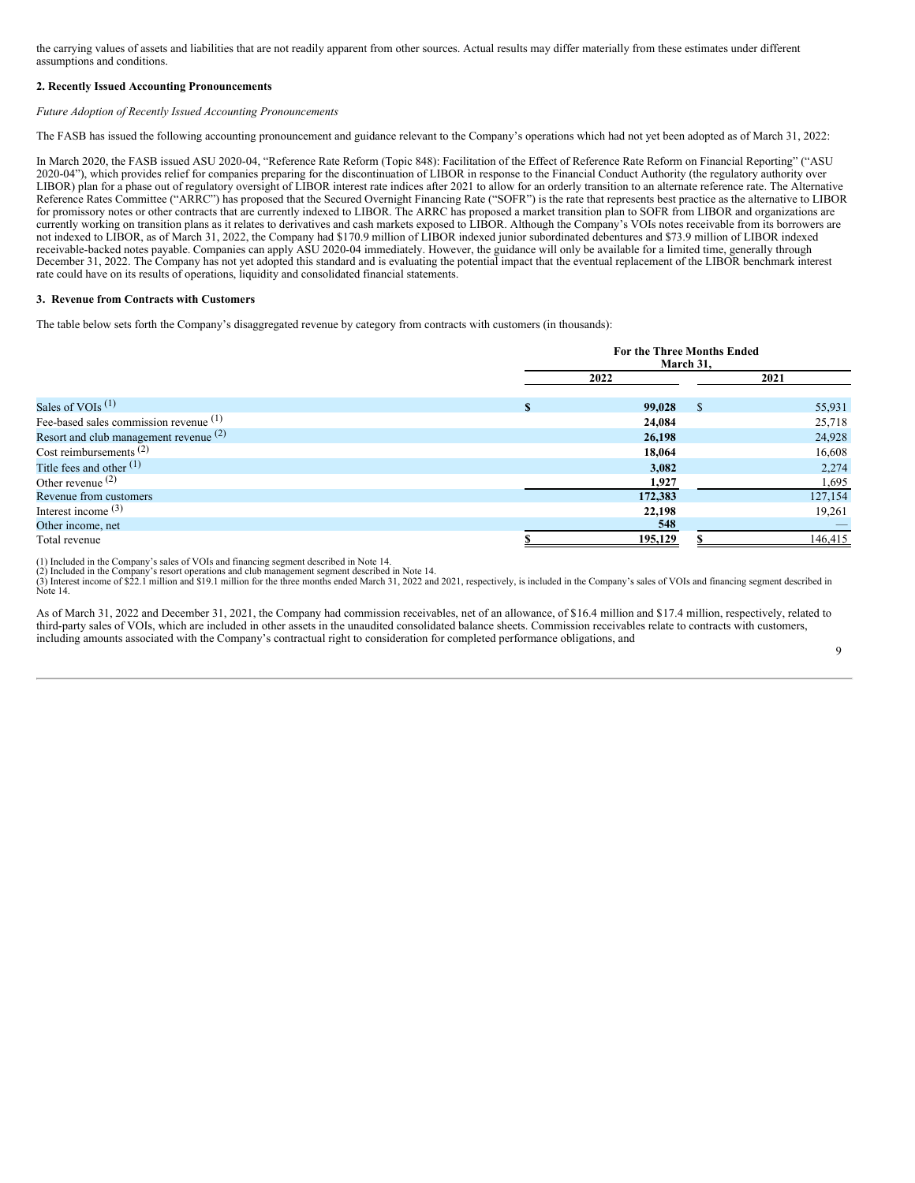the carrying values of assets and liabilities that are not readily apparent from other sources. Actual results may differ materially from these estimates under different assumptions and conditions.

## **2. Recently Issued Accounting Pronouncements**

## *Future Adoption of Recently Issued Accounting Pronouncements*

The FASB has issued the following accounting pronouncement and guidance relevant to the Company's operations which had not yet been adopted as of March 31, 2022:

In March 2020, the FASB issued ASU 2020-04, "Reference Rate Reform (Topic 848): Facilitation of the Effect of Reference Rate Reform on Financial Reporting" ("ASU 2020-04"), which provides relief for companies preparing for the discontinuation of LIBOR in response to the Financial Conduct Authority (the regulatory authority over LIBOR) plan for a phase out of regulatory oversight of LIBOR interest rate indices after 2021 to allow for an orderly transition to an alternate reference rate. The Alternative Reference Rates Committee ("ARRC") has proposed that the Secured Overnight Financing Rate ("SOFR") is the rate that represents best practice as the alternative to LIBOR for promissory notes or other contracts that are currently indexed to LIBOR. The ARRC has proposed a market transition plan to SOFR from LIBOR and organizations are currently working on transition plans as it relates to derivatives and cash markets exposed to LIBOR. Although the Company's VOIs notes receivable from its borrowers are not indexed to LIBOR, as of March 31, 2022, the Company had \$170.9 million of LIBOR indexed junior subordinated debentures and \$73.9 million of LIBOR indexed receivable-backed notes payable. Companies can apply ASU 2020-04 immediately. However, the guidance will only be available for a limited time, generally through December 31, 2022. The Company has not yet adopted this standard and is evaluating the potential impact that the eventual replacement of the LIBOR benchmark interest rate could have on its results of operations, liquidity and consolidated financial statements.

#### **3. Revenue from Contracts with Customers**

The table below sets forth the Company's disaggregated revenue by category from contracts with customers (in thousands):

|                                           |      | For the Three Months Ended<br>March 31, |    |         |  |  |  |  |  |  |
|-------------------------------------------|------|-----------------------------------------|----|---------|--|--|--|--|--|--|
|                                           | 2022 |                                         |    | 2021    |  |  |  |  |  |  |
| Sales of VOIs <sup><math>(1)</math></sup> |      | 99,028                                  | -8 | 55,931  |  |  |  |  |  |  |
| Fee-based sales commission revenue $(1)$  |      | 24,084                                  |    | 25,718  |  |  |  |  |  |  |
| Resort and club management revenue $(2)$  |      | 26,198                                  |    | 24,928  |  |  |  |  |  |  |
| Cost reimbursements $(2)$                 |      | 18,064                                  |    | 16,608  |  |  |  |  |  |  |
| Title fees and other $(1)$                |      | 3,082                                   |    | 2,274   |  |  |  |  |  |  |
| Other revenue $(2)$                       |      | 1,927                                   |    | 1,695   |  |  |  |  |  |  |
| Revenue from customers                    |      | 172,383                                 |    | 127,154 |  |  |  |  |  |  |
| Interest income $(3)$                     |      | 22,198                                  |    | 19,261  |  |  |  |  |  |  |
| Other income, net                         |      | 548                                     |    |         |  |  |  |  |  |  |
| Total revenue                             |      | 195,129                                 |    | 146,415 |  |  |  |  |  |  |

(1) Included in the Company's sales of VOIs and financing segment described in Note 14.<br>(2) Included in the Company's resort operations and club management segment described in Note 14.<br>(3) Interest income of \$22.1 million Note 14.

As of March 31, 2022 and December 31, 2021, the Company had commission receivables, net of an allowance, of \$16.4 million and \$17.4 million, respectively, related to third-party sales of VOIs, which are included in other assets in the unaudited consolidated balance sheets. Commission receivables relate to contracts with customers, including amounts associated with the Company's contractual right to consideration for completed performance obligations, and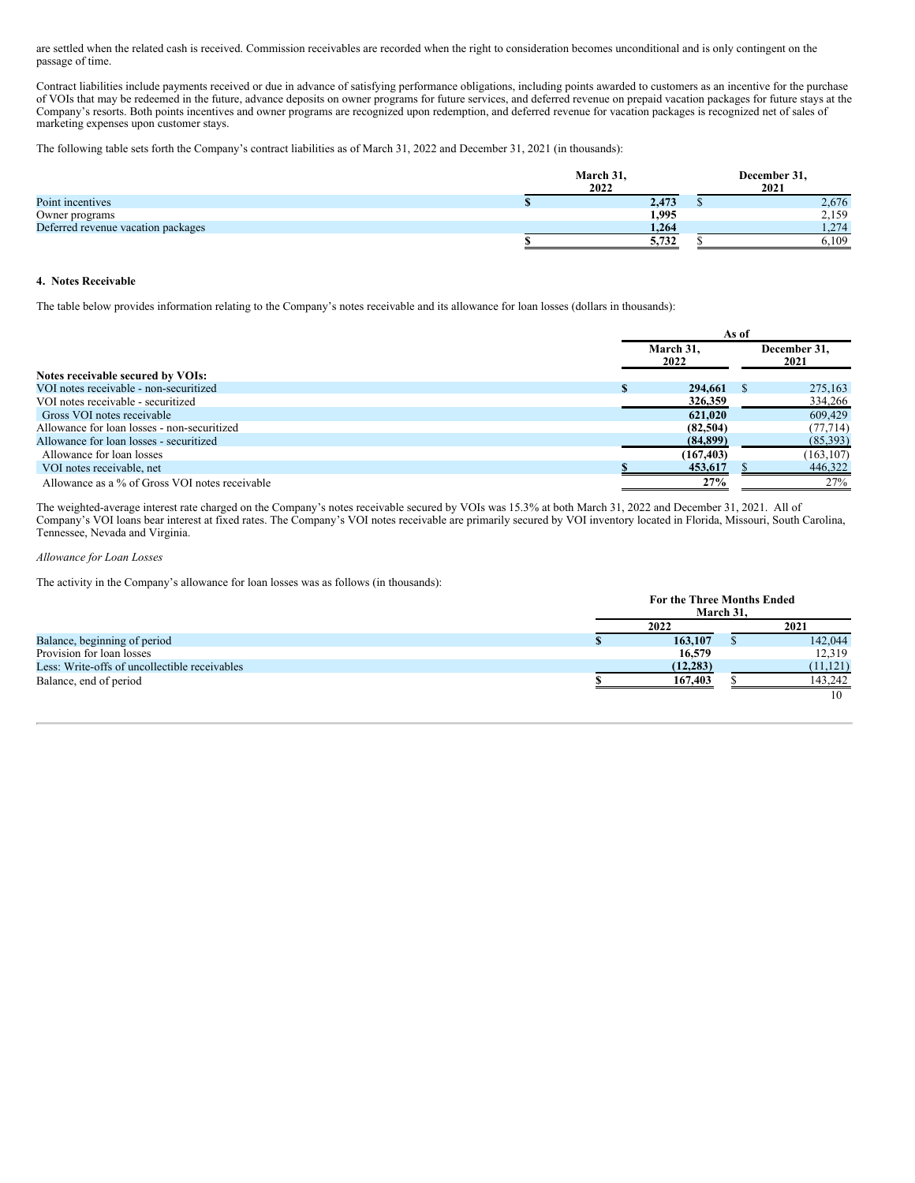are settled when the related cash is received. Commission receivables are recorded when the right to consideration becomes unconditional and is only contingent on the passage of time.

Contract liabilities include payments received or due in advance of satisfying performance obligations, including points awarded to customers as an incentive for the purchase of VOIs that may be redeemed in the future, advance deposits on owner programs for future services, and deferred revenue on prepaid vacation packages for future stays at the Company's resorts. Both points incentives and owner programs are recognized upon redemption, and deferred revenue for vacation packages is recognized net of sales of marketing expenses upon customer stays.

The following table sets forth the Company's contract liabilities as of March 31, 2022 and December 31, 2021 (in thousands):

|                                    | March 31,<br>2022 |       | December 31,<br>2021 |
|------------------------------------|-------------------|-------|----------------------|
| Point incentives                   |                   | 2,473 | 2,676                |
| Owner programs                     |                   | 1,995 | 2,159                |
| Deferred revenue vacation packages |                   | 1,264 | .274                 |
|                                    |                   | 5.732 | 5.109                |

## **4. Notes Receivable**

The table below provides information relating to the Company's notes receivable and its allowance for loan losses (dollars in thousands):

|                                                | As of             |  |                      |  |  |
|------------------------------------------------|-------------------|--|----------------------|--|--|
|                                                | March 31,<br>2022 |  | December 31,<br>2021 |  |  |
| Notes receivable secured by VOIs:              |                   |  |                      |  |  |
| VOI notes receivable - non-securitized         | 294,661           |  | 275,163              |  |  |
| VOI notes receivable - securitized             | 326,359           |  | 334,266              |  |  |
| Gross VOI notes receivable                     | 621.020           |  | 609,429              |  |  |
| Allowance for loan losses - non-securitized    | (82,504)          |  | (77, 714)            |  |  |
| Allowance for loan losses - securitized        | (84,899)          |  | (85,393)             |  |  |
| Allowance for loan losses                      | (167, 403)        |  | (163, 107)           |  |  |
| VOI notes receivable, net                      | 453,617           |  | 446,322              |  |  |
| Allowance as a % of Gross VOI notes receivable | 27%               |  | 27%                  |  |  |

The weighted-average interest rate charged on the Company's notes receivable secured by VOIs was 15.3% at both March 31, 2022 and December 31, 2021. All of Company's VOI loans bear interest at fixed rates. The Company's VOI notes receivable are primarily secured by VOI inventory located in Florida, Missouri, South Carolina, Tennessee, Nevada and Virginia.

## *Allowance for Loan Losses*

The activity in the Company's allowance for loan losses was as follows (in thousands):

|                                               | <b>For the Three Months Ended</b><br>March 31. |           |
|-----------------------------------------------|------------------------------------------------|-----------|
|                                               | 2022                                           | 2021      |
| Balance, beginning of period                  | 163,107                                        | 142,044   |
| Provision for loan losses                     | 16,579                                         | 12,319    |
| Less: Write-offs of uncollectible receivables | (12, 283)                                      | (11, 121) |
| Balance, end of period                        | 167,403                                        | 143.242   |
|                                               |                                                | 10        |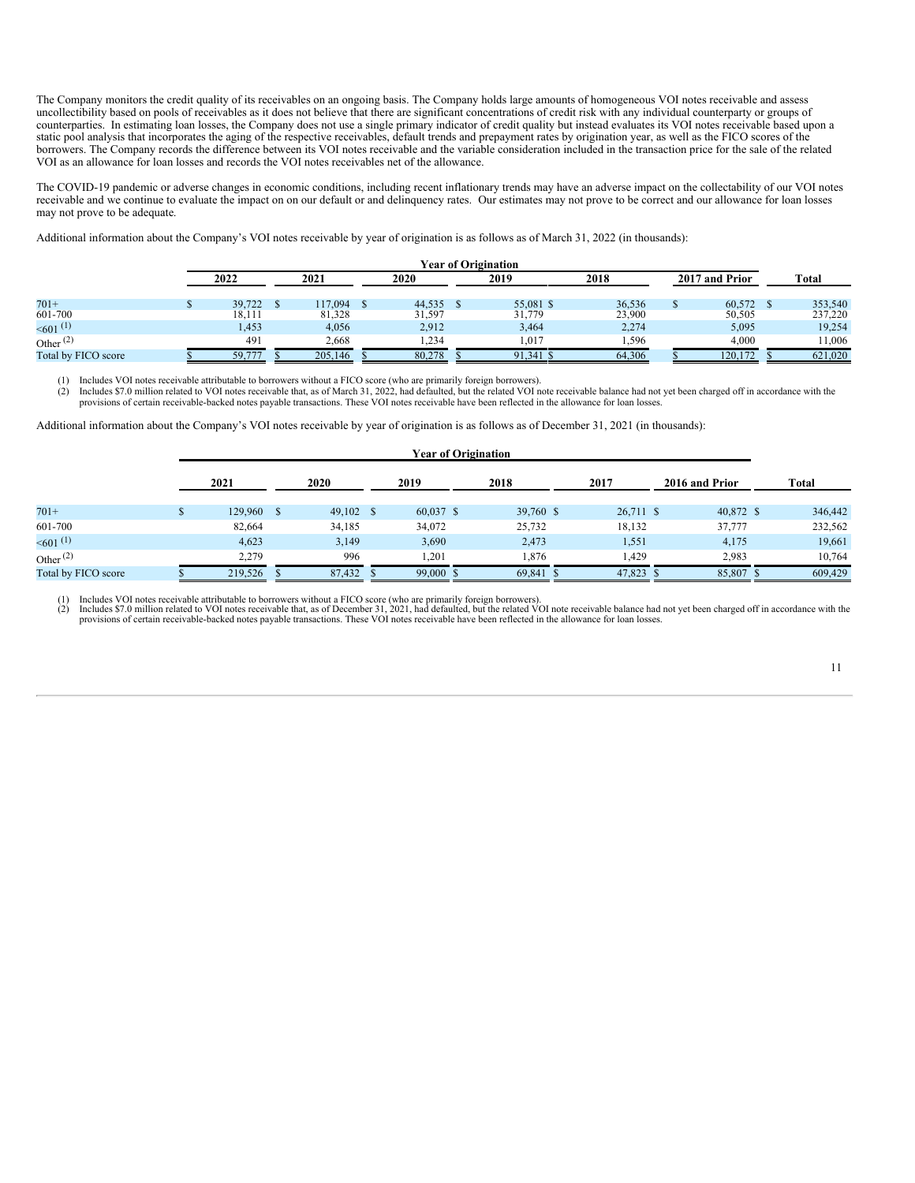The Company monitors the credit quality of its receivables on an ongoing basis. The Company holds large amounts of homogeneous VOI notes receivable and assess uncollectibility based on pools of receivables as it does not believe that there are significant concentrations of credit risk with any individual counterparty or groups of counterparties. In estimating loan losses, the Company does not use a single primary indicator of credit quality but instead evaluates its VOI notes receivable based upon a static pool analysis that incorporates the aging of the respective receivables, default trends and prepayment rates by origination year, as well as the FICO scores of the borrowers. The Company records the difference between its VOI notes receivable and the variable consideration included in the transaction price for the sale of the related VOI as an allowance for loan losses and records the VOI notes receivables net of the allowance.

The COVID-19 pandemic or adverse changes in economic conditions, including recent inflationary trends may have an adverse impact on the collectability of our VOI notes receivable and we continue to evaluate the impact on on our default or and delinquency rates. Our estimates may not prove to be correct and our allowance for loan losses may not prove to be adequate.

Additional information about the Company's VOI notes receivable by year of origination is as follows as of March 31, 2022 (in thousands):

|                     | Year of Origination |        |  |         |  |           |  |           |        |  |         |      |         |  |                |  |       |
|---------------------|---------------------|--------|--|---------|--|-----------|--|-----------|--------|--|---------|------|---------|--|----------------|--|-------|
|                     |                     | 2022   |  | 2021    |  | 2020      |  |           |        |  |         | 2019 | 2018    |  | 2017 and Prior |  | Total |
|                     |                     |        |  |         |  |           |  |           |        |  |         |      |         |  |                |  |       |
| $701+$              |                     | 39,722 |  | 117,094 |  | 44,535 \$ |  | 55,081 \$ | 36.536 |  | 60.572  |      | 353,540 |  |                |  |       |
| 601-700             |                     | 18,111 |  | 81,328  |  | 31,597    |  | 31,779    | 23,900 |  | 50,505  |      | 237,220 |  |                |  |       |
| $<$ 601 $(1)$       |                     | 1,453  |  | 4,056   |  | 2,912     |  | 3,464     | 2,274  |  | 5,095   |      | 19,254  |  |                |  |       |
| Other $^{(2)}$      |                     | 491    |  | 2.668   |  | 1,234     |  | 1,017     | 1,596  |  | 4.000   |      | 11,006  |  |                |  |       |
| Total by FICO score |                     | 59,777 |  | 205,146 |  | 80,278    |  | 91.341    | 64,306 |  | 120.172 |      | 621,020 |  |                |  |       |

(1) Includes VOI notes receivable attributable to borrowers without a FICO score (who are primarily foreign borrowers).<br>(2) Includes \$7.0 million related to VOI notes receivable that, as of March 31, 2022, had defaulted, b provisions of certain receivable-backed notes payable transactions. These VOI notes receivable have been reflected in the allowance for loan losses.

Additional information about the Company's VOI notes receivable by year of origination is as follows as of December 31, 2021 (in thousands):

|                                   | <b>Year of Origination</b> |    |             |  |             |  |           |  |           |  |                |  |              |  |
|-----------------------------------|----------------------------|----|-------------|--|-------------|--|-----------|--|-----------|--|----------------|--|--------------|--|
|                                   | 2021                       |    | 2020        |  | 2019        |  | 2018      |  | 2017      |  | 2016 and Prior |  | <b>Total</b> |  |
| $701+$                            | 129,960                    | -S | $49,102$ \$ |  | $60,037$ \$ |  | 39,760 \$ |  | 26,711 \$ |  | 40,872 \$      |  | 346,442      |  |
| 601-700                           | 82,664                     |    | 34,185      |  | 34,072      |  | 25,732    |  | 18,132    |  | 37,777         |  | 232,562      |  |
| $<$ 601 $^{(1)}$                  | 4,623                      |    | 3,149       |  | 3,690       |  | 2,473     |  | 1,551     |  | 4,175          |  | 19,661       |  |
| Other <sup><math>(2)</math></sup> | 2,279                      |    | 996         |  | 1.201       |  | 1,876     |  | 1,429     |  | 2,983          |  | 10,764       |  |
| Total by FICO score               | 219,526                    |    | 87,432      |  | 99,000 \$   |  | 69,841 \$ |  | 47,823 \$ |  | 85,807 \$      |  | 609,429      |  |

(1) Includes VOI notes receivable attributable to borrowers without a FICO score (who are primarily foreign borrowers).<br>(2) Includes \$7.0 million related to VOI notes receivable that as of December 31, 2021, had defaulted

(2) Includes \$7.0 million related to VOI notes receivable that, as of December 31, 2021, had defaulted, but the related VOI note receivable balance had not yet been charged off in accordance with the provisions of certain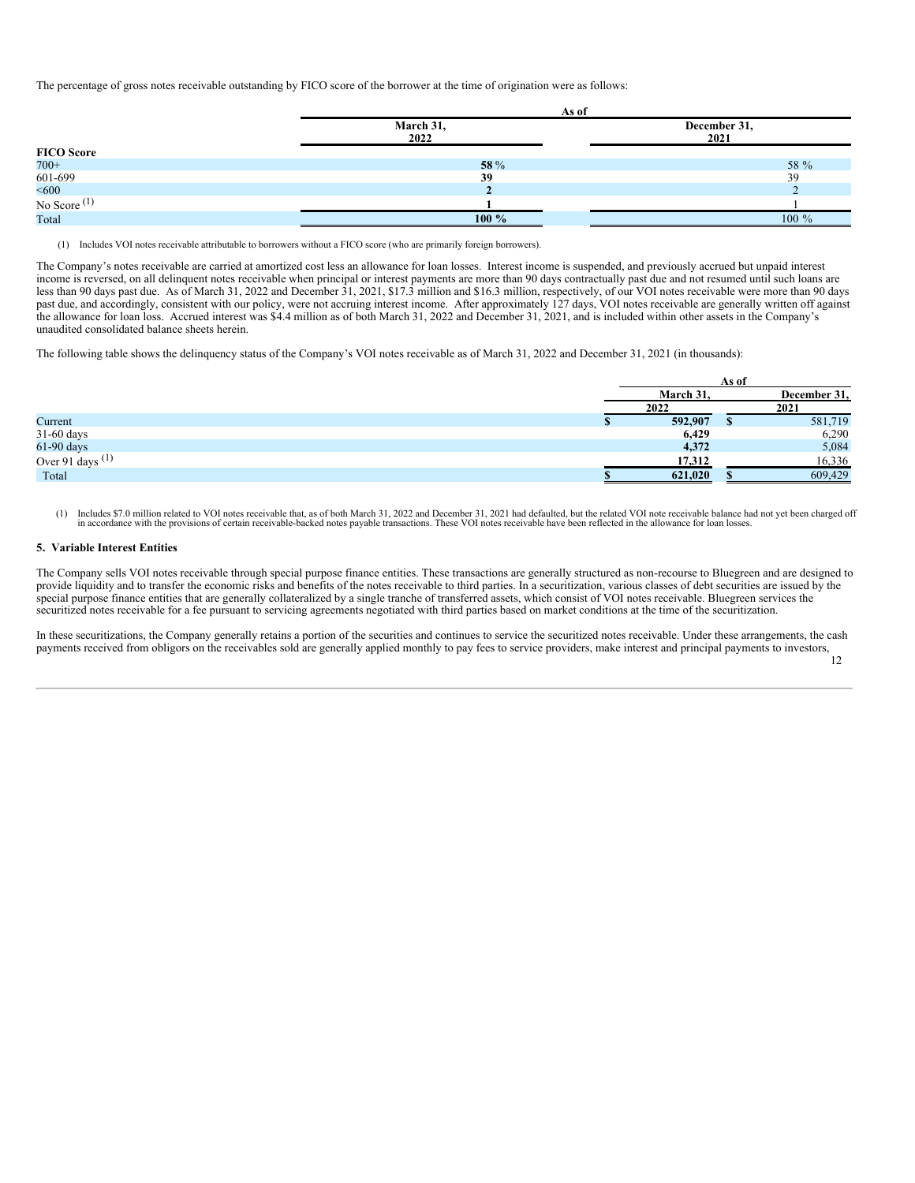The percentage of gross notes receivable outstanding by FICO score of the borrower at the time of origination were as follows:

|                   | As of             |                      |  |  |  |  |  |  |
|-------------------|-------------------|----------------------|--|--|--|--|--|--|
|                   | March 31,<br>2022 | December 31,<br>2021 |  |  |  |  |  |  |
| <b>FICO Score</b> |                   |                      |  |  |  |  |  |  |
| $700+$            | 58 %              | 58 %                 |  |  |  |  |  |  |
| 601-699           | 39                | 39                   |  |  |  |  |  |  |
| <600              |                   |                      |  |  |  |  |  |  |
| No Score $(1)$    |                   |                      |  |  |  |  |  |  |
| Total             | 100 %             | 100 %                |  |  |  |  |  |  |

(1) Includes VOI notes receivable attributable to borrowers without a FICO score (who are primarily foreign borrowers).

The Company's notes receivable are carried at amortized cost less an allowance for loan losses. Interest income is suspended, and previously accrued but unpaid interest income is reversed, on all delinquent notes receivable when principal or interest payments are more than 90 days contractually past due and not resumed until such loans are less than 90 days past due. As of March 31, 2022 and December 31, 2021, \$17.3 million and \$16.3 million, respectively, of our VOI notes receivable were more than 90 days past due, and accordingly, consistent with our policy, were not accruing interest income. After approximately 127 days, VOI notes receivable are generally written off against the allowance for loan loss. Accrued interest was \$4.4 million as of both March 31, 2022 and December 31, 2021, and is included within other assets in the Company's unaudited consolidated balance sheets herein.

The following table shows the delinquency status of the Company's VOI notes receivable as of March 31, 2022 and December 31, 2021 (in thousands):

|                    |           | As of |              |
|--------------------|-----------|-------|--------------|
|                    | March 31. |       | December 31, |
|                    | 2022      |       | 2021         |
| Current            | 592,907   |       | 581,719      |
| 31-60 days         | 6,429     |       | 6,290        |
| $61-90$ days       | 4,372     |       | 5,084        |
| Over 91 days $(1)$ | 17,312    |       | 16,336       |
| Total              | 621,020   |       | 609,429      |

(1) Includes \$7.0 million related to VOI notes receivable that, as of both March 31, 2022 and December 31, 2021 had defaulted, but the related VOI note receivable balance had not yet been charged off in accordance with the provisions of certain receivable-backed notes payable transactions. These VOI notes receivable have been reflected in the allowance for loan losses.

#### **5. Variable Interest Entities**

The Company sells VOI notes receivable through special purpose finance entities. These transactions are generally structured as non-recourse to Bluegreen and are designed to provide liquidity and to transfer the economic risks and benefits of the notes receivable to third parties. In a securitization, various classes of debt securities are issued by the special purpose finance entities that are generally collateralized by a single tranche of transferred assets, which consist of VOI notes receivable. Bluegreen services the securitized notes receivable for a fee pursuant to servicing agreements negotiated with third parties based on market conditions at the time of the securitization.

In these securitizations, the Company generally retains a portion of the securities and continues to service the securitized notes receivable. Under these arrangements, the cash payments received from obligors on the receivables sold are generally applied monthly to pay fees to service providers, make interest and principal payments to investors,  $12$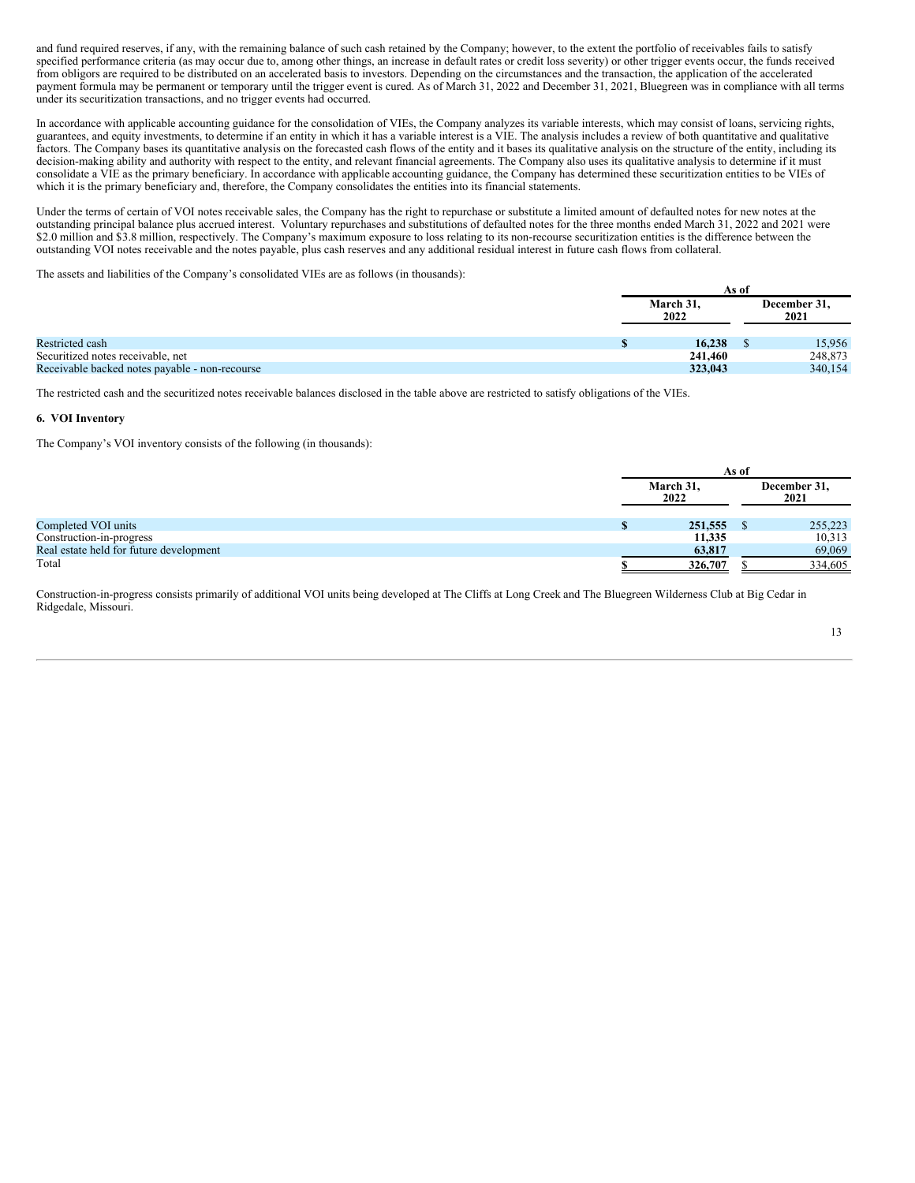and fund required reserves, if any, with the remaining balance of such cash retained by the Company; however, to the extent the portfolio of receivables fails to satisfy specified performance criteria (as may occur due to, among other things, an increase in default rates or credit loss severity) or other trigger events occur, the funds received from obligors are required to be distributed on an accelerated basis to investors. Depending on the circumstances and the transaction, the application of the accelerated payment formula may be permanent or temporary until the trigger event is cured. As of March 31, 2022 and December 31, 2021, Bluegreen was in compliance with all terms under its securitization transactions, and no trigger events had occurred.

In accordance with applicable accounting guidance for the consolidation of VIEs, the Company analyzes its variable interests, which may consist of loans, servicing rights, guarantees, and equity investments, to determine if an entity in which it has a variable interest is a VIE. The analysis includes a review of both quantitative and qualitative factors. The Company bases its quantitative analysis on the forecasted cash flows of the entity and it bases its qualitative analysis on the structure of the entity, including its decision-making ability and authority with respect to the entity, and relevant financial agreements. The Company also uses its qualitative analysis to determine if it must consolidate a VIE as the primary beneficiary. In accordance with applicable accounting guidance, the Company has determined these securitization entities to be VIEs of which it is the primary beneficiary and, therefore, the Company consolidates the entities into its financial statements.

Under the terms of certain of VOI notes receivable sales, the Company has the right to repurchase or substitute a limited amount of defaulted notes for new notes at the outstanding principal balance plus accrued interest. Voluntary repurchases and substitutions of defaulted notes for the three months ended March 31, 2022 and 2021 were \$2.0 million and \$3.8 million, respectively. The Company's maximum exposure to loss relating to its non-recourse securitization entities is the difference between the outstanding VOI notes receivable and the notes payable, plus cash reserves and any additional residual interest in future cash flows from collateral.

The assets and liabilities of the Company's consolidated VIEs are as follows (in thousands):

|                                                |                   | As of |                      |
|------------------------------------------------|-------------------|-------|----------------------|
|                                                | March 31,<br>2022 |       | December 31,<br>2021 |
| Restricted cash                                | 16,238            |       | 15,956               |
| Securitized notes receivable, net              | 241,460           |       | 248,873              |
| Receivable backed notes payable - non-recourse | 323,043           |       | 340.154              |

The restricted cash and the securitized notes receivable balances disclosed in the table above are restricted to satisfy obligations of the VIEs.

## **6. VOI Inventory**

The Company's VOI inventory consists of the following (in thousands):

|                                         | As of             |  |                      |  |
|-----------------------------------------|-------------------|--|----------------------|--|
|                                         | March 31,<br>2022 |  | December 31,<br>2021 |  |
| Completed VOI units                     | 251,555           |  | 255,223              |  |
| Construction-in-progress                | 11,335            |  | 10,313               |  |
| Real estate held for future development | 63,817            |  | 69,069               |  |
| Total                                   | 326,707           |  | 334,605              |  |

Construction-in-progress consists primarily of additional VOI units being developed at The Cliffs at Long Creek and The Bluegreen Wilderness Club at Big Cedar in Ridgedale, Missouri.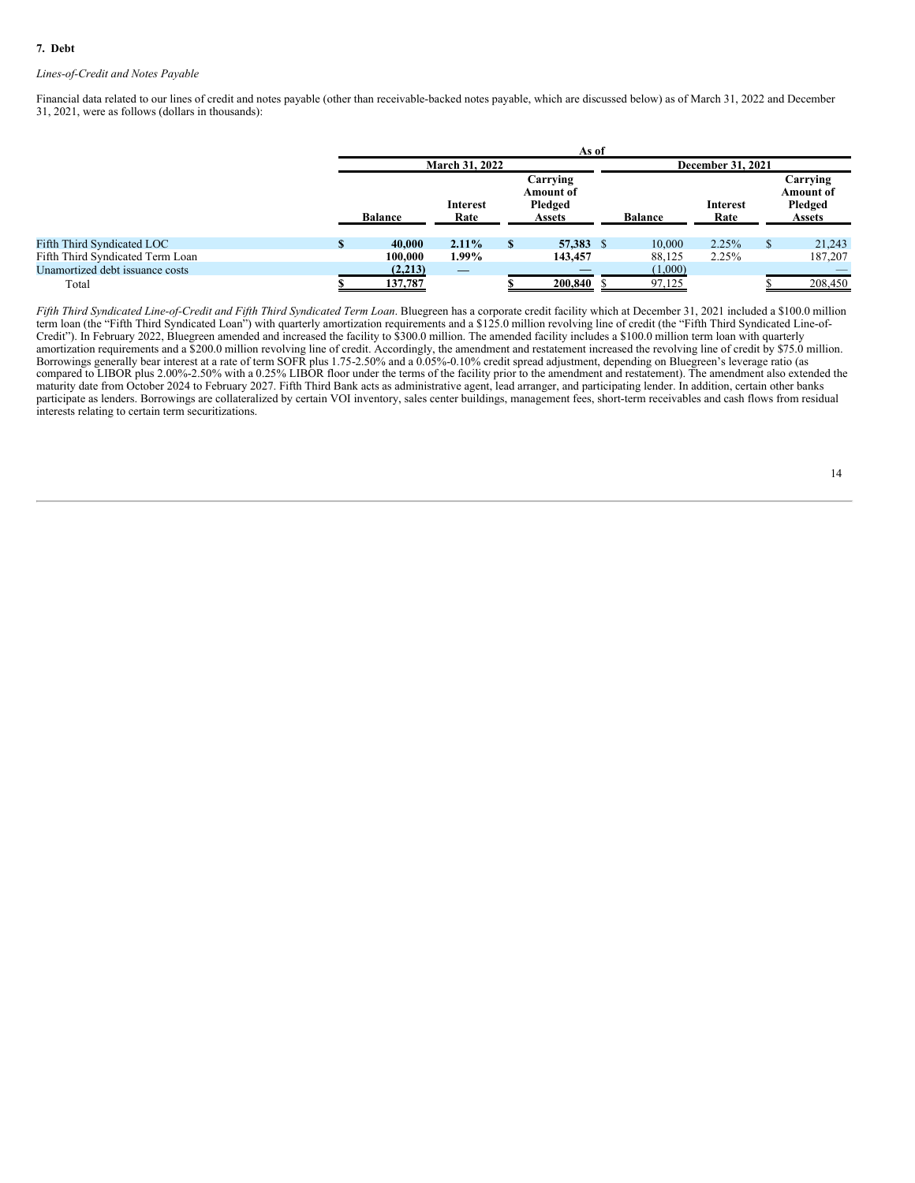## **7. Debt**

## *Lines-of-Credit and Notes Payable*

Financial data related to our lines of credit and notes payable (other than receivable-backed notes payable, which are discussed below) as of March 31, 2022 and December 31, 2021, were as follows (dollars in thousands):

|                                  | As of          |                         |   |                                                          |  |                   |                         |  |                                                          |  |  |
|----------------------------------|----------------|-------------------------|---|----------------------------------------------------------|--|-------------------|-------------------------|--|----------------------------------------------------------|--|--|
|                                  |                | March 31, 2022          |   |                                                          |  | December 31, 2021 |                         |  |                                                          |  |  |
|                                  | <b>Balance</b> | <b>Interest</b><br>Rate |   | Carrying<br><b>Amount of</b><br>Pledged<br><b>Assets</b> |  | <b>Balance</b>    | <b>Interest</b><br>Rate |  | Carrying<br><b>Amount of</b><br>Pledged<br><b>Assets</b> |  |  |
| Fifth Third Syndicated LOC       | 40,000         | $2.11\%$                | S | 57,383 \$                                                |  | 10.000            | 2.25%                   |  | 21,243                                                   |  |  |
| Fifth Third Syndicated Term Loan | 100.000        | 1.99%                   |   | 143,457                                                  |  | 88,125            | 2.25%                   |  | 187,207                                                  |  |  |
| Unamortized debt issuance costs  | (2,213)        | _                       |   |                                                          |  | (1,000)           |                         |  |                                                          |  |  |
| Total                            | 137,787        |                         |   | 200,840                                                  |  | 97,125            |                         |  | 208,450                                                  |  |  |

Fifth Third Syndicated Line-of-Credit and Fifth Third Syndicated Term Loan. Bluegreen has a corporate credit facility which at December 31, 2021 included a \$100.0 million term loan (the "Fifth Third Syndicated Loan") with quarterly amortization requirements and a \$125.0 million revolving line of credit (the "Fifth Third Syndicated Line-of-Credit"). In February 2022, Bluegreen amended and increased the facility to \$300.0 million. The amended facility includes a \$100.0 million term loan with quarterly amortization requirements and a \$200.0 million revolving line of credit. Accordingly, the amendment and restatement increased the revolving line of credit by \$75.0 million. Borrowings generally bear interest at a rate of term SOFR plus 1.75-2.50% and a 0.05%-0.10% credit spread adjustment, depending on Bluegreen's leverage ratio (as compared to LIBOR plus 2.00%-2.50% with a 0.25% LIBOR floor under the terms of the facility prior to the amendment and restatement). The amendment also extended the maturity date from October 2024 to February 2027. Fifth Third Bank acts as administrative agent, lead arranger, and participating lender. In addition, certain other banks participate as lenders. Borrowings are collateralized by certain VOI inventory, sales center buildings, management fees, short-term receivables and cash flows from residual interests relating to certain term securitizations.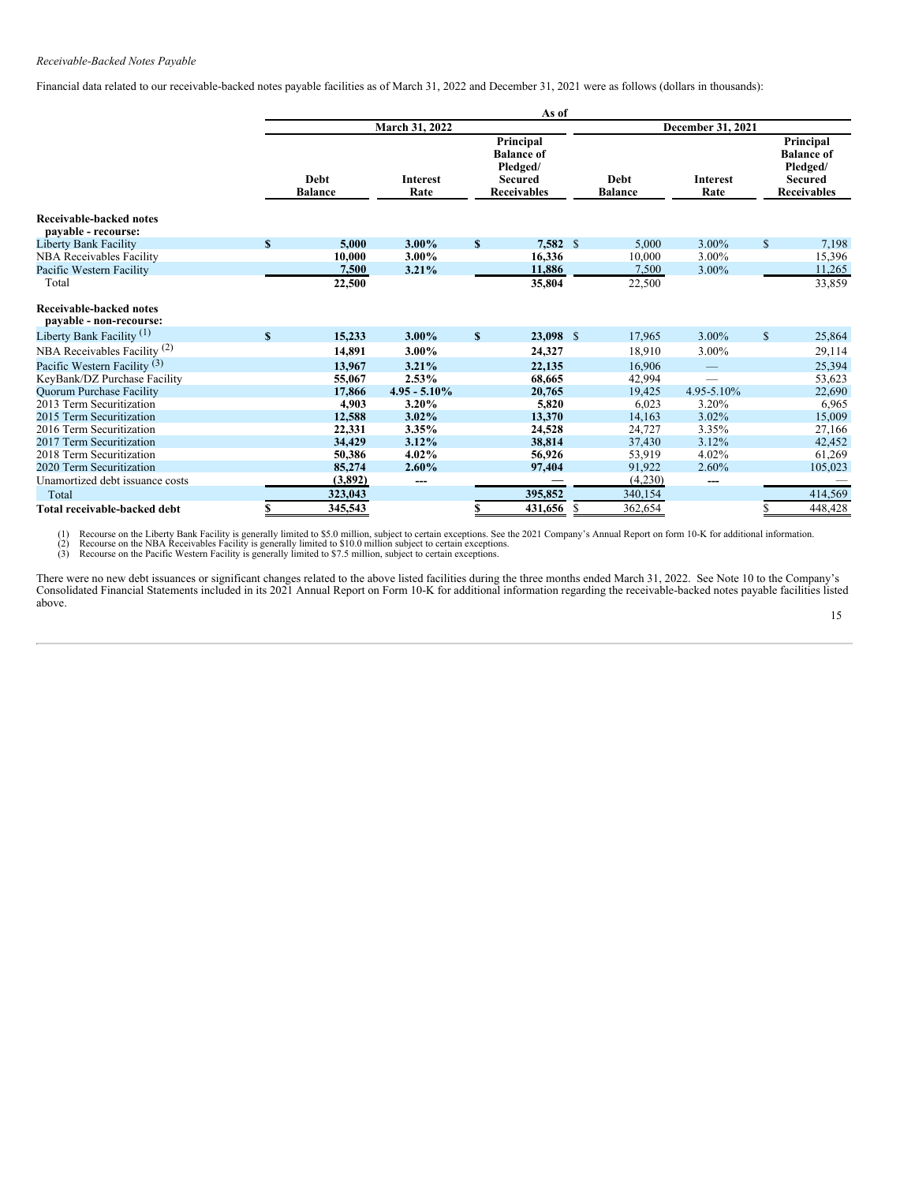#### *Receivable-Backed Notes Payable*

Financial data related to our receivable-backed notes payable facilities as of March 31, 2022 and December 31, 2021 were as follows (dollars in thousands):

|                                                    |              |                        |                         |               | As of                                                                              |                        |                         |               |                                                                                    |
|----------------------------------------------------|--------------|------------------------|-------------------------|---------------|------------------------------------------------------------------------------------|------------------------|-------------------------|---------------|------------------------------------------------------------------------------------|
|                                                    |              |                        | March 31, 2022          |               |                                                                                    |                        | December 31, 2021       |               |                                                                                    |
|                                                    |              | Debt<br><b>Balance</b> | <b>Interest</b><br>Rate |               | Principal<br><b>Balance of</b><br>Pledged/<br><b>Secured</b><br><b>Receivables</b> | Debt<br><b>Balance</b> | <b>Interest</b><br>Rate |               | Principal<br><b>Balance of</b><br>Pledged/<br><b>Secured</b><br><b>Receivables</b> |
| Receivable-backed notes<br>payable - recourse:     |              |                        |                         |               |                                                                                    |                        |                         |               |                                                                                    |
| Liberty Bank Facility                              | $\mathbf{s}$ | 5,000                  | 3.00%                   | <sup>\$</sup> | $7,582$ \$                                                                         | 5,000                  | 3.00%                   | <sup>\$</sup> | 7,198                                                                              |
| <b>NBA Receivables Facility</b>                    |              | 10,000                 | 3.00%                   |               | 16,336                                                                             | 10,000                 | $3.00\%$                |               | 15,396                                                                             |
| Pacific Western Facility                           |              | 7,500                  | 3.21%                   |               | 11,886                                                                             | 7,500                  | 3.00%                   |               | 11,265                                                                             |
| Total                                              |              | 22,500                 |                         |               | 35,804                                                                             | 22,500                 |                         |               | 33,859                                                                             |
| Receivable-backed notes<br>payable - non-recourse: |              |                        |                         |               |                                                                                    |                        |                         |               |                                                                                    |
| Liberty Bank Facility <sup>(1)</sup>               | $\mathbf{s}$ | 15,233                 | $3.00\%$                | $\mathbf{s}$  | 23,098 \$                                                                          | 17,965                 | 3.00%                   | $\mathbb{S}$  | 25,864                                                                             |
| NBA Receivables Facility <sup>(2)</sup>            |              | 14,891                 | 3.00%                   |               | 24,327                                                                             | 18,910                 | 3.00%                   |               | 29,114                                                                             |
| Pacific Western Facility <sup>(3)</sup>            |              | 13,967                 | 3.21%                   |               | 22,135                                                                             | 16.906                 |                         |               | 25,394                                                                             |
| KeyBank/DZ Purchase Facility                       |              | 55,067                 | 2.53%                   |               | 68,665                                                                             | 42,994                 |                         |               | 53,623                                                                             |
| Quorum Purchase Facility                           |              | 17,866                 | $4.95 - 5.10\%$         |               | 20,765                                                                             | 19,425                 | 4.95-5.10%              |               | 22,690                                                                             |
| 2013 Term Securitization                           |              | 4,903                  | 3.20%                   |               | 5,820                                                                              | 6,023                  | 3.20%                   |               | 6,965                                                                              |
| 2015 Term Securitization                           |              | 12,588                 | $3.02\%$                |               | 13,370                                                                             | 14,163                 | 3.02%                   |               | 15,009                                                                             |
| 2016 Term Securitization                           |              | 22,331                 | 3.35%                   |               | 24,528                                                                             | 24,727                 | 3.35%                   |               | 27,166                                                                             |
| 2017 Term Securitization                           |              | 34,429                 | 3.12%                   |               | 38,814                                                                             | 37,430                 | 3.12%                   |               | 42,452                                                                             |
| 2018 Term Securitization                           |              | 50,386                 | 4.02%                   |               | 56,926                                                                             | 53,919                 | 4.02%                   |               | 61,269                                                                             |
| 2020 Term Securitization                           |              | 85,274                 | 2.60%                   |               | 97,404                                                                             | 91,922                 | 2.60%                   |               | 105,023                                                                            |
| Unamortized debt issuance costs                    |              | (3,892)                |                         |               |                                                                                    | (4,230)                | ---                     |               |                                                                                    |
| Total                                              |              | 323,043                |                         |               | 395,852                                                                            | 340,154                |                         |               | 414,569                                                                            |
| Total receivable-backed debt                       |              | 345,543                |                         |               | 431,656                                                                            | 362,654                |                         |               | 448,428                                                                            |

(1) Recourse on the Liberty Bank Facility is generally limited to \$5.0 million, subject to certain exceptions. See the 2021 Company's Annual Report on form 10-K for additional information.<br>(2) Recourse on the NBA Receivabl

There were no new debt issuances or significant changes related to the above listed facilities during the three months ended March 31, 2022. See Note 10 to the Company's Consolidated Financial Statements included in its 2021 Annual Report on Form 10-K for additional information regarding the receivable-backed notes payable facilities listed above.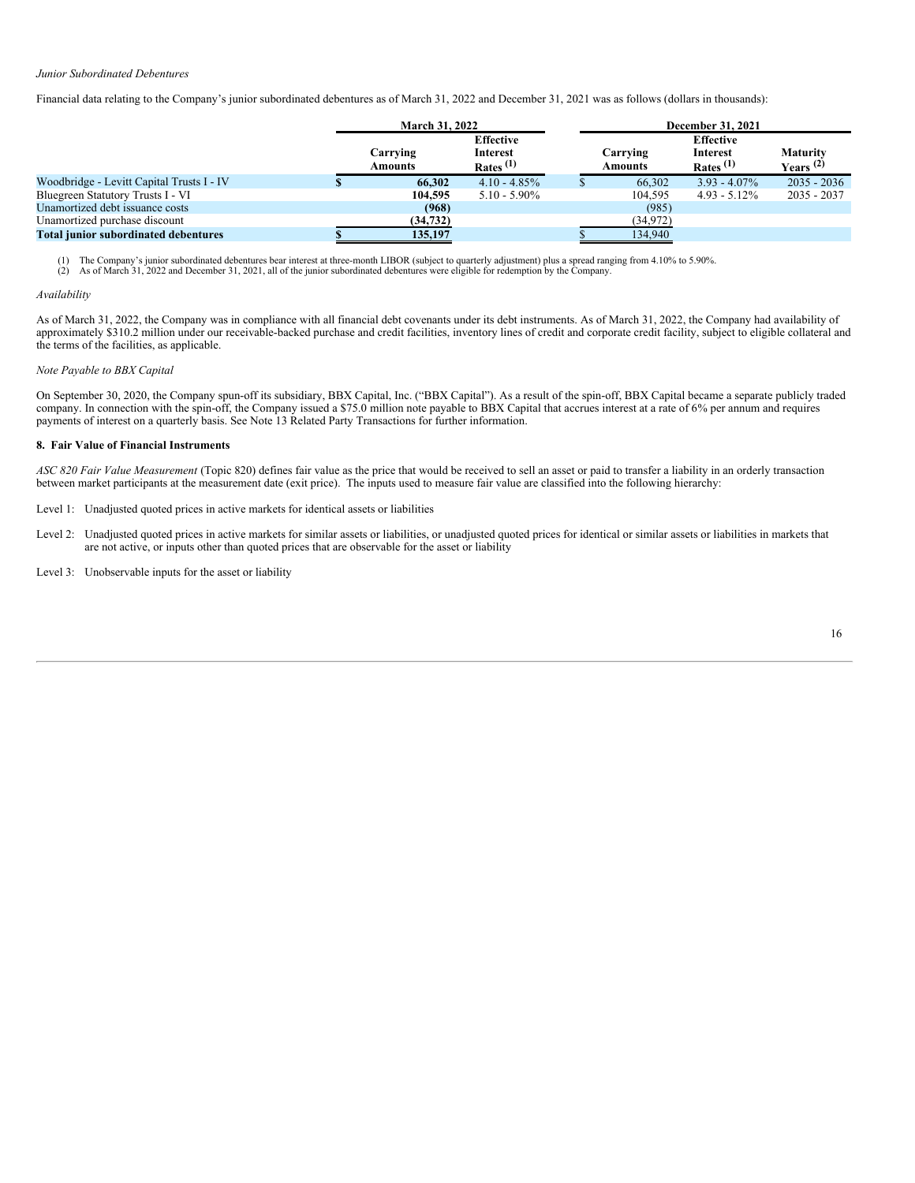#### *Junior Subordinated Debentures*

Financial data relating to the Company's junior subordinated debentures as of March 31, 2022 and December 31, 2021 was as follows (dollars in thousands):

|                                             |  | <b>March 31, 2022</b>      |                                                        | <b>December 31, 2021</b> |                                                        |                         |  |  |  |
|---------------------------------------------|--|----------------------------|--------------------------------------------------------|--------------------------|--------------------------------------------------------|-------------------------|--|--|--|
|                                             |  | Carrying<br><b>Amounts</b> | <b>Effective</b><br>Interest<br>$Rate3$ <sup>(1)</sup> | Carrying<br>Amounts      | <b>Effective</b><br>Interest<br>$Rate3$ <sup>(1)</sup> | Maturity<br>Years $(2)$ |  |  |  |
| Woodbridge - Levitt Capital Trusts I - IV   |  | 66,302                     | $4.10 - 4.85\%$                                        | 66.302                   | $3.93 - 4.07\%$                                        | $2035 - 2036$           |  |  |  |
| Bluegreen Statutory Trusts I - VI           |  | 104.595                    | $5.10 - 5.90\%$                                        | 104.595                  | $4.93 - 5.12\%$                                        | 2035 - 2037             |  |  |  |
| Unamortized debt issuance costs             |  | (968)                      |                                                        | (985)                    |                                                        |                         |  |  |  |
| Unamortized purchase discount               |  | (34, 732)                  |                                                        | (34, 972)                |                                                        |                         |  |  |  |
| <b>Total junior subordinated debentures</b> |  | 135,197                    |                                                        | 134,940                  |                                                        |                         |  |  |  |

(1) The Company's junior subordinated debentures bear interest at three-month LIBOR (subject to quarterly adjustment) plus a spread ranging from 4.10% to 5.90%.<br>(2) As of March 31, 2022 and December 31, 2021, all of the ju

## *Availability*

As of March 31, 2022, the Company was in compliance with all financial debt covenants under its debt instruments. As of March 31, 2022, the Company had availability of approximately \$310.2 million under our receivable-backed purchase and credit facilities, inventory lines of credit and corporate credit facility, subject to eligible collateral and the terms of the facilities, as applicable.

## *Note Payable to BBX Capital*

On September 30, 2020, the Company spun-off its subsidiary, BBX Capital, Inc. ("BBX Capital"). As a result of the spin-off, BBX Capital became a separate publicly traded company. In connection with the spin-off, the Company issued a \$75.0 million note payable to BBX Capital that accrues interest at a rate of 6% per annum and requires payments of interest on a quarterly basis. See Note 13 Related Party Transactions for further information.

## **8. Fair Value of Financial Instruments**

*ASC 820 Fair Value Measurement* (Topic 820) defines fair value as the price that would be received to sell an asset or paid to transfer a liability in an orderly transaction between market participants at the measurement date (exit price). The inputs used to measure fair value are classified into the following hierarchy:

- Level 1: Unadjusted quoted prices in active markets for identical assets or liabilities
- Level 2: Unadjusted quoted prices in active markets for similar assets or liabilities, or unadjusted quoted prices for identical or similar assets or liabilities in markets that are not active, or inputs other than quoted prices that are observable for the asset or liability
- Level 3: Unobservable inputs for the asset or liability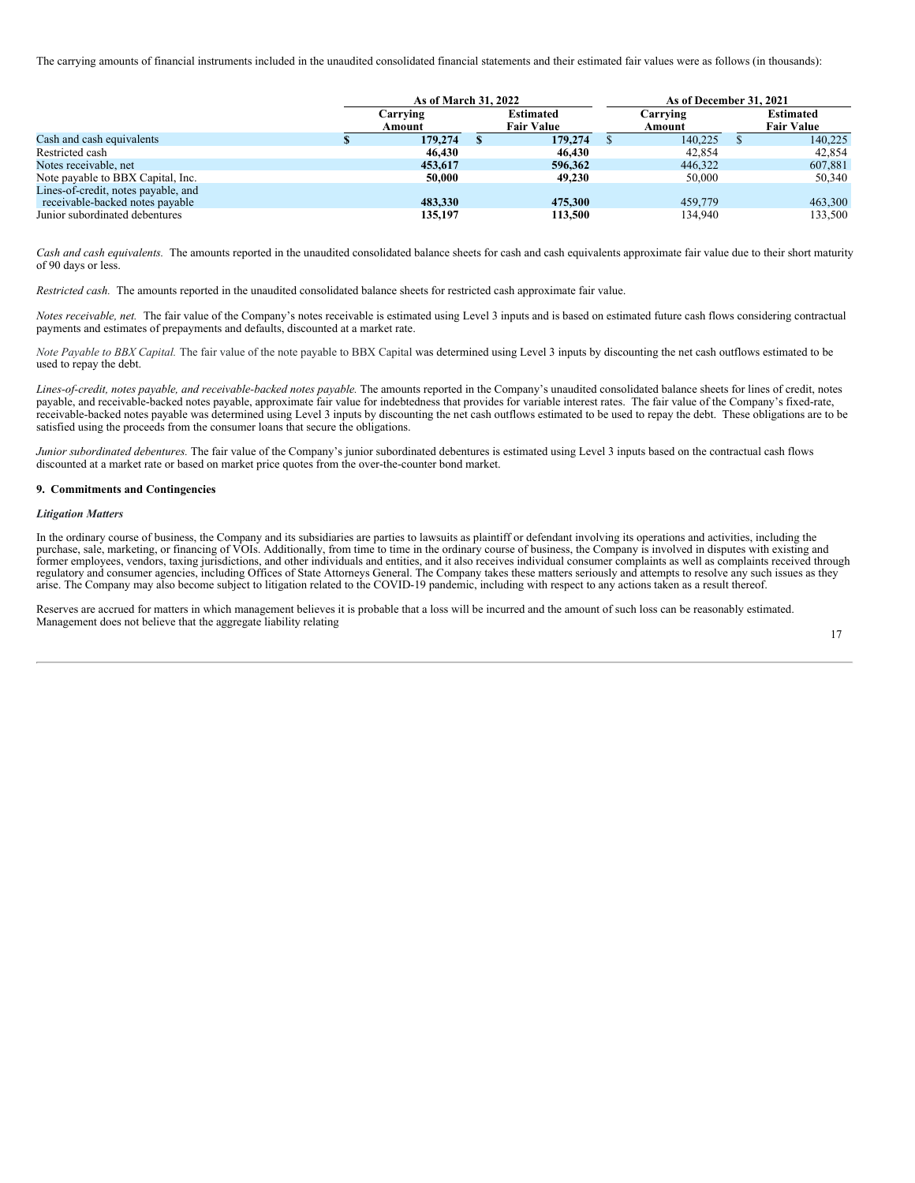The carrying amounts of financial instruments included in the unaudited consolidated financial statements and their estimated fair values were as follows (in thousands):

|                                     | As of March 31, 2022 |  |                                       | As of December 31, 2021 |                    |  |                                       |
|-------------------------------------|----------------------|--|---------------------------------------|-------------------------|--------------------|--|---------------------------------------|
|                                     | Carrying<br>Amount   |  | <b>Estimated</b><br><b>Fair Value</b> |                         | Carrying<br>Amount |  | <b>Estimated</b><br><b>Fair Value</b> |
| Cash and cash equivalents           | 179,274              |  | 179,274                               |                         | 140.225            |  | 140,225                               |
| Restricted cash                     | 46,430               |  | 46,430                                |                         | 42,854             |  | 42,854                                |
| Notes receivable, net               | 453.617              |  | 596,362                               |                         | 446,322            |  | 607,881                               |
| Note payable to BBX Capital, Inc.   | 50,000               |  | 49,230                                |                         | 50,000             |  | 50,340                                |
| Lines-of-credit, notes payable, and |                      |  |                                       |                         |                    |  |                                       |
| receivable-backed notes payable     | 483.330              |  | 475.300                               |                         | 459,779            |  | 463,300                               |
| Junior subordinated debentures      | 135,197              |  | 113,500                               |                         | 134,940            |  | 133,500                               |

*Cash and cash equivalents.* The amounts reported in the unaudited consolidated balance sheets for cash and cash equivalents approximate fair value due to their short maturity of 90 days or less.

*Restricted cash.* The amounts reported in the unaudited consolidated balance sheets for restricted cash approximate fair value.

*Notes receivable, net.* The fair value of the Company's notes receivable is estimated using Level 3 inputs and is based on estimated future cash flows considering contractual payments and estimates of prepayments and defaults, discounted at a market rate.

*Note Payable to BBX Capital.* The fair value of the note payable to BBX Capital was determined using Level 3 inputs by discounting the net cash outflows estimated to be used to repay the debt.

*Lines-of-credit, notes payable, and receivable-backed notes payable.* The amounts reported in the Company's unaudited consolidated balance sheets for lines of credit, notes payable, and receivable-backed notes payable, approximate fair value for indebtedness that provides for variable interest rates. The fair value of the Company's fixed-rate, receivable-backed notes payable was determined using Level 3 inputs by discounting the net cash outflows estimated to be used to repay the debt. These obligations are to be satisfied using the proceeds from the consumer loans that secure the obligations.

*Junior subordinated debentures.* The fair value of the Company's junior subordinated debentures is estimated using Level 3 inputs based on the contractual cash flows discounted at a market rate or based on market price quotes from the over-the-counter bond market.

#### **9. Commitments and Contingencies**

## *Litigation Matters*

In the ordinary course of business, the Company and its subsidiaries are parties to lawsuits as plaintiff or defendant involving its operations and activities, including the purchase, sale, marketing, or financing of VOIs.

Reserves are accrued for matters in which management believes it is probable that a loss will be incurred and the amount of such loss can be reasonably estimated. Management does not believe that the aggregate liability relating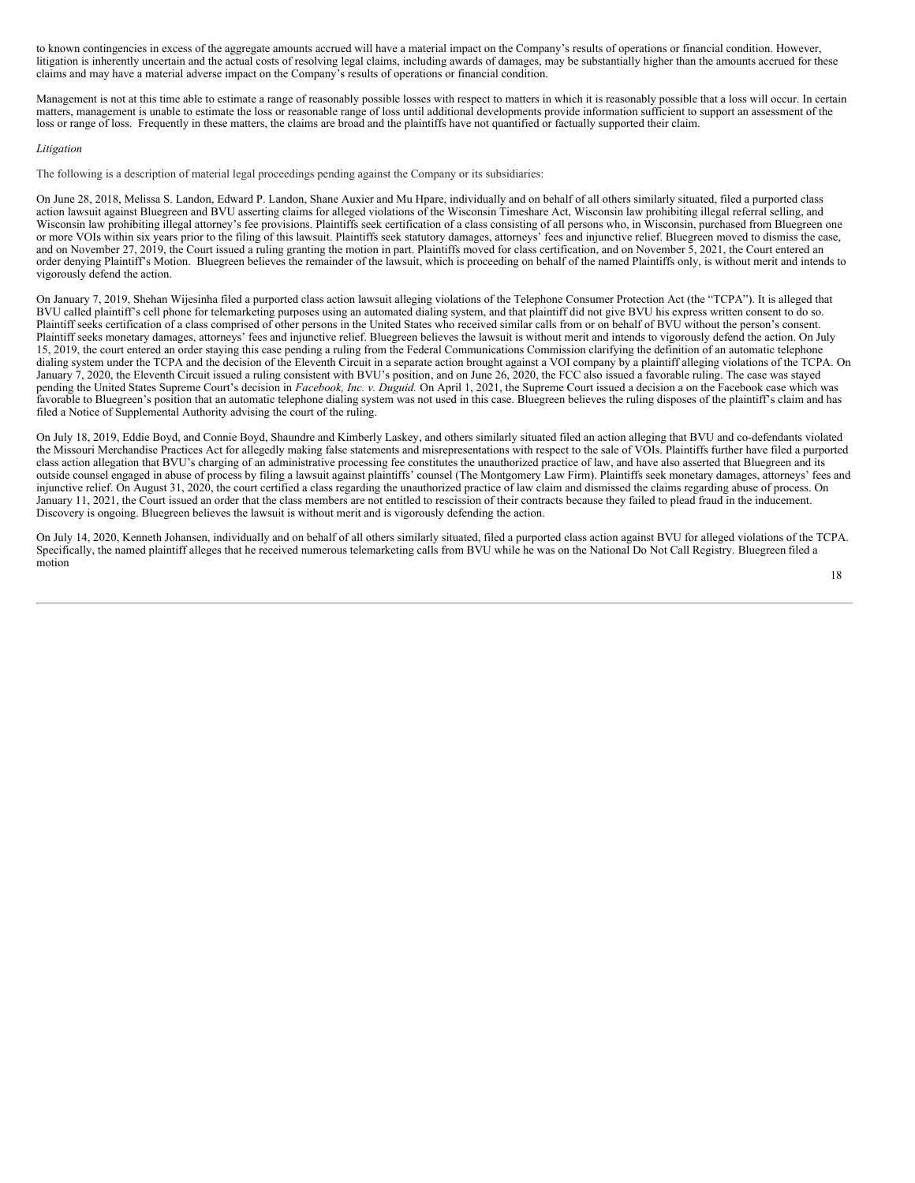to known contingencies in excess of the aggregate amounts accrued will have a material impact on the Company's results of operations or financial condition. However, litigation is inherently uncertain and the actual costs of resolving legal claims, including awards of damages, may be substantially higher than the amounts accrued for these claims and may have a material adverse impact on the Company's results of operations or financial condition.

Management is not at this time able to estimate a range of reasonably possible losses with respect to matters in which it is reasonably possible that a loss will occur. In certain matters, management is unable to estimate the loss or reasonable range of loss until additional developments provide information sufficient to support an assessment of the loss or range of loss. Frequently in these matters, the claims are broad and the plaintiffs have not quantified or factually supported their claim.

#### *Litigation*

The following is a description of material legal proceedings pending against the Company or its subsidiaries:

On June 28, 2018, Melissa S. Landon, Edward P. Landon, Shane Auxier and Mu Hpare, individually and on behalf of all others similarly situated, filed a purported class action lawsuit against Bluegreen and BVU asserting claims for alleged violations of the Wisconsin Timeshare Act, Wisconsin law prohibiting illegal referral selling, and Wisconsin law prohibiting illegal attorney's fee provisions. Plaintiffs seek certification of a class consisting of all persons who, in Wisconsin, purchased from Bluegreen one or more VOIs within six years prior to the filing of this lawsuit. Plaintiffs seek statutory damages, attorneys' fees and injunctive relief. Bluegreen moved to dismiss the case, and on November 27, 2019, the Court issued a ruling granting the motion in part. Plaintiffs moved for class certification, and on November 5, 2021, the Court entered an order denying Plaintiff's Motion. Bluegreen believes the remainder of the lawsuit, which is proceeding on behalf of the named Plaintiffs only, is without merit and intends to vigorously defend the action.

On January 7, 2019, Shehan Wijesinha filed a purported class action lawsuit alleging violations of the Telephone Consumer Protection Act (the "TCPA"). It is alleged that BVU called plaintiff's cell phone for telemarketing purposes using an automated dialing system, and that plaintiff did not give BVU his express written consent to do so. Plaintiff seeks certification of a class comprised of other persons in the United States who received similar calls from or on behalf of BVU without the person's consent. Plaintiff seeks monetary damages, attorneys' fees and injunctive relief. Bluegreen believes the lawsuit is without merit and intends to vigorously defend the action. On July 15, 2019, the court entered an order staying this case pending a ruling from the Federal Communications Commission clarifying the definition of an automatic telephone dialing system under the TCPA and the decision of the Eleventh Circuit in a separate action brought against a VOI company by a plaintiff alleging violations of the TCPA. On January 7, 2020, the Eleventh Circuit issued a ruling consistent with BVU's position, and on June 26, 2020, the FCC also issued a favorable ruling. The case was stayed pending the United States Supreme Court's decision in *Facebook, Inc. v. Duguid.* On April 1, 2021, the Supreme Court issued a decision a on the Facebook case which was favorable to Bluegreen's position that an automatic telephone dialing system was not used in this case. Bluegreen believes the ruling disposes of the plaintiff's claim and has filed a Notice of Supplemental Authority advising the court of the ruling.

On July 18, 2019, Eddie Boyd, and Connie Boyd, Shaundre and Kimberly Laskey, and others similarly situated filed an action alleging that BVU and co-defendants violated the Missouri Merchandise Practices Act for allegedly making false statements and misrepresentations with respect to the sale of VOIs. Plaintiffs further have filed a purported class action allegation that BVU's charging of an administrative processing fee constitutes the unauthorized practice of law, and have also asserted that Bluegreen and its outside counsel engaged in abuse of process by filing a lawsuit against plaintiffs' counsel (The Montgomery Law Firm). Plaintiffs seek monetary damages, attorneys' fees and injunctive relief. On August 31, 2020, the court certified a class regarding the unauthorized practice of law claim and dismissed the claims regarding abuse of process. On January 11, 2021, the Court issued an order that the class members are not entitled to rescission of their contracts because they failed to plead fraud in the inducement. Discovery is ongoing. Bluegreen believes the lawsuit is without merit and is vigorously defending the action.

On July 14, 2020, Kenneth Johansen, individually and on behalf of all others similarly situated, filed a purported class action against BVU for alleged violations of the TCPA. Specifically, the named plaintiff alleges that he received numerous telemarketing calls from BVU while he was on the National Do Not Call Registry. Bluegreen filed a motion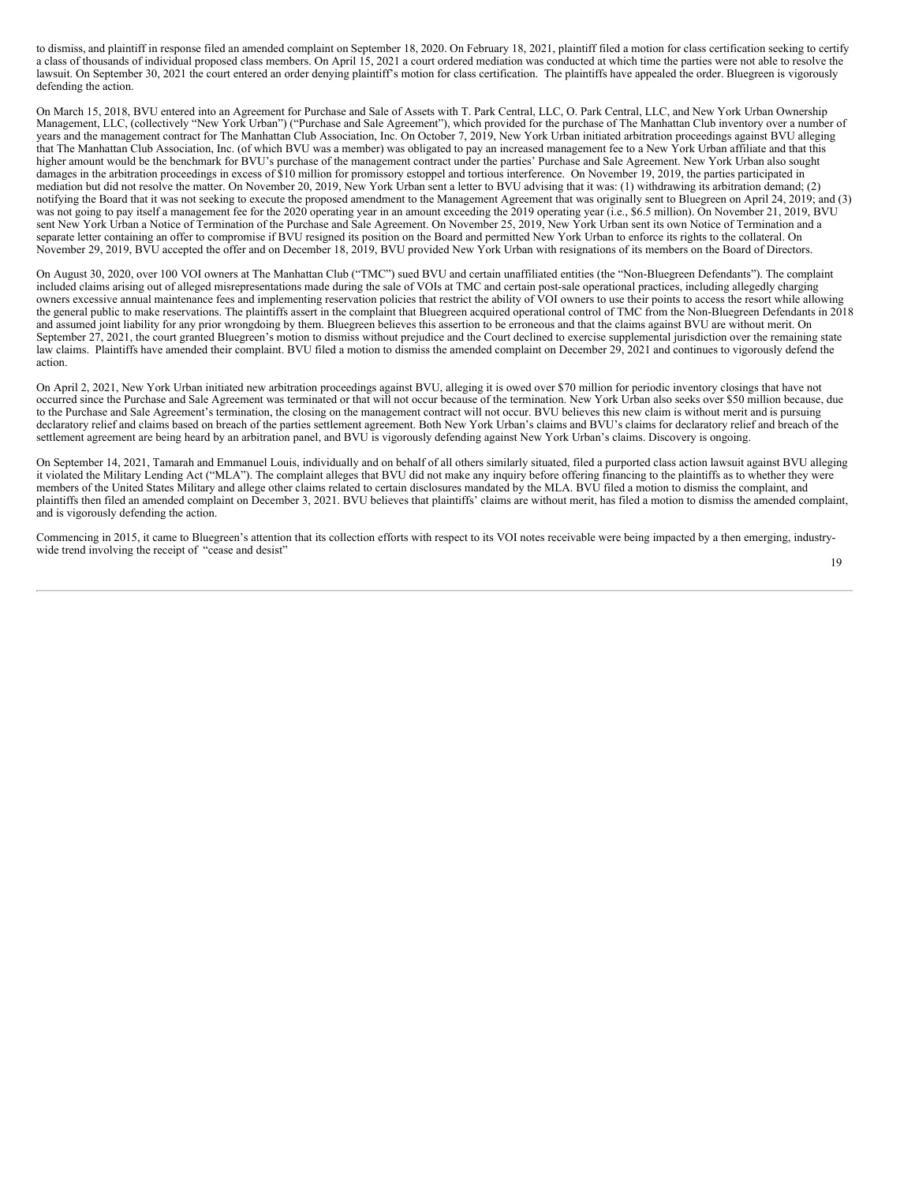to dismiss, and plaintiff in response filed an amended complaint on September 18, 2020. On February 18, 2021, plaintiff filed a motion for class certification seeking to certify a class of thousands of individual proposed class members. On April 15, 2021 a court ordered mediation was conducted at which time the parties were not able to resolve the lawsuit. On September 30, 2021 the court entered an order denying plaintiff's motion for class certification. The plaintiffs have appealed the order. Bluegreen is vigorously defending the action.

On March 15, 2018, BVU entered into an Agreement for Purchase and Sale of Assets with T. Park Central, LLC, O. Park Central, LLC, and New York Urban Ownership Management, LLC, (collectively "New York Urban") ("Purchase and Sale Agreement"), which provided for the purchase of The Manhattan Club inventory over a number of years and the management contract for The Manhattan Club Association, Inc. On October 7, 2019, New York Urban initiated arbitration proceedings against BVU alleging that The Manhattan Club Association, Inc. (of which BVU was a member) was obligated to pay an increased management fee to a New York Urban affiliate and that this higher amount would be the benchmark for BVU's purchase of the management contract under the parties' Purchase and Sale Agreement. New York Urban also sought damages in the arbitration proceedings in excess of \$10 million for promissory estoppel and tortious interference. On November 19, 2019, the parties participated in mediation but did not resolve the matter. On November 20, 2019, New York Urban sent a letter to BVU advising that it was: (1) withdrawing its arbitration demand; (2) notifying the Board that it was not seeking to execute the proposed amendment to the Management Agreement that was originally sent to Bluegreen on April 24, 2019; and (3) was not going to pay itself a management fee for the 2020 operating year in an amount exceeding the 2019 operating year (i.e., \$6.5 million). On November 21, 2019, BVU sent New York Urban a Notice of Termination of the Purchase and Sale Agreement. On November 25, 2019, New York Urban sent its own Notice of Termination and a separate letter containing an offer to compromise if BVU resigned its position on the Board and permitted New York Urban to enforce its rights to the collateral. On November 29, 2019, BVU accepted the offer and on December 18, 2019, BVU provided New York Urban with resignations of its members on the Board of Directors.

On August 30, 2020, over 100 VOI owners at The Manhattan Club ("TMC") sued BVU and certain unaffiliated entities (the "Non-Bluegreen Defendants"). The complaint included claims arising out of alleged misrepresentations made during the sale of VOIs at TMC and certain post-sale operational practices, including allegedly charging owners excessive annual maintenance fees and implementing reservation policies that restrict the ability of VOI owners to use their points to access the resort while allowing the general public to make reservations. The plaintiffs assert in the complaint that Bluegreen acquired operational control of TMC from the Non-Bluegreen Defendants in 2018 and assumed joint liability for any prior wrongdoing by them. Bluegreen believes this assertion to be erroneous and that the claims against BVU are without merit. On September 27, 2021, the court granted Bluegreen's motion to dismiss without prejudice and the Court declined to exercise supplemental jurisdiction over the remaining state law claims. Plaintiffs have amended their complaint. BVU filed a motion to dismiss the amended complaint on December 29, 2021 and continues to vigorously defend the action.

On April 2, 2021, New York Urban initiated new arbitration proceedings against BVU, alleging it is owed over \$70 million for periodic inventory closings that have not occurred since the Purchase and Sale Agreement was terminated or that will not occur because of the termination. New York Urban also seeks over \$50 million because, due to the Purchase and Sale Agreement's termination, the closing on the management contract will not occur. BVU believes this new claim is without merit and is pursuing declaratory relief and claims based on breach of the parties settlement agreement. Both New York Urban's claims and BVU's claims for declaratory relief and breach of the settlement agreement are being heard by an arbitration panel, and BVU is vigorously defending against New York Urban's claims. Discovery is ongoing.

On September 14, 2021, Tamarah and Emmanuel Louis, individually and on behalf of all others similarly situated, filed a purported class action lawsuit against BVU alleging it violated the Military Lending Act ("MLA"). The complaint alleges that BVU did not make any inquiry before offering financing to the plaintiffs as to whether they were members of the United States Military and allege other claims related to certain disclosures mandated by the MLA. BVU filed a motion to dismiss the complaint, and plaintiffs then filed an amended complaint on December 3, 2021. BVU believes that plaintiffs' claims are without merit, has filed a motion to dismiss the amended complaint, and is vigorously defending the action.

Commencing in 2015, it came to Bluegreen's attention that its collection efforts with respect to its VOI notes receivable were being impacted by a then emerging, industrywide trend involving the receipt of "cease and desist"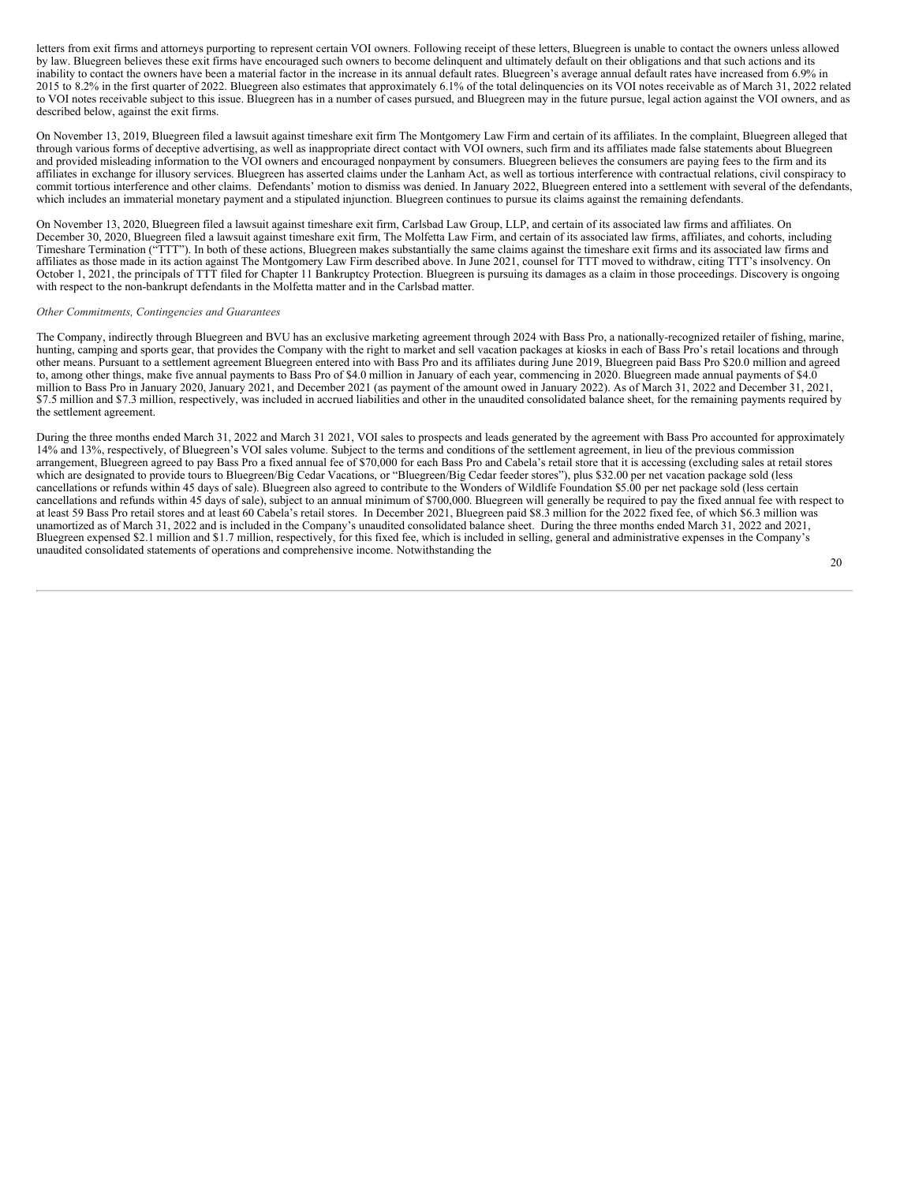letters from exit firms and attorneys purporting to represent certain VOI owners. Following receipt of these letters, Bluegreen is unable to contact the owners unless allowed by law. Bluegreen believes these exit firms have encouraged such owners to become delinquent and ultimately default on their obligations and that such actions and its inability to contact the owners have been a material factor in the increase in its annual default rates. Bluegreen's average annual default rates have increased from 6.9% in 2015 to 8.2% in the first quarter of 2022. Bluegreen also estimates that approximately 6.1% of the total delinquencies on its VOI notes receivable as of March 31, 2022 related to VOI notes receivable subject to this issue. Bluegreen has in a number of cases pursued, and Bluegreen may in the future pursue, legal action against the VOI owners, and as described below, against the exit firms.

On November 13, 2019, Bluegreen filed a lawsuit against timeshare exit firm The Montgomery Law Firm and certain of its affiliates. In the complaint, Bluegreen alleged that through various forms of deceptive advertising, as well as inappropriate direct contact with VOI owners, such firm and its affiliates made false statements about Bluegreen and provided misleading information to the VOI owners and encouraged nonpayment by consumers. Bluegreen believes the consumers are paying fees to the firm and its affiliates in exchange for illusory services. Bluegreen has asserted claims under the Lanham Act, as well as tortious interference with contractual relations, civil conspiracy to commit tortious interference and other claims. Defendants' motion to dismiss was denied. In January 2022, Bluegreen entered into a settlement with several of the defendants, which includes an immaterial monetary payment and a stipulated injunction. Bluegreen continues to pursue its claims against the remaining defendants.

On November 13, 2020, Bluegreen filed a lawsuit against timeshare exit firm, Carlsbad Law Group, LLP, and certain of its associated law firms and affiliates. On December 30, 2020, Bluegreen filed a lawsuit against timeshare exit firm, The Molfetta Law Firm, and certain of its associated law firms, affiliates, and cohorts, including Timeshare Termination ("TTT"). In both of these actions, Bluegreen makes substantially the same claims against the timeshare exit firms and its associated law firms and affiliates as those made in its action against The Montgomery Law Firm described above. In June 2021, counsel for TTT moved to withdraw, citing TTT's insolvency. On October 1, 2021, the principals of TTT filed for Chapter 11 Bankruptcy Protection. Bluegreen is pursuing its damages as a claim in those proceedings. Discovery is ongoing with respect to the non-bankrupt defendants in the Molfetta matter and in the Carlsbad matter.

## *Other Commitments, Contingencies and Guarantees*

The Company, indirectly through Bluegreen and BVU has an exclusive marketing agreement through 2024 with Bass Pro, a nationally-recognized retailer of fishing, marine, hunting, camping and sports gear, that provides the Company with the right to market and sell vacation packages at kiosks in each of Bass Pro's retail locations and through other means. Pursuant to a settlement agreement Bluegreen entered into with Bass Pro and its affiliates during June 2019, Bluegreen paid Bass Pro \$20.0 million and agreed to, among other things, make five annual payments to Bass Pro of \$4.0 million in January of each year, commencing in 2020. Bluegreen made annual payments of \$4.0 million to Bass Pro in January 2020, January 2021, and December 2021 (as payment of the amount owed in January 2022). As of March 31, 2022 and December 31, 2021, \$7.5 million and \$7.3 million, respectively, was included in accrued liabilities and other in the unaudited consolidated balance sheet, for the remaining payments required by the settlement agreement.

During the three months ended March 31, 2022 and March 31 2021, VOI sales to prospects and leads generated by the agreement with Bass Pro accounted for approximately 14% and 13%, respectively, of Bluegreen's VOI sales volume. Subject to the terms and conditions of the settlement agreement, in lieu of the previous commission arrangement, Bluegreen agreed to pay Bass Pro a fixed annual fee of \$70,000 for each Bass Pro and Cabela's retail store that it is accessing (excluding sales at retail stores which are designated to provide tours to Bluegreen/Big Cedar Vacations, or "Bluegreen/Big Cedar feeder stores"), plus \$32.00 per net vacation package sold (less cancellations or refunds within 45 days of sale). Bluegreen also agreed to contribute to the Wonders of Wildlife Foundation \$5.00 per net package sold (less certain cancellations and refunds within 45 days of sale), subject to an annual minimum of \$700,000. Bluegreen will generally be required to pay the fixed annual fee with respect to at least 59 Bass Pro retail stores and at least 60 Cabela's retail stores. In December 2021, Bluegreen paid \$8.3 million for the 2022 fixed fee, of which \$6.3 million was unamortized as of March 31, 2022 and is included in the Company's unaudited consolidated balance sheet. During the three months ended March 31, 2022 and 2021, Bluegreen expensed \$2.1 million and \$1.7 million, respectively, for this fixed fee, which is included in selling, general and administrative expenses in the Company's unaudited consolidated statements of operations and comprehensive income. Notwithstanding the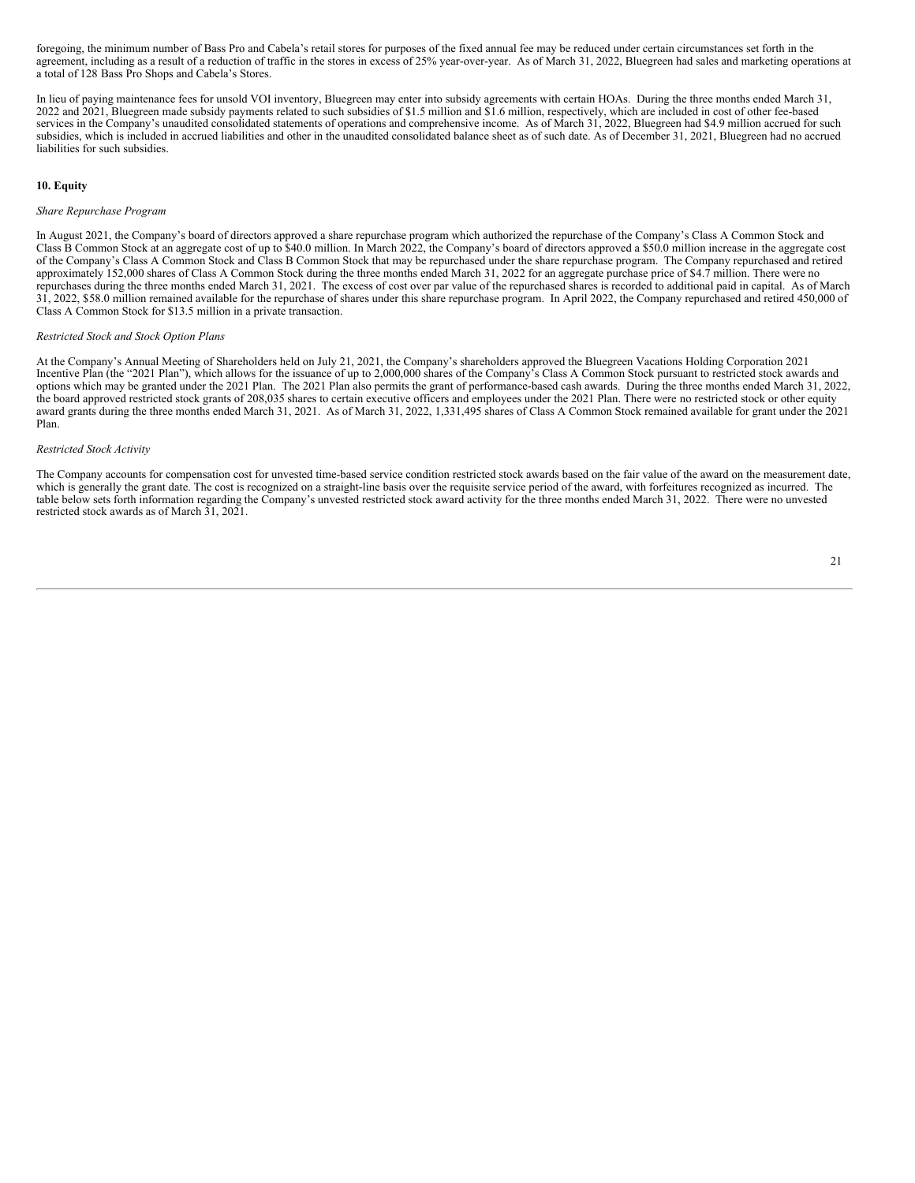foregoing, the minimum number of Bass Pro and Cabela's retail stores for purposes of the fixed annual fee may be reduced under certain circumstances set forth in the agreement, including as a result of a reduction of traffic in the stores in excess of 25% year-over-year. As of March 31, 2022, Bluegreen had sales and marketing operations at a total of 128 Bass Pro Shops and Cabela's Stores.

In lieu of paying maintenance fees for unsold VOI inventory, Bluegreen may enter into subsidy agreements with certain HOAs. During the three months ended March 31, 2022 and 2021, Bluegreen made subsidy payments related to such subsidies of \$1.5 million and \$1.6 million, respectively, which are included in cost of other fee-based services in the Company's unaudited consolidated statements of operations and comprehensive income. As of March 31, 2022, Bluegreen had \$4.9 million accrued for such subsidies, which is included in accrued liabilities and other in the unaudited consolidated balance sheet as of such date. As of December 31, 2021, Bluegreen had no accrued liabilities for such subsidies.

#### **10. Equity**

#### *Share Repurchase Program*

In August 2021, the Company's board of directors approved a share repurchase program which authorized the repurchase of the Company's Class A Common Stock and Class B Common Stock at an aggregate cost of up to \$40.0 million. In March 2022, the Company's board of directors approved a \$50.0 million increase in the aggregate cost of the Company's Class A Common Stock and Class B Common Stock that may be repurchased under the share repurchase program. The Company repurchased and retired approximately 152,000 shares of Class A Common Stock during the three months ended March 31, 2022 for an aggregate purchase price of \$4.7 million. There were no repurchases during the three months ended March 31, 2021. The excess of cost over par value of the repurchased shares is recorded to additional paid in capital. As of March 31, 2022, \$58.0 million remained available for the repurchase of shares under this share repurchase program. In April 2022, the Company repurchased and retired 450,000 of Class A Common Stock for \$13.5 million in a private transaction.

#### *Restricted Stock and Stock Option Plans*

At the Company's Annual Meeting of Shareholders held on July 21, 2021, the Company's shareholders approved the Bluegreen Vacations Holding Corporation 2021 Incentive Plan (the "2021 Plan"), which allows for the issuance of up to 2,000,000 shares of the Company's Class A Common Stock pursuant to restricted stock awards and options which may be granted under the 2021 Plan. The 2021 Plan also permits the grant of performance-based cash awards. During the three months ended March 31, 2022, the board approved restricted stock grants of 208,035 shares to certain executive officers and employees under the 2021 Plan. There were no restricted stock or other equity award grants during the three months ended March 31, 2021. As of March 31, 2022, 1,331,495 shares of Class A Common Stock remained available for grant under the 2021 Plan.

#### *Restricted Stock Activity*

The Company accounts for compensation cost for unvested time-based service condition restricted stock awards based on the fair value of the award on the measurement date, which is generally the grant date. The cost is recognized on a straight-line basis over the requisite service period of the award, with forfeitures recognized as incurred. The table below sets forth information regarding the Company's unvested restricted stock award activity for the three months ended March 31, 2022. There were no unvested restricted stock awards as of March 31, 2021.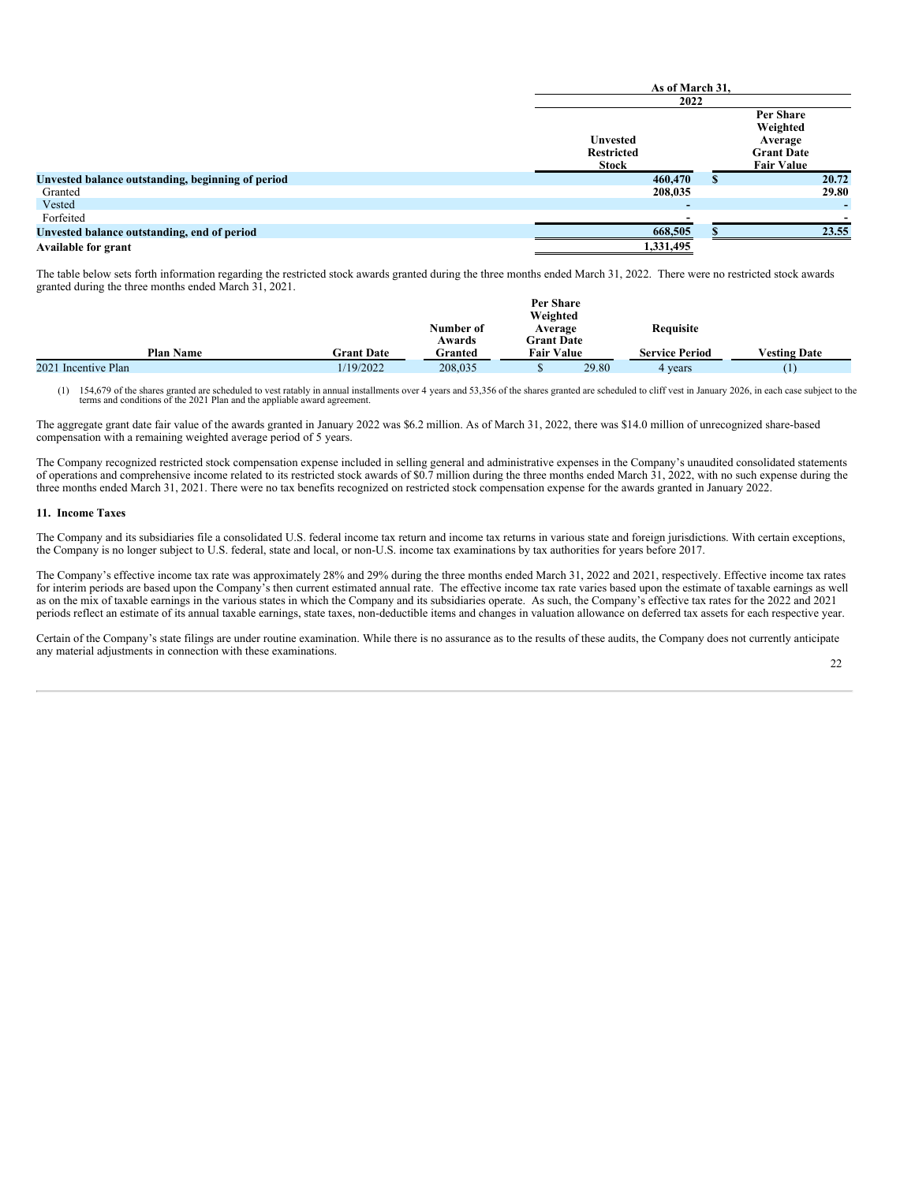|                                                   |                   | As of March 31, |                   |  |  |  |
|---------------------------------------------------|-------------------|-----------------|-------------------|--|--|--|
|                                                   | 2022              |                 |                   |  |  |  |
|                                                   |                   |                 | Per Share         |  |  |  |
|                                                   |                   |                 | Weighted          |  |  |  |
|                                                   | <b>Unvested</b>   |                 | Average           |  |  |  |
|                                                   | <b>Restricted</b> |                 | <b>Grant Date</b> |  |  |  |
|                                                   | <b>Stock</b>      |                 | <b>Fair Value</b> |  |  |  |
| Unvested balance outstanding, beginning of period | 460,470           | S               | 20.72             |  |  |  |
| Granted                                           | 208,035           |                 | 29.80             |  |  |  |
| Vested                                            |                   |                 |                   |  |  |  |
| Forfeited                                         |                   |                 |                   |  |  |  |
| Unvested balance outstanding, end of period       | 668,505           |                 | 23.55             |  |  |  |
| Available for grant                               | 1,331,495         |                 |                   |  |  |  |

The table below sets forth information regarding the restricted stock awards granted during the three months ended March 31, 2022. There were no restricted stock awards granted during the three months ended March 31, 2021.

|                     |                   |                     | Per Share<br>Weighted        |                       |                     |
|---------------------|-------------------|---------------------|------------------------------|-----------------------|---------------------|
|                     |                   | Number of<br>Awards | Average<br><b>Grant Date</b> | Requisite             |                     |
| <b>Plan Name</b>    | <b>Grant Date</b> | Granted             | <b>Fair Value</b>            | <b>Service Period</b> | <b>Vesting Date</b> |
| 2021 Incentive Plan | 1/19/2022         | 208,035             | 29.80                        | 4 years               | [1]                 |

(1) 154,679 of the shares granted are scheduled to vest ratably in annual installments over 4 years and 53,356 of the shares granted are scheduled to cliff vest in January 2026, in each case subject to the terms and condit

The aggregate grant date fair value of the awards granted in January 2022 was \$6.2 million. As of March 31, 2022, there was \$14.0 million of unrecognized share-based compensation with a remaining weighted average period of 5 years.

The Company recognized restricted stock compensation expense included in selling general and administrative expenses in the Company's unaudited consolidated statements of operations and comprehensive income related to its restricted stock awards of \$0.7 million during the three months ended March 31, 2022, with no such expense during the three months ended March 31, 2021. There were no tax benefits recognized on restricted stock compensation expense for the awards granted in January 2022.

### **11. Income Taxes**

The Company and its subsidiaries file a consolidated U.S. federal income tax return and income tax returns in various state and foreign jurisdictions. With certain exceptions, the Company is no longer subject to U.S. federal, state and local, or non-U.S. income tax examinations by tax authorities for years before 2017.

The Company's effective income tax rate was approximately 28% and 29% during the three months ended March 31, 2022 and 2021, respectively. Effective income tax rates for interim periods are based upon the Company's then current estimated annual rate. The effective income tax rate varies based upon the estimate of taxable earnings as well as on the mix of taxable earnings in the various states in which the Company and its subsidiaries operate. As such, the Company's effective tax rates for the 2022 and 2021 periods reflect an estimate of its annual taxable earnings, state taxes, non-deductible items and changes in valuation allowance on deferred tax assets for each respective year.

Certain of the Company's state filings are under routine examination. While there is no assurance as to the results of these audits, the Company does not currently anticipate any material adjustments in connection with these examinations.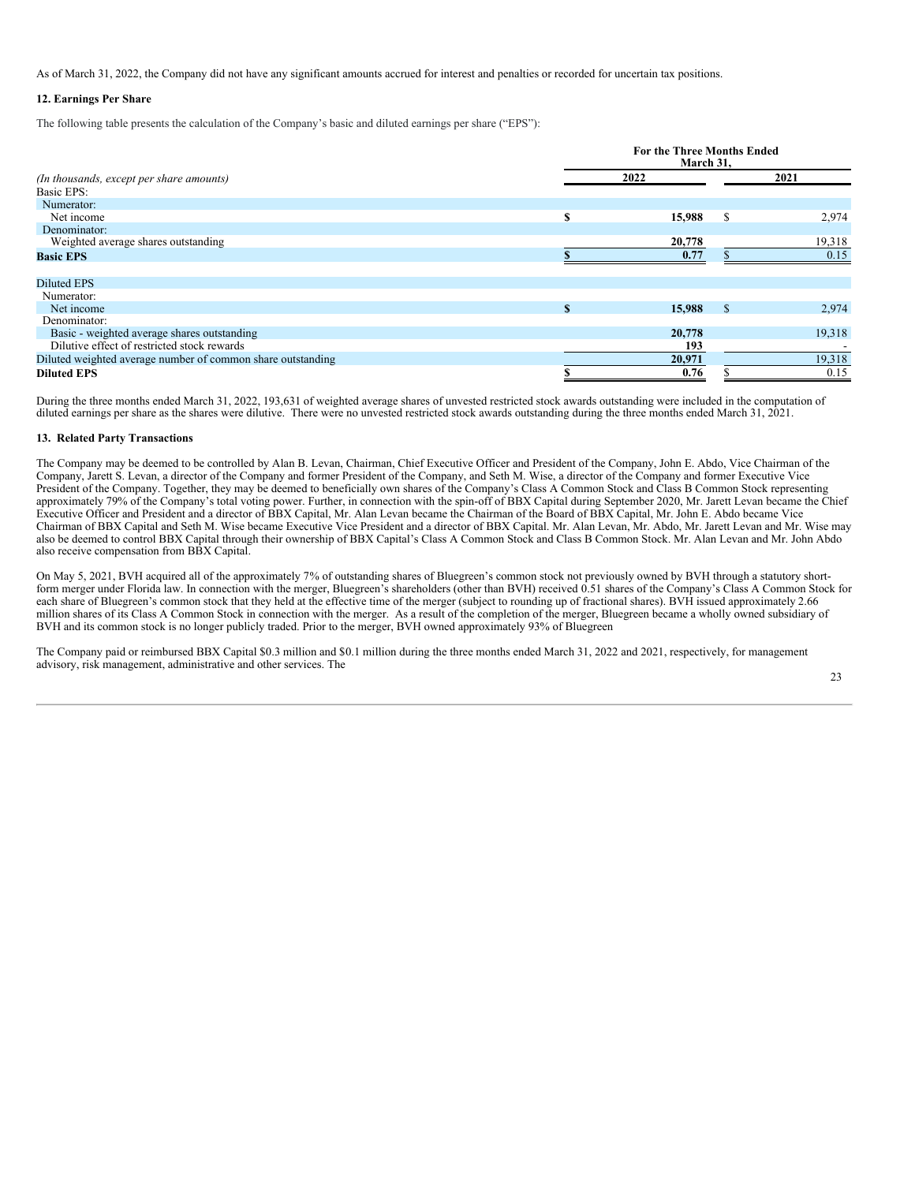As of March 31, 2022, the Company did not have any significant amounts accrued for interest and penalties or recorded for uncertain tax positions.

## **12. Earnings Per Share**

The following table presents the calculation of the Company's basic and diluted earnings per share ("EPS"):

|                                                             | <b>For the Three Months Ended</b><br>March 31, |        |          |        |  |  |  |
|-------------------------------------------------------------|------------------------------------------------|--------|----------|--------|--|--|--|
| (In thousands, except per share amounts)                    | 2022                                           |        | 2021     |        |  |  |  |
| Basic EPS:                                                  |                                                |        |          |        |  |  |  |
| Numerator:                                                  |                                                |        |          |        |  |  |  |
| Net income                                                  | S                                              | 15,988 | S        | 2,974  |  |  |  |
| Denominator:                                                |                                                |        |          |        |  |  |  |
| Weighted average shares outstanding                         |                                                | 20,778 |          | 19,318 |  |  |  |
| <b>Basic EPS</b>                                            |                                                | 0.77   |          | 0.15   |  |  |  |
|                                                             |                                                |        |          |        |  |  |  |
| <b>Diluted EPS</b>                                          |                                                |        |          |        |  |  |  |
| Numerator:                                                  |                                                |        |          |        |  |  |  |
| Net income                                                  | $\mathcal{L}$                                  | 15,988 | <b>S</b> | 2,974  |  |  |  |
| Denominator:                                                |                                                |        |          |        |  |  |  |
| Basic - weighted average shares outstanding                 |                                                | 20,778 |          | 19,318 |  |  |  |
| Dilutive effect of restricted stock rewards                 |                                                | 193    |          |        |  |  |  |
| Diluted weighted average number of common share outstanding |                                                | 20,971 |          | 19,318 |  |  |  |
| <b>Diluted EPS</b>                                          |                                                | 0.76   |          | 0.15   |  |  |  |

During the three months ended March 31, 2022, 193,631 of weighted average shares of unvested restricted stock awards outstanding were included in the computation of diluted earnings per share as the shares were dilutive. There were no unvested restricted stock awards outstanding during the three months ended March 31, 2021.

#### **13. Related Party Transactions**

The Company may be deemed to be controlled by Alan B. Levan, Chairman, Chief Executive Officer and President of the Company, John E. Abdo, Vice Chairman of the Company, Jarett S. Levan, a director of the Company and former President of the Company, and Seth M. Wise, a director of the Company and former Executive Vice President of the Company. Together, they may be deemed to beneficially own shares of the Company's Class A Common Stock and Class B Common Stock representing approximately 79% of the Company's total voting power. Further, in connection with the spin-off of BBX Capital during September 2020, Mr. Jarett Levan became the Chief Executive Officer and President and a director of BBX Capital, Mr. Alan Levan became the Chairman of the Board of BBX Capital, Mr. John E. Abdo became Vice Chairman of BBX Capital and Seth M. Wise became Executive Vice President and a director of BBX Capital. Mr. Alan Levan, Mr. Abdo, Mr. Jarett Levan and Mr. Wise may also be deemed to control BBX Capital through their ownership of BBX Capital's Class A Common Stock and Class B Common Stock. Mr. Alan Levan and Mr. John Abdo also receive compensation from BBX Capital.

On May 5, 2021, BVH acquired all of the approximately 7% of outstanding shares of Bluegreen's common stock not previously owned by BVH through a statutory shortform merger under Florida law. In connection with the merger, Bluegreen's shareholders (other than BVH) received 0.51 shares of the Company's Class A Common Stock for each share of Bluegreen's common stock that they held at the effective time of the merger (subject to rounding up of fractional shares). BVH issued approximately 2.66 million shares of its Class A Common Stock in connection with the merger. As a result of the completion of the merger, Bluegreen became a wholly owned subsidiary of BVH and its common stock is no longer publicly traded. Prior to the merger, BVH owned approximately 93% of Bluegreen

The Company paid or reimbursed BBX Capital \$0.3 million and \$0.1 million during the three months ended March 31, 2022 and 2021, respectively, for management advisory, risk management, administrative and other services. The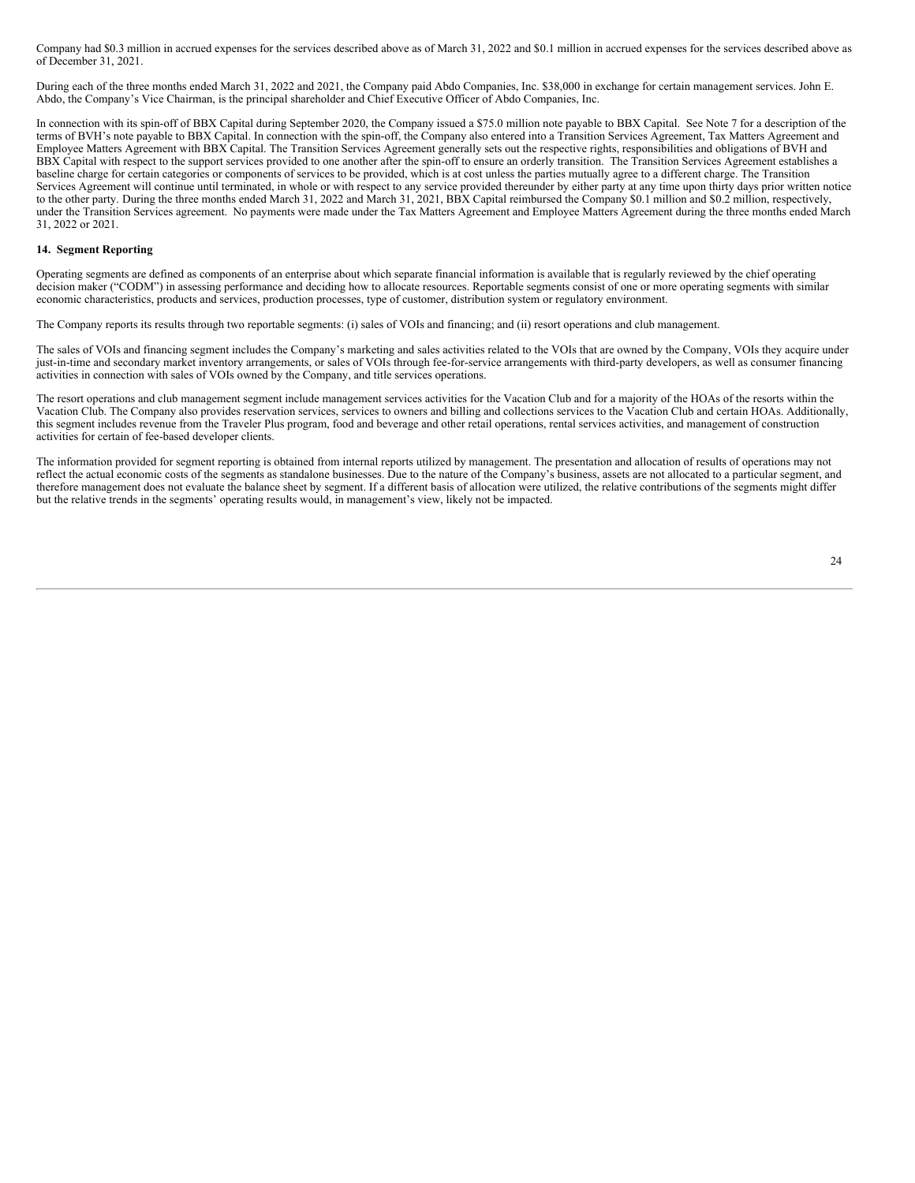Company had \$0.3 million in accrued expenses for the services described above as of March 31, 2022 and \$0.1 million in accrued expenses for the services described above as of December 31, 2021.

During each of the three months ended March 31, 2022 and 2021, the Company paid Abdo Companies, Inc. \$38,000 in exchange for certain management services. John E. Abdo, the Company's Vice Chairman, is the principal shareholder and Chief Executive Officer of Abdo Companies, Inc.

In connection with its spin-off of BBX Capital during September 2020, the Company issued a \$75.0 million note payable to BBX Capital. See Note 7 for a description of the terms of BVH's note payable to BBX Capital. In connection with the spin-off, the Company also entered into a Transition Services Agreement, Tax Matters Agreement and Employee Matters Agreement with BBX Capital. The Transition Services Agreement generally sets out the respective rights, responsibilities and obligations of BVH and BBX Capital with respect to the support services provided to one another after the spin-off to ensure an orderly transition. The Transition Services Agreement establishes a baseline charge for certain categories or components of services to be provided, which is at cost unless the parties mutually agree to a different charge. The Transition Services Agreement will continue until terminated, in whole or with respect to any service provided thereunder by either party at any time upon thirty days prior written notice to the other party. During the three months ended March 31, 2022 and March 31, 2021, BBX Capital reimbursed the Company \$0.1 million and \$0.2 million, respectively, under the Transition Services agreement. No payments were made under the Tax Matters Agreement and Employee Matters Agreement during the three months ended March 31, 2022 or 2021.

## **14. Segment Reporting**

Operating segments are defined as components of an enterprise about which separate financial information is available that is regularly reviewed by the chief operating decision maker ("CODM") in assessing performance and deciding how to allocate resources. Reportable segments consist of one or more operating segments with similar economic characteristics, products and services, production processes, type of customer, distribution system or regulatory environment.

The Company reports its results through two reportable segments: (i) sales of VOIs and financing; and (ii) resort operations and club management.

The sales of VOIs and financing segment includes the Company's marketing and sales activities related to the VOIs that are owned by the Company, VOIs they acquire under just-in-time and secondary market inventory arrangements, or sales of VOIs through fee-for-service arrangements with third-party developers, as well as consumer financing activities in connection with sales of VOIs owned by the Company, and title services operations.

The resort operations and club management segment include management services activities for the Vacation Club and for a majority of the HOAs of the resorts within the Vacation Club. The Company also provides reservation services, services to owners and billing and collections services to the Vacation Club and certain HOAs. Additionally, this segment includes revenue from the Traveler Plus program, food and beverage and other retail operations, rental services activities, and management of construction activities for certain of fee-based developer clients.

The information provided for segment reporting is obtained from internal reports utilized by management. The presentation and allocation of results of operations may not reflect the actual economic costs of the segments as standalone businesses. Due to the nature of the Company's business, assets are not allocated to a particular segment, and therefore management does not evaluate the balance sheet by segment. If a different basis of allocation were utilized, the relative contributions of the segments might differ but the relative trends in the segments' operating results would, in management's view, likely not be impacted.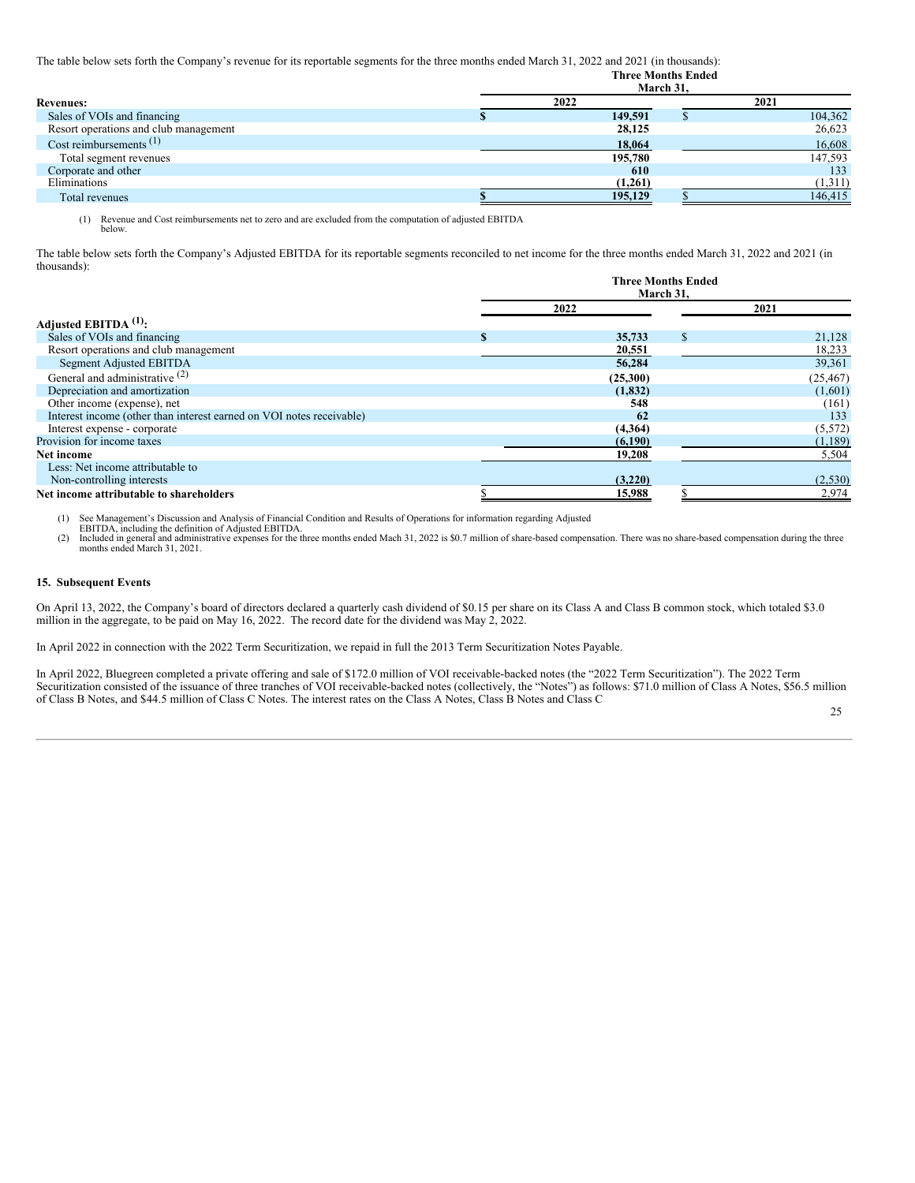The table below sets forth the Company's revenue for its reportable segments for the three months ended March 31, 2022 and 2021 (in thousands): **Three Months Ended**

|                                       | тите вления вичей<br>March 31. |         |  |         |  |  |
|---------------------------------------|--------------------------------|---------|--|---------|--|--|
| <b>Revenues:</b>                      |                                | 2022    |  | 2021    |  |  |
| Sales of VOIs and financing           |                                | 149.591 |  | 104,362 |  |  |
| Resort operations and club management |                                | 28,125  |  | 26,623  |  |  |
| Cost reimbursements $(1)$             |                                | 18,064  |  | 16,608  |  |  |
| Total segment revenues                |                                | 195,780 |  | 147,593 |  |  |
| Corporate and other                   |                                | 610     |  | 133     |  |  |
| Eliminations                          |                                | (1,261) |  | (1,311) |  |  |
| Total revenues                        |                                | 195,129 |  | 146,415 |  |  |

(1) Revenue and Cost reimbursements net to zero and are excluded from the computation of adjusted EBITDA below.

The table below sets forth the Company's Adjusted EBITDA for its reportable segments reconciled to net income for the three months ended March 31, 2022 and 2021 (in thousands):

| <b>Three Months Ended</b><br>March 31.                                     |           |
|----------------------------------------------------------------------------|-----------|
| 2022                                                                       | 2021      |
| Adjusted EBITDA $(1)$ :                                                    |           |
| Sales of VOIs and financing<br>$\mathbf{s}$<br>35,733                      | 21,128    |
| Resort operations and club management<br>20,551                            | 18,233    |
| Segment Adjusted EBITDA<br>56,284                                          | 39,361    |
| General and administrative (2)<br>(25,300)                                 | (25, 467) |
| Depreciation and amortization<br>(1, 832)                                  | (1,601)   |
| Other income (expense), net<br>548                                         | (161)     |
| Interest income (other than interest earned on VOI notes receivable)<br>62 | 133       |
| (4,364)<br>Interest expense - corporate                                    | (5, 572)  |
| Provision for income taxes<br>(6,190)                                      | (1, 189)  |
| Net income<br>19,208                                                       | 5,504     |
| Less: Net income attributable to                                           |           |
| (3,220)<br>Non-controlling interests                                       | (2,530)   |
| 15,988<br>Net income attributable to shareholders                          | 2,974     |

(1) See Management's Discussion and Analysis of Financial Condition and Results of Operations for information regarding Adjusted EBITDA, including the definition of Adjusted EBITDA.

(2) Included in general and administrative expenses for the three months ended Mach 31, 2022 is \$0.7 million of share-based compensation. There was no share-based compensation during the three months ended March 31, 2021.

## **15. Subsequent Events**

On April 13, 2022, the Company's board of directors declared a quarterly cash dividend of \$0.15 per share on its Class A and Class B common stock, which totaled \$3.0 million in the aggregate, to be paid on May 16, 2022. The record date for the dividend was May 2, 2022.

In April 2022 in connection with the 2022 Term Securitization, we repaid in full the 2013 Term Securitization Notes Payable.

In April 2022, Bluegreen completed a private offering and sale of \$172.0 million of VOI receivable-backed notes (the "2022 Term Securitization"). The 2022 Term Securitization consisted of the issuance of three tranches of VOI receivable-backed notes (collectively, the "Notes") as follows: \$71.0 million of Class A Notes, \$56.5 million of Class B Notes, and \$44.5 million of Class C Notes. The interest rates on the Class A Notes, Class B Notes and Class C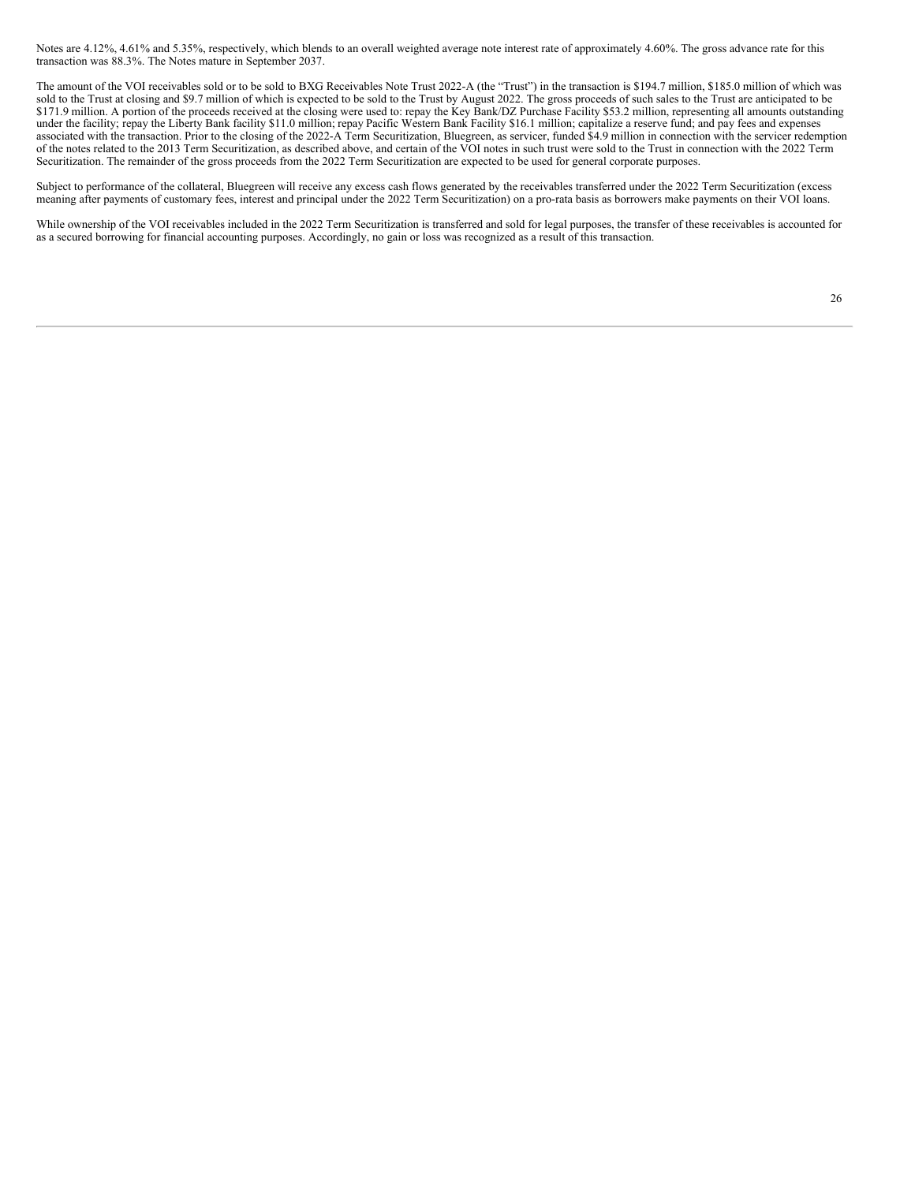Notes are 4.12%, 4.61% and 5.35%, respectively, which blends to an overall weighted average note interest rate of approximately 4.60%. The gross advance rate for this transaction was 88.3%. The Notes mature in September 2037.

The amount of the VOI receivables sold or to be sold to BXG Receivables Note Trust 2022-A (the "Trust") in the transaction is \$194.7 million, \$185.0 million of which was sold to the Trust at closing and \$9.7 million of which is expected to be sold to the Trust by August 2022. The gross proceeds of such sales to the Trust are anticipated to be \$171.9 million. A portion of the proceeds received at the closing were used to: repay the Key Bank/DZ Purchase Facility \$53.2 million, representing all amounts outstanding under the facility; repay the Liberty Bank facility \$11.0 million; repay Pacific Western Bank Facility \$16.1 million; capitalize a reserve fund; and pay fees and expenses associated with the transaction. Prior to the closing of the 2022-A Term Securitization, Bluegreen, as servicer, funded \$4.9 million in connection with the servicer redemption of the notes related to the 2013 Term Securitization, as described above, and certain of the VOI notes in such trust were sold to the Trust in connection with the 2022 Term Securitization. The remainder of the gross proceeds from the 2022 Term Securitization are expected to be used for general corporate purposes.

Subject to performance of the collateral, Bluegreen will receive any excess cash flows generated by the receivables transferred under the 2022 Term Securitization (excess meaning after payments of customary fees, interest and principal under the 2022 Term Securitization) on a pro-rata basis as borrowers make payments on their VOI loans.

While ownership of the VOI receivables included in the 2022 Term Securitization is transferred and sold for legal purposes, the transfer of these receivables is accounted for as a secured borrowing for financial accounting purposes. Accordingly, no gain or loss was recognized as a result of this transaction.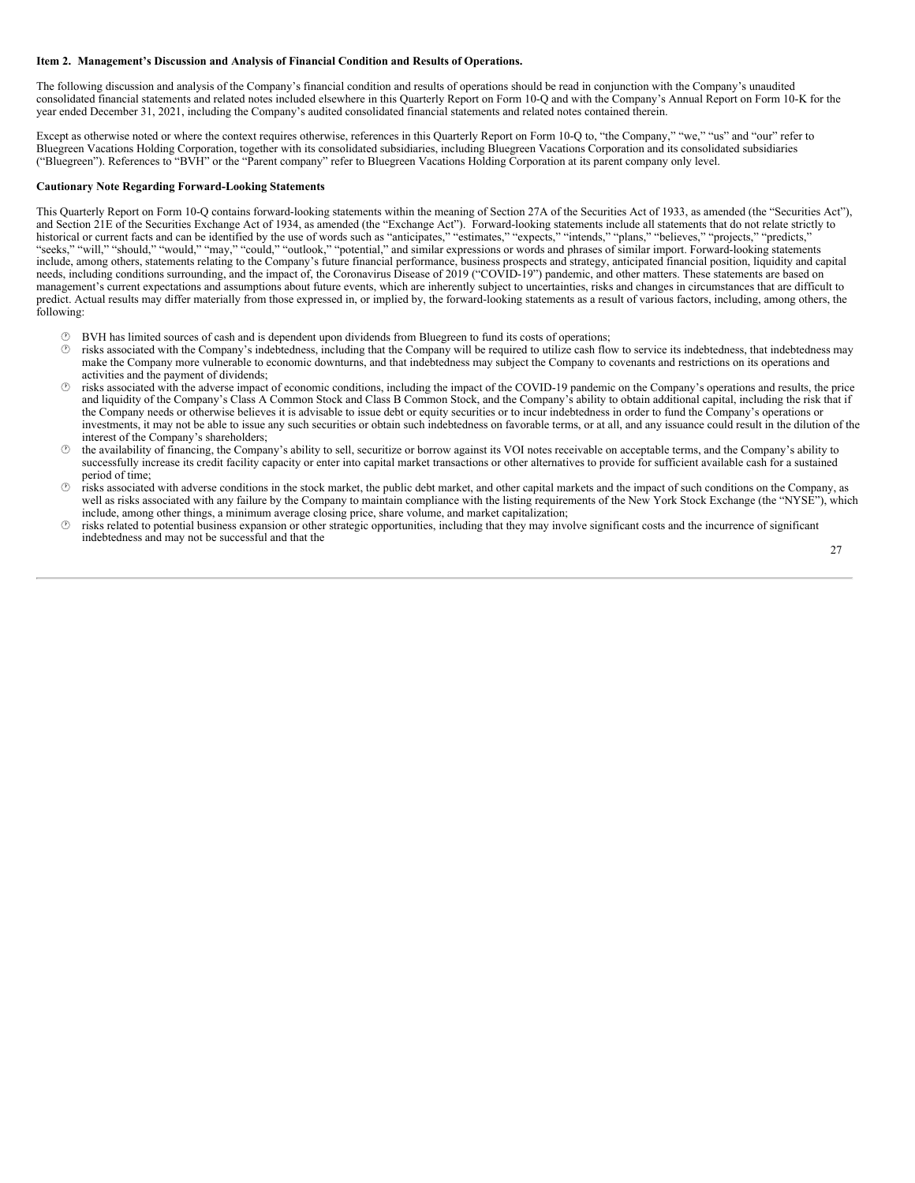#### <span id="page-26-0"></span>**Item 2. Management's Discussion and Analysis of Financial Condition and Results of Operations.**

The following discussion and analysis of the Company's financial condition and results of operations should be read in conjunction with the Company's unaudited consolidated financial statements and related notes included elsewhere in this Quarterly Report on Form 10-Q and with the Company's Annual Report on Form 10-K for the year ended December 31, 2021, including the Company's audited consolidated financial statements and related notes contained therein.

Except as otherwise noted or where the context requires otherwise, references in this Quarterly Report on Form 10-Q to, "the Company," "we," "us" and "our" refer to Bluegreen Vacations Holding Corporation, together with its consolidated subsidiaries, including Bluegreen Vacations Corporation and its consolidated subsidiaries ("Bluegreen"). References to "BVH" or the "Parent company" refer to Bluegreen Vacations Holding Corporation at its parent company only level.

## **Cautionary Note Regarding Forward-Looking Statements**

This Quarterly Report on Form 10-Q contains forward-looking statements within the meaning of Section 27A of the Securities Act of 1933, as amended (the "Securities Act"), and Section 21E of the Securities Exchange Act of 1934, as amended (the "Exchange Act"). Forward-looking statements include all statements that do not relate strictly to historical or current facts and can be identified by the use of words such as "anticipates," "estimates," "expects," "intends," "plans," "believes," "projects," "predicts," "seeks," "will," "should," "would," "may," "could," "outlook," "potential," and similar expressions or words and phrases of similar import. Forward-looking statements include, among others, statements relating to the Company's future financial performance, business prospects and strategy, anticipated financial position, liquidity and capital needs, including conditions surrounding, and the impact of, the Coronavirus Disease of 2019 ("COVID-19") pandemic, and other matters. These statements are based on management's current expectations and assumptions about future events, which are inherently subject to uncertainties, risks and changes in circumstances that are difficult to predict. Actual results may differ materially from those expressed in, or implied by, the forward-looking statements as a result of various factors, including, among others, the following:

- · BVH has limited sources of cash and is dependent upon dividends from Bluegreen to fund its costs of operations;
- $\circled{v}$  risks associated with the Company's indebtedness, including that the Company will be required to utilize cash flow to service its indebtedness, that indebtedness may make the Company more vulnerable to economic downturns, and that indebtedness may subject the Company to covenants and restrictions on its operations and activities and the payment of dividends;
- · risks associated with the adverse impact of economic conditions, including the impact of the COVID-19 pandemic on the Company's operations and results, the price and liquidity of the Company's Class A Common Stock and Class B Common Stock, and the Company's ability to obtain additional capital, including the risk that if the Company needs or otherwise believes it is advisable to issue debt or equity securities or to incur indebtedness in order to fund the Company's operations or investments, it may not be able to issue any such securities or obtain such indebtedness on favorable terms, or at all, and any issuance could result in the dilution of the interest of the Company's shareholders;
- · the availability of financing, the Company's ability to sell, securitize or borrow against its VOI notes receivable on acceptable terms, and the Company's ability to successfully increase its credit facility capacity or enter into capital market transactions or other alternatives to provide for sufficient available cash for a sustained period of time;
- $\circled{r}$  risks associated with adverse conditions in the stock market, the public debt market, and other capital markets and the impact of such conditions on the Company, as well as risks associated with any failure by the Company to maintain compliance with the listing requirements of the New York Stock Exchange (the "NYSE"), which include, among other things, a minimum average closing price, share volume, and market capitalization;
- · risks related to potential business expansion or other strategic opportunities, including that they may involve significant costs and the incurrence of significant indebtedness and may not be successful and that the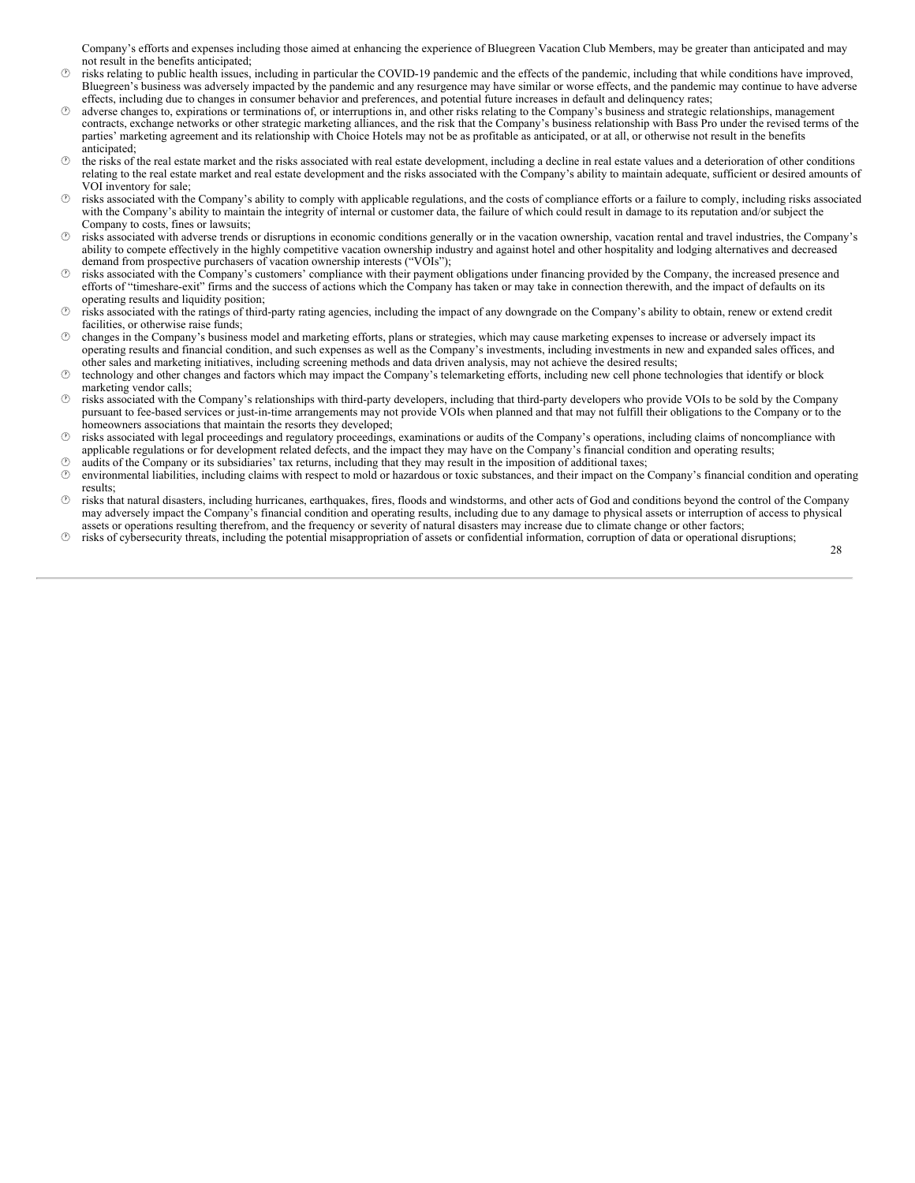Company's efforts and expenses including those aimed at enhancing the experience of Bluegreen Vacation Club Members, may be greater than anticipated and may not result in the benefits anticipated;

- · risks relating to public health issues, including in particular the COVID-19 pandemic and the effects of the pandemic, including that while conditions have improved, Bluegreen's business was adversely impacted by the pandemic and any resurgence may have similar or worse effects, and the pandemic may continue to have adverse effects, including due to changes in consumer behavior and preferences, and potential future increases in default and delinquency rates;
- $\circled{ }$  adverse changes to, expirations or terminations of, or interruptions in, and other risks relating to the Company's business and strategic relationships, management contracts, exchange networks or other strategic marketing alliances, and the risk that the Company's business relationship with Bass Pro under the revised terms of the parties' marketing agreement and its relationship with Choice Hotels may not be as profitable as anticipated, or at all, or otherwise not result in the benefits anticipated;
- the risks of the real estate market and the risks associated with real estate development, including a decline in real estate values and a deterioration of other conditions relating to the real estate market and real estate development and the risks associated with the Company's ability to maintain adequate, sufficient or desired amounts of VOI inventory for sale;
- · risks associated with the Company's ability to comply with applicable regulations, and the costs of compliance efforts or a failure to comply, including risks associated with the Company's ability to maintain the integrity of internal or customer data, the failure of which could result in damage to its reputation and/or subject the Company to costs, fines or lawsuits;
- $\circled{ }$  risks associated with adverse trends or disruptions in economic conditions generally or in the vacation ownership, vacation rental and travel industries, the Company's ability to compete effectively in the highly competitive vacation ownership industry and against hotel and other hospitality and lodging alternatives and decreased demand from prospective purchasers of vacation ownership interests ("VOIs");
- $\circled{b}$  risks associated with the Company's customers' compliance with their payment obligations under financing provided by the Company, the increased presence and efforts of "timeshare-exit" firms and the success of actions which the Company has taken or may take in connection therewith, and the impact of defaults on its operating results and liquidity position;
- $\circ$  risks associated with the ratings of third-party rating agencies, including the impact of any downgrade on the Company's ability to obtain, renew or extend credit facilities, or otherwise raise funds;
- · changes in the Company's business model and marketing efforts, plans or strategies, which may cause marketing expenses to increase or adversely impact its operating results and financial condition, and such expenses as well as the Company's investments, including investments in new and expanded sales offices, and other sales and marketing initiatives, including screening methods and data driven analysis, may not achieve the desired results;
- $\circled{}$  technology and other changes and factors which may impact the Company's telemarketing efforts, including new cell phone technologies that identify or block marketing vendor calls;
- $\circled{b}$  risks associated with the Company's relationships with third-party developers, including that third-party developers who provide VOIs to be sold by the Company pursuant to fee-based services or just-in-time arrangements may not provide VOIs when planned and that may not fulfill their obligations to the Company or to the homeowners associations that maintain the resorts they developed;
- · risks associated with legal proceedings and regulatory proceedings, examinations or audits of the Company's operations, including claims of noncompliance with applicable regulations or for development related defects, and the impact they may have on the Company's financial condition and operating results;
- audits of the Company or its subsidiaries' tax returns, including that they may result in the imposition of additional taxes;
- · environmental liabilities, including claims with respect to mold or hazardous or toxic substances, and their impact on the Company's financial condition and operating results;
- · risks that natural disasters, including hurricanes, earthquakes, fires, floods and windstorms, and other acts of God and conditions beyond the control of the Company may adversely impact the Company's financial condition and operating results, including due to any damage to physical assets or interruption of access to physical assets or operations resulting therefrom, and the frequency or severity of natural disasters may increase due to climate change or other factors;
- · risks of cybersecurity threats, including the potential misappropriation of assets or confidential information, corruption of data or operational disruptions;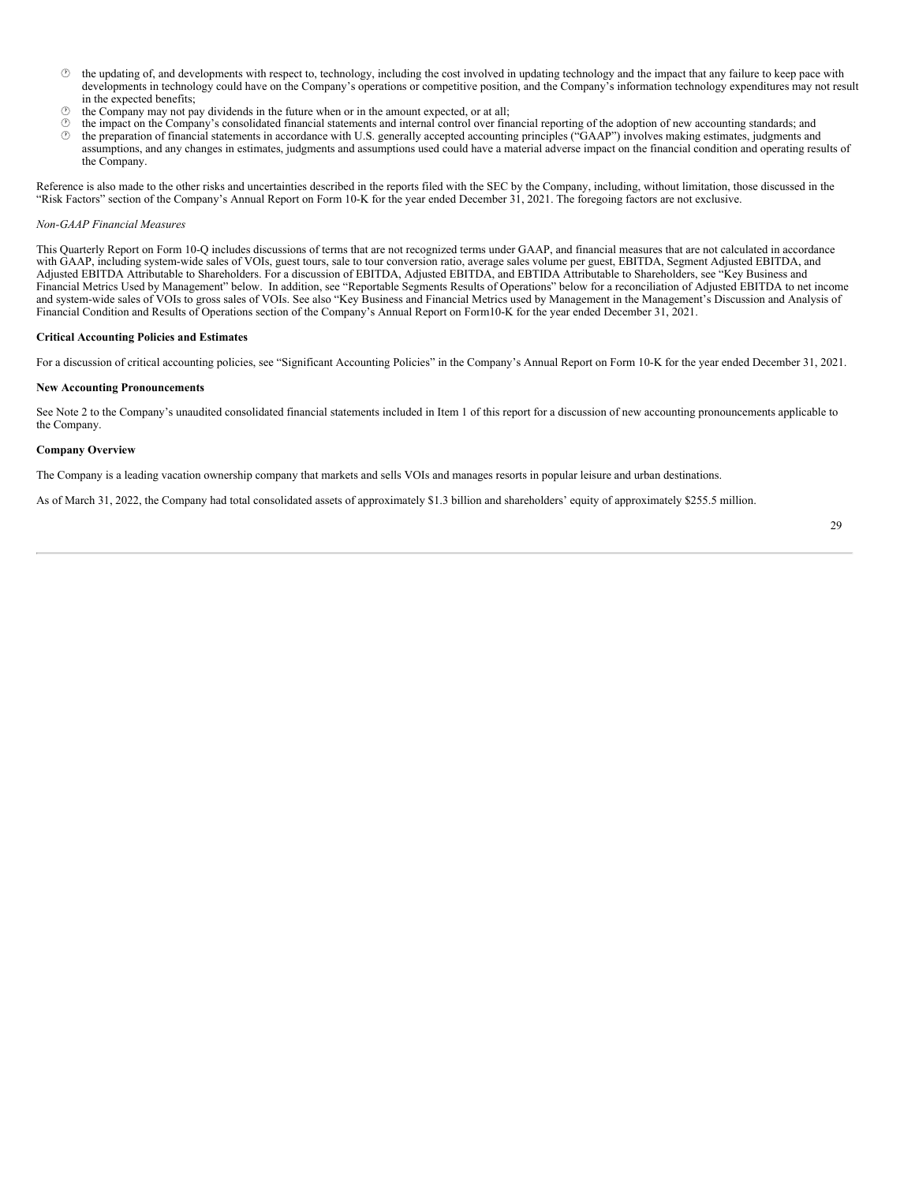- $<sup>①</sup>$  the updating of, and developments with respect to, technology, including the cost involved in updating technology and the impact that any failure to keep pace with</sup> developments in technology could have on the Company's operations or competitive position, and the Company's information technology expenditures may not result in the expected benefits;
- $\circled{r}$  the Company may not pay dividends in the future when or in the amount expected, or at all;<br> $\circled{r}$  the impact on the Company's consolidated financial statements and internal control over final
- $\circled{b}$  the impact on the Company's consolidated financial statements and internal control over financial reporting of the adoption of new accounting standards; and the preparation of financial statements in accordance w
- the preparation of financial statements in accordance with U.S. generally accepted accounting principles ("GAAP") involves making estimates, judgments and assumptions, and any changes in estimates, judgments and assumptions used could have a material adverse impact on the financial condition and operating results of the Company.

Reference is also made to the other risks and uncertainties described in the reports filed with the SEC by the Company, including, without limitation, those discussed in the "Risk Factors" section of the Company's Annual Report on Form 10-K for the year ended December 31, 2021. The foregoing factors are not exclusive.

#### *Non-GAAP Financial Measures*

This Quarterly Report on Form 10-Q includes discussions of terms that are not recognized terms under GAAP, and financial measures that are not calculated in accordance with GAAP, including system-wide sales of VOIs, guest tours, sale to tour conversion ratio, average sales volume per guest, EBITDA, Segment Adjusted EBITDA, and Adjusted EBITDA Attributable to Shareholders. For a discussion of EBITDA, Adjusted EBITDA, and EBTIDA Attributable to Shareholders, see "Key Business and Financial Metrics Used by Management" below. In addition, see "Reportable Segments Results of Operations" below for a reconciliation of Adjusted EBITDA to net income and system-wide sales of VOIs to gross sales of VOIs. See also "Key Business and Financial Metrics used by Management in the Management's Discussion and Analysis of Financial Condition and Results of Operations section of the Company's Annual Report on Form10-K for the year ended December 31, 2021.

#### **Critical Accounting Policies and Estimates**

For a discussion of critical accounting policies, see "Significant Accounting Policies" in the Company's Annual Report on Form 10-K for the year ended December 31, 2021.

#### **New Accounting Pronouncements**

See Note 2 to the Company's unaudited consolidated financial statements included in Item 1 of this report for a discussion of new accounting pronouncements applicable to the Company.

## **Company Overview**

The Company is a leading vacation ownership company that markets and sells VOIs and manages resorts in popular leisure and urban destinations.

As of March 31, 2022, the Company had total consolidated assets of approximately \$1.3 billion and shareholders' equity of approximately \$255.5 million.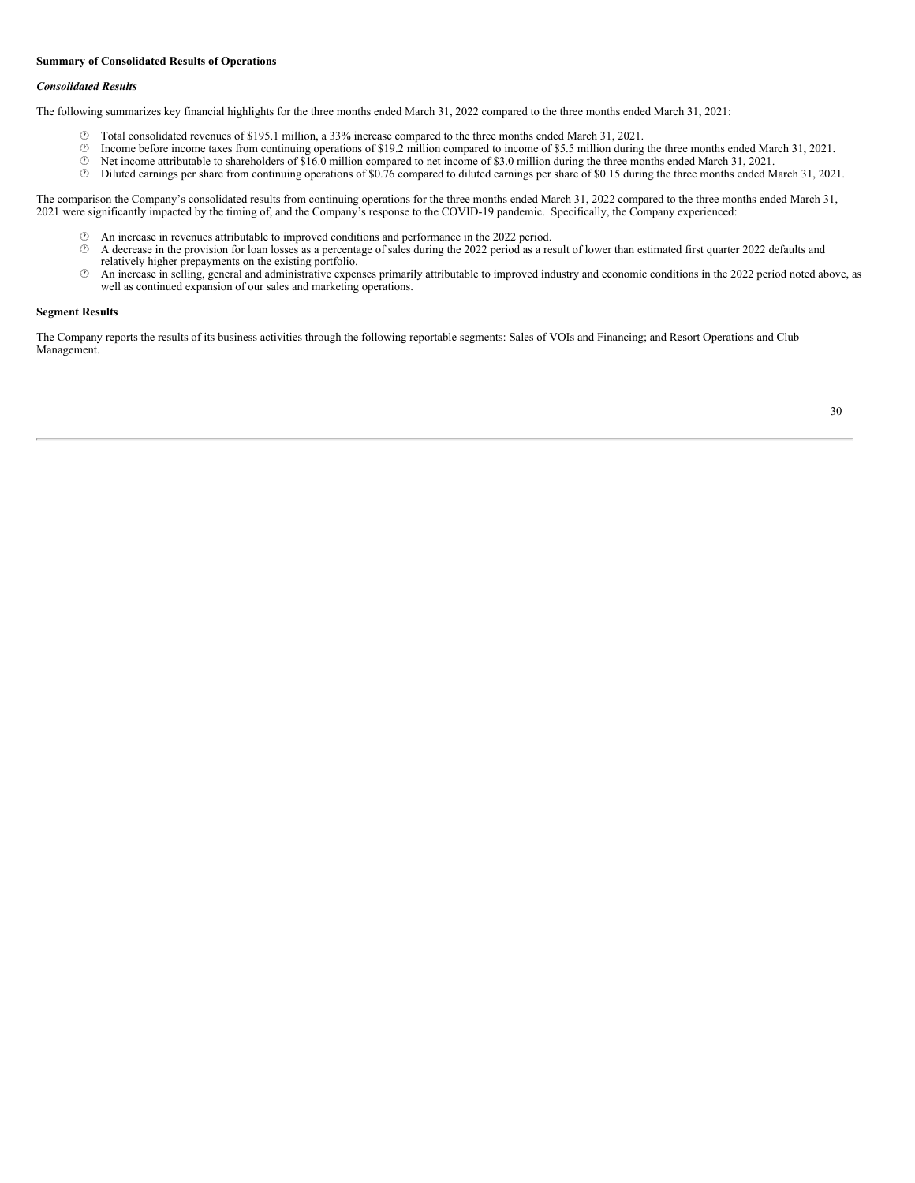#### **Summary of Consolidated Results of Operations**

#### *Consolidated Results*

The following summarizes key financial highlights for the three months ended March 31, 2022 compared to the three months ended March 31, 2021:

- · Total consolidated revenues of \$195.1 million, a 33% increase compared to the three months ended March 31, 2021.
- · Income before income taxes from continuing operations of \$19.2 million compared to income of \$5.5 million during the three months ended March 31, 2021.
- $\circled{b}$  Net income attributable to shareholders of \$16.0 million compared to net income of \$3.0 million during the three months ended March 31, 2021.<br> $\circled{b}$  Diluted earnings per share from continuing operations of \$0.7
- · Diluted earnings per share from continuing operations of \$0.76 compared to diluted earnings per share of \$0.15 during the three months ended March 31, 2021.

The comparison the Company's consolidated results from continuing operations for the three months ended March 31, 2022 compared to the three months ended March 31, 2021 were significantly impacted by the timing of, and the Company's response to the COVID-19 pandemic. Specifically, the Company experienced:

- $\circled{1}$  An increase in revenues attributable to improved conditions and performance in the 2022 period.<br> $\circled{1}$  A decrease in the provision for loan losses as a percentage of sales during the 2022 period as a re-
- · A decrease in the provision for loan losses as a percentage of sales during the 2022 period as a result of lower than estimated first quarter 2022 defaults and relatively higher prepayments on the existing portfolio.
- · An increase in selling, general and administrative expenses primarily attributable to improved industry and economic conditions in the 2022 period noted above, as well as continued expansion of our sales and marketing operations.

## **Segment Results**

The Company reports the results of its business activities through the following reportable segments: Sales of VOIs and Financing; and Resort Operations and Club Management.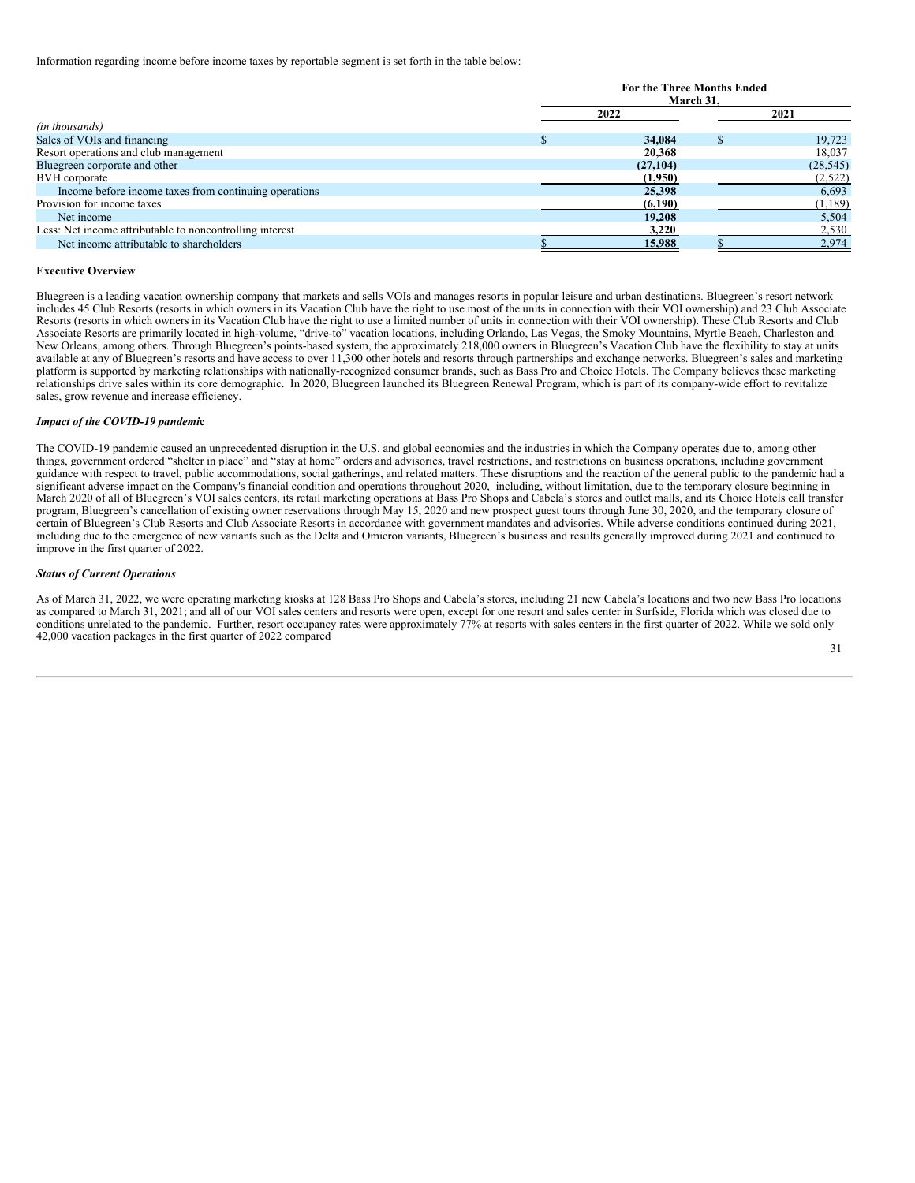Information regarding income before income taxes by reportable segment is set forth in the table below:

|                                                          | <b>For the Three Months Ended</b><br>March 31. |  |           |  |
|----------------------------------------------------------|------------------------------------------------|--|-----------|--|
|                                                          | 2022                                           |  | 2021      |  |
| (in thousands)                                           |                                                |  |           |  |
| Sales of VOIs and financing                              | 34,084                                         |  | 19,723    |  |
| Resort operations and club management                    | 20,368                                         |  | 18,037    |  |
| Bluegreen corporate and other                            | (27, 104)                                      |  | (28, 545) |  |
| BVH corporate                                            | (1,950)                                        |  | (2,522)   |  |
| Income before income taxes from continuing operations    | 25,398                                         |  | 6,693     |  |
| Provision for income taxes                               | (6,190)                                        |  | (1,189)   |  |
| Net income                                               | 19.208                                         |  | 5,504     |  |
| Less: Net income attributable to noncontrolling interest | 3,220                                          |  | 2,530     |  |
| Net income attributable to shareholders                  | 15,988                                         |  | 2,974     |  |

#### **Executive Overview**

Bluegreen is a leading vacation ownership company that markets and sells VOIs and manages resorts in popular leisure and urban destinations. Bluegreen's resort network includes 45 Club Resorts (resorts in which owners in its Vacation Club have the right to use most of the units in connection with their VOI ownership) and 23 Club Associate Resorts (resorts in which owners in its Vacation Club have the right to use a limited number of units in connection with their VOI ownership). These Club Resorts and Club Associate Resorts are primarily located in high-volume, "drive-to" vacation locations, including Orlando, Las Vegas, the Smoky Mountains, Myrtle Beach, Charleston and New Orleans, among others. Through Bluegreen's points-based system, the approximately 218,000 owners in Bluegreen's Vacation Club have the flexibility to stay at units available at any of Bluegreen's resorts and have access to over 11,300 other hotels and resorts through partnerships and exchange networks. Bluegreen's sales and marketing platform is supported by marketing relationships with nationally-recognized consumer brands, such as Bass Pro and Choice Hotels. The Company believes these marketing relationships drive sales within its core demographic. In 2020, Bluegreen launched its Bluegreen Renewal Program, which is part of its company-wide effort to revitalize sales, grow revenue and increase efficiency.

### *Impact of the COVID-19 pandemi***c**

The COVID-19 pandemic caused an unprecedented disruption in the U.S. and global economies and the industries in which the Company operates due to, among other things, government ordered "shelter in place" and "stay at home" orders and advisories, travel restrictions, and restrictions on business operations, including government guidance with respect to travel, public accommodations, social gatherings, and related matters. These disruptions and the reaction of the general public to the pandemic had a significant adverse impact on the Company's financial condition and operations throughout 2020, including, without limitation, due to the temporary closure beginning in March 2020 of all of Bluegreen's VOI sales centers, its retail marketing operations at Bass Pro Shops and Cabela's stores and outlet malls, and its Choice Hotels call transfer program, Bluegreen's cancellation of existing owner reservations through May 15, 2020 and new prospect guest tours through June 30, 2020, and the temporary closure of certain of Bluegreen's Club Resorts and Club Associate Resorts in accordance with government mandates and advisories. While adverse conditions continued during 2021, including due to the emergence of new variants such as the Delta and Omicron variants, Bluegreen's business and results generally improved during 2021 and continued to improve in the first quarter of 2022.

### *Status of Current Operations*

As of March 31, 2022, we were operating marketing kiosks at 128 Bass Pro Shops and Cabela's stores, including 21 new Cabela's locations and two new Bass Pro locations as compared to March 31, 2021; and all of our VOI sales centers and resorts were open, except for one resort and sales center in Surfside, Florida which was closed due to conditions unrelated to the pandemic. Further, resort occupancy rates were approximately  $77%$  at resorts with sales centers in the first quarter of 2022. While we sold only 42,000 vacation packages in the first quarter of 2022 compared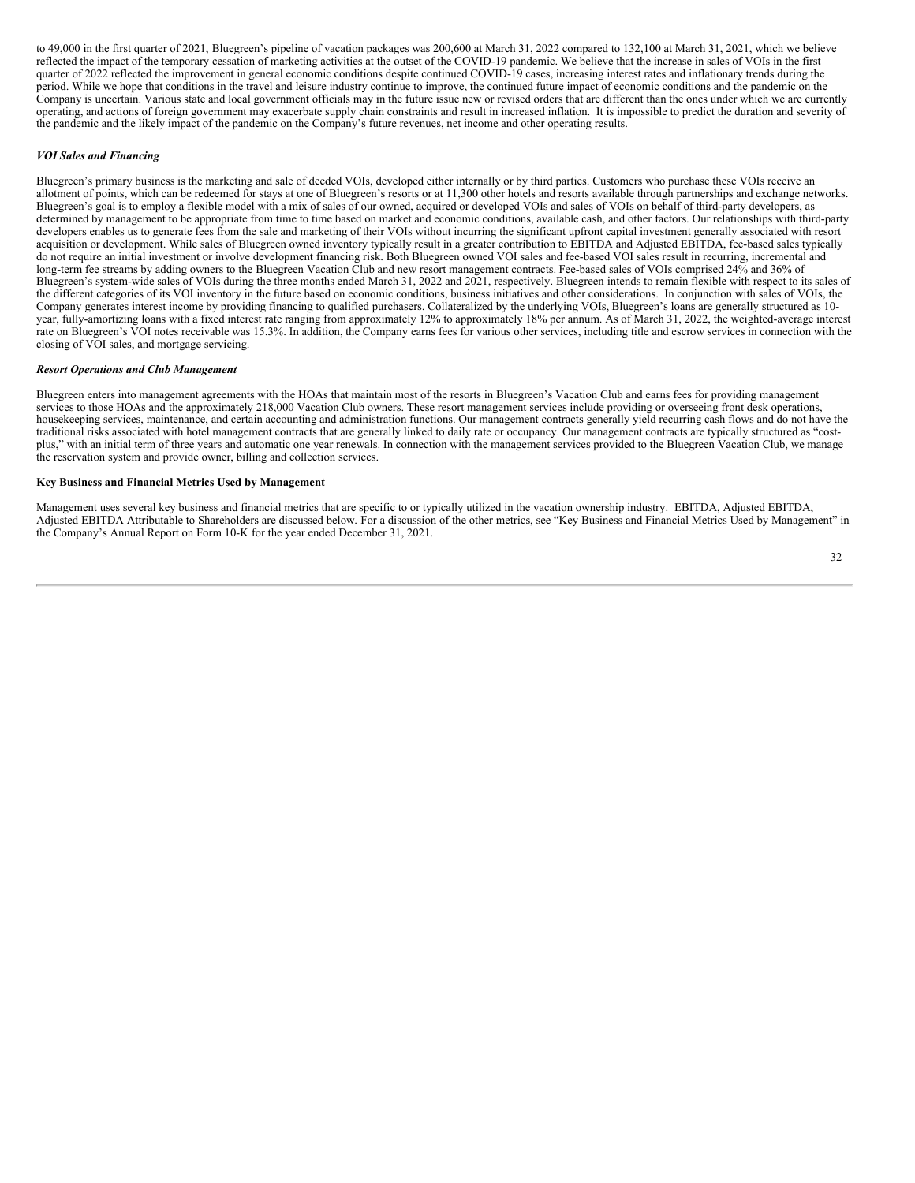to 49,000 in the first quarter of 2021, Bluegreen's pipeline of vacation packages was 200,600 at March 31, 2022 compared to 132,100 at March 31, 2021, which we believe reflected the impact of the temporary cessation of marketing activities at the outset of the COVID-19 pandemic. We believe that the increase in sales of VOIs in the first quarter of 2022 reflected the improvement in general economic conditions despite continued COVID-19 cases, increasing interest rates and inflationary trends during the period. While we hope that conditions in the travel and leisure industry continue to improve, the continued future impact of economic conditions and the pandemic on the Company is uncertain. Various state and local government officials may in the future issue new or revised orders that are different than the ones under which we are currently operating, and actions of foreign government may exacerbate supply chain constraints and result in increased inflation. It is impossible to predict the duration and severity of the pandemic and the likely impact of the pandemic on the Company's future revenues, net income and other operating results.

#### *VOI Sales and Financing*

Bluegreen's primary business is the marketing and sale of deeded VOIs, developed either internally or by third parties. Customers who purchase these VOIs receive an allotment of points, which can be redeemed for stays at one of Bluegreen's resorts or at 11,300 other hotels and resorts available through partnerships and exchange networks. Bluegreen's goal is to employ a flexible model with a mix of sales of our owned, acquired or developed VOIs and sales of VOIs on behalf of third-party developers, as determined by management to be appropriate from time to time based on market and economic conditions, available cash, and other factors. Our relationships with third-party developers enables us to generate fees from the sale and marketing of their VOIs without incurring the significant upfront capital investment generally associated with resort acquisition or development. While sales of Bluegreen owned inventory typically result in a greater contribution to EBITDA and Adjusted EBITDA, fee-based sales typically do not require an initial investment or involve development financing risk. Both Bluegreen owned VOI sales and fee-based VOI sales result in recurring, incremental and long-term fee streams by adding owners to the Bluegreen Vacation Club and new resort management contracts. Fee-based sales of VOIs comprised 24% and 36% of Bluegreen's system-wide sales of VOIs during the three months ended March 31, 2022 and 2021, respectively. Bluegreen intends to remain flexible with respect to its sales of the different categories of its VOI inventory in the future based on economic conditions, business initiatives and other considerations. In conjunction with sales of VOIs, the Company generates interest income by providing financing to qualified purchasers. Collateralized by the underlying VOIs, Bluegreen's loans are generally structured as 10 year, fully-amortizing loans with a fixed interest rate ranging from approximately 12% to approximately 18% per annum. As of March 31, 2022, the weighted-average interest rate on Bluegreen's VOI notes receivable was 15.3%. In addition, the Company earns fees for various other services, including title and escrow services in connection with the closing of VOI sales, and mortgage servicing.

#### *Resort Operations and Club Management*

Bluegreen enters into management agreements with the HOAs that maintain most of the resorts in Bluegreen's Vacation Club and earns fees for providing management services to those HOAs and the approximately 218,000 Vacation Club owners. These resort management services include providing or overseeing front desk operations, housekeeping services, maintenance, and certain accounting and administration functions. Our management contracts generally yield recurring cash flows and do not have the traditional risks associated with hotel management contracts that are generally linked to daily rate or occupancy. Our management contracts are typically structured as "costplus," with an initial term of three years and automatic one year renewals. In connection with the management services provided to the Bluegreen Vacation Club, we manage the reservation system and provide owner, billing and collection services.

### **Key Business and Financial Metrics Used by Management**

Management uses several key business and financial metrics that are specific to or typically utilized in the vacation ownership industry. EBITDA, Adjusted EBITDA, Adjusted EBITDA Attributable to Shareholders are discussed below. For a discussion of the other metrics, see "Key Business and Financial Metrics Used by Management" in the Company's Annual Report on Form 10-K for the year ended December 31, 2021.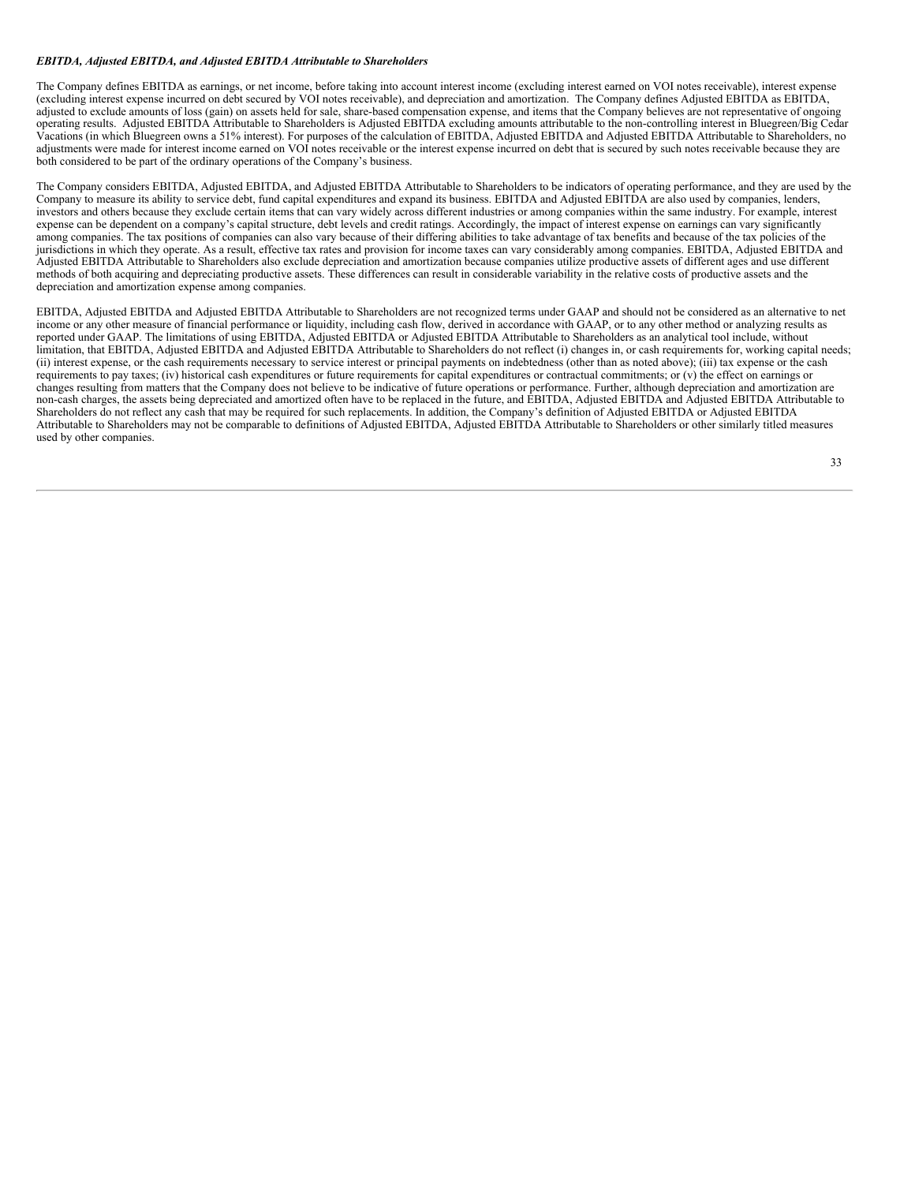#### *EBITDA, Adjusted EBITDA, and Adjusted EBITDA Attributable to Shareholders*

The Company defines EBITDA as earnings, or net income, before taking into account interest income (excluding interest earned on VOI notes receivable), interest expense (excluding interest expense incurred on debt secured by VOI notes receivable), and depreciation and amortization. The Company defines Adjusted EBITDA as EBITDA, adjusted to exclude amounts of loss (gain) on assets held for sale, share-based compensation expense, and items that the Company believes are not representative of ongoing operating results. Adjusted EBITDA Attributable to Shareholders is Adjusted EBITDA excluding amounts attributable to the non-controlling interest in Bluegreen/Big Cedar Vacations (in which Bluegreen owns a 51% interest). For purposes of the calculation of EBITDA, Adjusted EBITDA and Adjusted EBITDA Attributable to Shareholders, no adjustments were made for interest income earned on VOI notes receivable or the interest expense incurred on debt that is secured by such notes receivable because they are both considered to be part of the ordinary operations of the Company's business.

The Company considers EBITDA, Adjusted EBITDA, and Adjusted EBITDA Attributable to Shareholders to be indicators of operating performance, and they are used by the Company to measure its ability to service debt, fund capital expenditures and expand its business. EBITDA and Adjusted EBITDA are also used by companies, lenders, investors and others because they exclude certain items that can vary widely across different industries or among companies within the same industry. For example, interest expense can be dependent on a company's capital structure, debt levels and credit ratings. Accordingly, the impact of interest expense on earnings can vary significantly among companies. The tax positions of companies can also vary because of their differing abilities to take advantage of tax benefits and because of the tax policies of the jurisdictions in which they operate. As a result, effective tax rates and provision for income taxes can vary considerably among companies. EBITDA, Adjusted EBITDA and Adjusted EBITDA Attributable to Shareholders also exclude depreciation and amortization because companies utilize productive assets of different ages and use different methods of both acquiring and depreciating productive assets. These differences can result in considerable variability in the relative costs of productive assets and the depreciation and amortization expense among companies.

EBITDA, Adjusted EBITDA and Adjusted EBITDA Attributable to Shareholders are not recognized terms under GAAP and should not be considered as an alternative to net income or any other measure of financial performance or liquidity, including cash flow, derived in accordance with GAAP, or to any other method or analyzing results as reported under GAAP. The limitations of using EBITDA, Adjusted EBITDA or Adjusted EBITDA Attributable to Shareholders as an analytical tool include, without limitation, that EBITDA, Adjusted EBITDA and Adjusted EBITDA Attributable to Shareholders do not reflect (i) changes in, or cash requirements for, working capital needs; (ii) interest expense, or the cash requirements necessary to service interest or principal payments on indebtedness (other than as noted above); (iii) tax expense or the cash requirements to pay taxes; (iv) historical cash expenditures or future requirements for capital expenditures or contractual commitments; or  $(v)$  the effect on earnings or changes resulting from matters that the Company does not believe to be indicative of future operations or performance. Further, although depreciation and amortization are non-cash charges, the assets being depreciated and amortized often have to be replaced in the future, and EBITDA, Adjusted EBITDA and Adjusted EBITDA Attributable to Shareholders do not reflect any cash that may be required for such replacements. In addition, the Company's definition of Adjusted EBITDA or Adjusted EBITDA Attributable to Shareholders may not be comparable to definitions of Adjusted EBITDA, Adjusted EBITDA Attributable to Shareholders or other similarly titled measures used by other companies.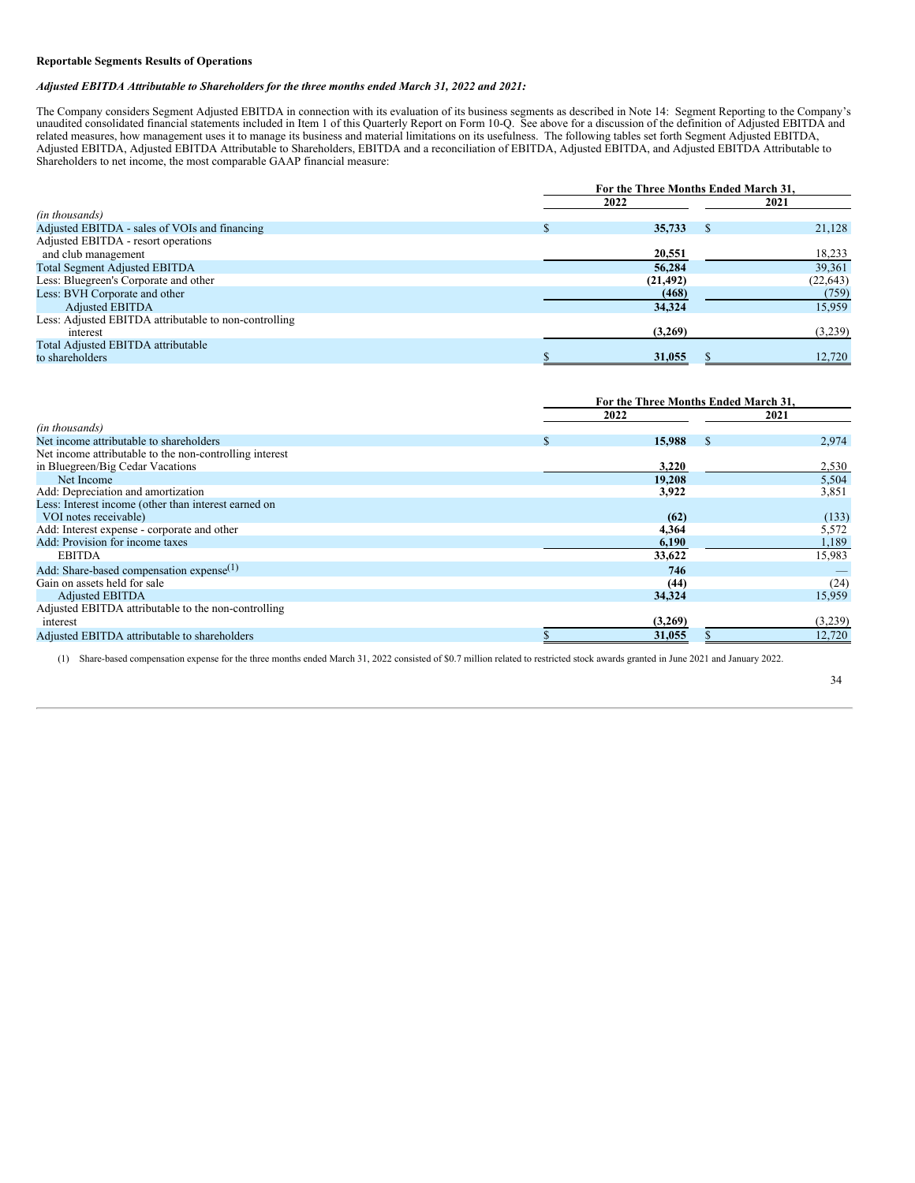#### **Reportable Segments Results of Operations**

## *Adjusted EBITDA Attributable to Shareholders for the three months ended March 31, 2022 and 2021:*

The Company considers Segment Adjusted EBITDA in connection with its evaluation of its business segments as described in Note 14: Segment Reporting to the Company's unaudited consolidated financial statements included in Item 1 of this Quarterly Report on Form 10-Q. See above for a discussion of the definition of Adjusted EBITDA and related measures, how management uses it to manage its business and material limitations on its usefulness. The following tables set forth Segment Adjusted EBITDA, Adjusted EBITDA, Adjusted EBITDA Attributable to Shareholders, EBITDA and a reconciliation of EBITDA, Adjusted EBITDA, and Adjusted EBITDA Attributable to Shareholders to net income, the most comparable GAAP financial measure:

|                                                       | For the Three Months Ended March 31, |  |           |  |
|-------------------------------------------------------|--------------------------------------|--|-----------|--|
|                                                       | 2022                                 |  | 2021      |  |
| (in thousands)                                        |                                      |  |           |  |
| Adjusted EBITDA - sales of VOIs and financing         | 35,733                               |  | 21,128    |  |
| Adjusted EBITDA - resort operations                   |                                      |  |           |  |
| and club management                                   | 20,551                               |  | 18,233    |  |
| <b>Total Segment Adjusted EBITDA</b>                  | 56,284                               |  | 39.361    |  |
| Less: Bluegreen's Corporate and other                 | (21, 492)                            |  | (22, 643) |  |
| Less: BVH Corporate and other                         | (468)                                |  | (759)     |  |
| <b>Adjusted EBITDA</b>                                | 34.324                               |  | 15,959    |  |
| Less: Adjusted EBITDA attributable to non-controlling |                                      |  |           |  |
| interest                                              | (3,269)                              |  | (3,239)   |  |
| Total Adjusted EBITDA attributable                    |                                      |  |           |  |
| to shareholders                                       | 31,055                               |  | 12,720    |  |

|                                                         | For the Three Months Ended March 31. |         |          |         |
|---------------------------------------------------------|--------------------------------------|---------|----------|---------|
|                                                         |                                      | 2022    | 2021     |         |
| (in thousands)                                          |                                      |         |          |         |
| Net income attributable to shareholders                 |                                      | 15,988  | <b>S</b> | 2,974   |
| Net income attributable to the non-controlling interest |                                      |         |          |         |
| in Bluegreen/Big Cedar Vacations                        |                                      | 3,220   |          | 2,530   |
| Net Income                                              |                                      | 19,208  |          | 5,504   |
| Add: Depreciation and amortization                      |                                      | 3,922   |          | 3,851   |
| Less: Interest income (other than interest earned on    |                                      |         |          |         |
| VOI notes receivable)                                   |                                      | (62)    |          | (133)   |
| Add: Interest expense - corporate and other             |                                      | 4,364   |          | 5,572   |
| Add: Provision for income taxes                         |                                      | 6,190   |          | 1,189   |
| <b>EBITDA</b>                                           |                                      | 33,622  |          | 15,983  |
| Add: Share-based compensation expense $(1)$             |                                      | 746     |          |         |
| Gain on assets held for sale                            |                                      | (44)    |          | (24)    |
| <b>Adjusted EBITDA</b>                                  |                                      | 34,324  |          | 15,959  |
| Adjusted EBITDA attributable to the non-controlling     |                                      |         |          |         |
| interest                                                |                                      | (3,269) |          | (3,239) |
| Adjusted EBITDA attributable to shareholders            |                                      | 31,055  |          | 12,720  |

(1) Share-based compensation expense for the three months ended March 31, 2022 consisted of \$0.7 million related to restricted stock awards granted in June 2021 and January 2022.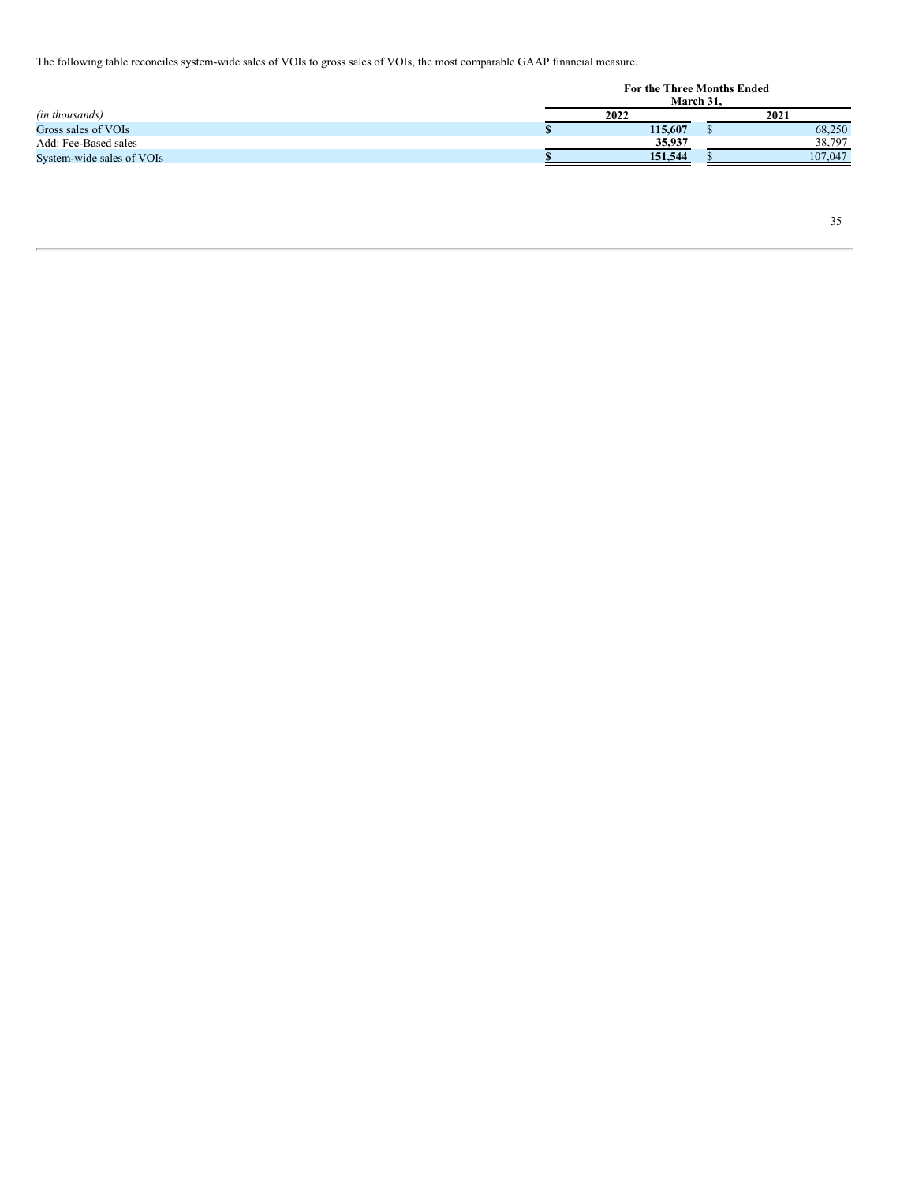The following table reconciles system-wide sales of VOIs to gross sales of VOIs, the most comparable GAAP financial measure.

|                           | <b>For the Three Months Ended</b><br>March 31. |         |  |         |  |
|---------------------------|------------------------------------------------|---------|--|---------|--|
| (in thousands)            |                                                | 2022    |  | 2021    |  |
| Gross sales of VOIs       |                                                | 115.607 |  | 68,250  |  |
| Add: Fee-Based sales      |                                                | 35,937  |  | 38,797  |  |
| System-wide sales of VOIs |                                                | 151,544 |  | 107.047 |  |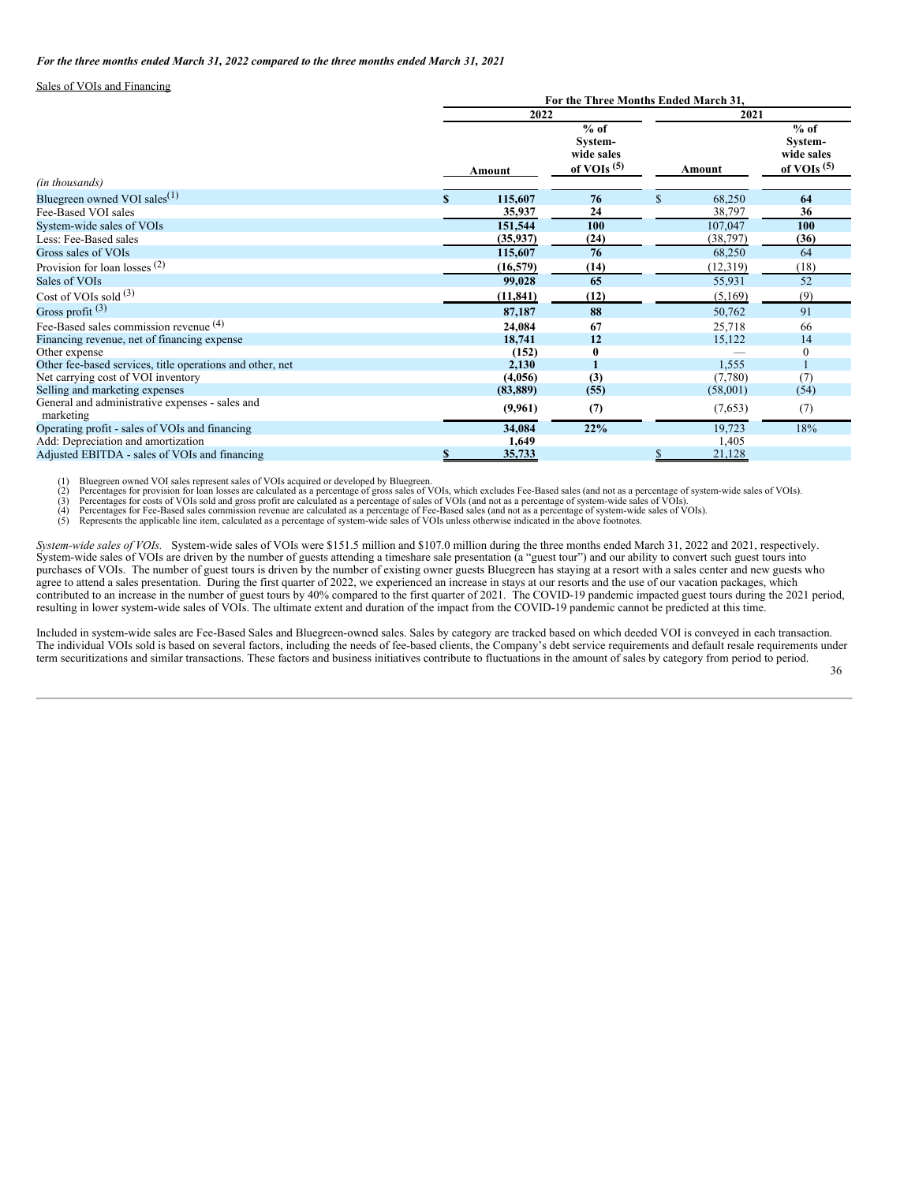### *For the three months ended March 31, 2022 compared to the three months ended March 31, 2021*

#### Sales of VOIs and Financing

|                                                              | For the Three Months Ended March 31, |                                                  |    |           |                                                           |  |
|--------------------------------------------------------------|--------------------------------------|--------------------------------------------------|----|-----------|-----------------------------------------------------------|--|
|                                                              | 2022                                 |                                                  |    | 2021      |                                                           |  |
|                                                              | Amount                               | $%$ of<br>System-<br>wide sales<br>of VOIs $(5)$ |    | Amount    | $%$ of<br>System-<br>wide sales<br>of VOIs <sup>(5)</sup> |  |
| (in thousands)                                               |                                      |                                                  |    |           |                                                           |  |
| Bluegreen owned VOI sales <sup>(1)</sup>                     | 115,607                              | 76                                               | \$ | 68,250    | 64                                                        |  |
| Fee-Based VOI sales                                          | 35,937                               | 24                                               |    | 38,797    | 36                                                        |  |
| System-wide sales of VOIs                                    | 151,544                              | <b>100</b>                                       |    | 107,047   | 100                                                       |  |
| Less: Fee-Based sales                                        | (35, 937)                            | (24)                                             |    | (38, 797) | (36)                                                      |  |
| Gross sales of VOIs                                          | 115,607                              | 76                                               |    | 68,250    | 64                                                        |  |
| Provision for loan losses $(2)$                              | (16, 579)                            | (14)                                             |    | (12,319)  | (18)                                                      |  |
| Sales of VOIs                                                | 99,028                               | 65                                               |    | 55,931    | 52                                                        |  |
| Cost of VOIs sold $(3)$                                      | (11, 841)                            | (12)                                             |    | (5,169)   | (9)                                                       |  |
| Gross profit $(3)$                                           | 87,187                               | 88                                               |    | 50,762    | 91                                                        |  |
| Fee-Based sales commission revenue (4)                       | 24,084                               | 67                                               |    | 25,718    | 66                                                        |  |
| Financing revenue, net of financing expense                  | 18,741                               | 12                                               |    | 15,122    | 14                                                        |  |
| Other expense                                                | (152)                                | $\mathbf{0}$                                     |    |           | $\theta$                                                  |  |
| Other fee-based services, title operations and other, net    | 2,130                                |                                                  |    | 1,555     |                                                           |  |
| Net carrying cost of VOI inventory                           | (4,056)                              | (3)                                              |    | (7,780)   | (7)                                                       |  |
| Selling and marketing expenses                               | (83, 889)                            | (55)                                             |    | (58,001)  | (54)                                                      |  |
| General and administrative expenses - sales and<br>marketing | (9,961)                              | (7)                                              |    | (7,653)   | (7)                                                       |  |
| Operating profit - sales of VOIs and financing               | 34,084                               | 22%                                              |    | 19,723    | 18%                                                       |  |
| Add: Depreciation and amortization                           | 1,649                                |                                                  |    | 1,405     |                                                           |  |
| Adjusted EBITDA - sales of VOIs and financing                | \$<br>35,733                         |                                                  | \$ | 21,128    |                                                           |  |

(1) Bluegreen owned VOI sales represent sales of VOIs acquired or developed by Bluegreen.<br>(2) Percentages for provision for loan losses are calculated as a percentage of gross sales of VOIs, which excludes Fee-Based sales

*System-wide sales of VOIs.* System-wide sales of VOIs were \$151.5 million and \$107.0 million during the three months ended March 31, 2022 and 2021, respectively. System-wide sales of VOIs are driven by the number of guests attending a timeshare sale presentation (a "guest tour") and our ability to convert such guest tours into

purchases of VOIs. The number of guest tours is driven by the number of existing owner guests Bluegreen has staying at a resort with a sales center and new guests who agree to attend a sales presentation. During the first quarter of 2022, we experienced an increase in stays at our resorts and the use of our vacation packages, which contributed to an increase in the number of guest tours by 40% compared to the first quarter of 2021. The COVID-19 pandemic impacted guest tours during the 2021 period, resulting in lower system-wide sales of VOIs. The ultimate extent and duration of the impact from the COVID-19 pandemic cannot be predicted at this time.

Included in system-wide sales are Fee-Based Sales and Bluegreen-owned sales. Sales by category are tracked based on which deeded VOI is conveyed in each transaction. The individual VOIs sold is based on several factors, including the needs of fee-based clients, the Company's debt service requirements and default resale requirements under term securitizations and similar transactions. These factors and business initiatives contribute to fluctuations in the amount of sales by category from period to period.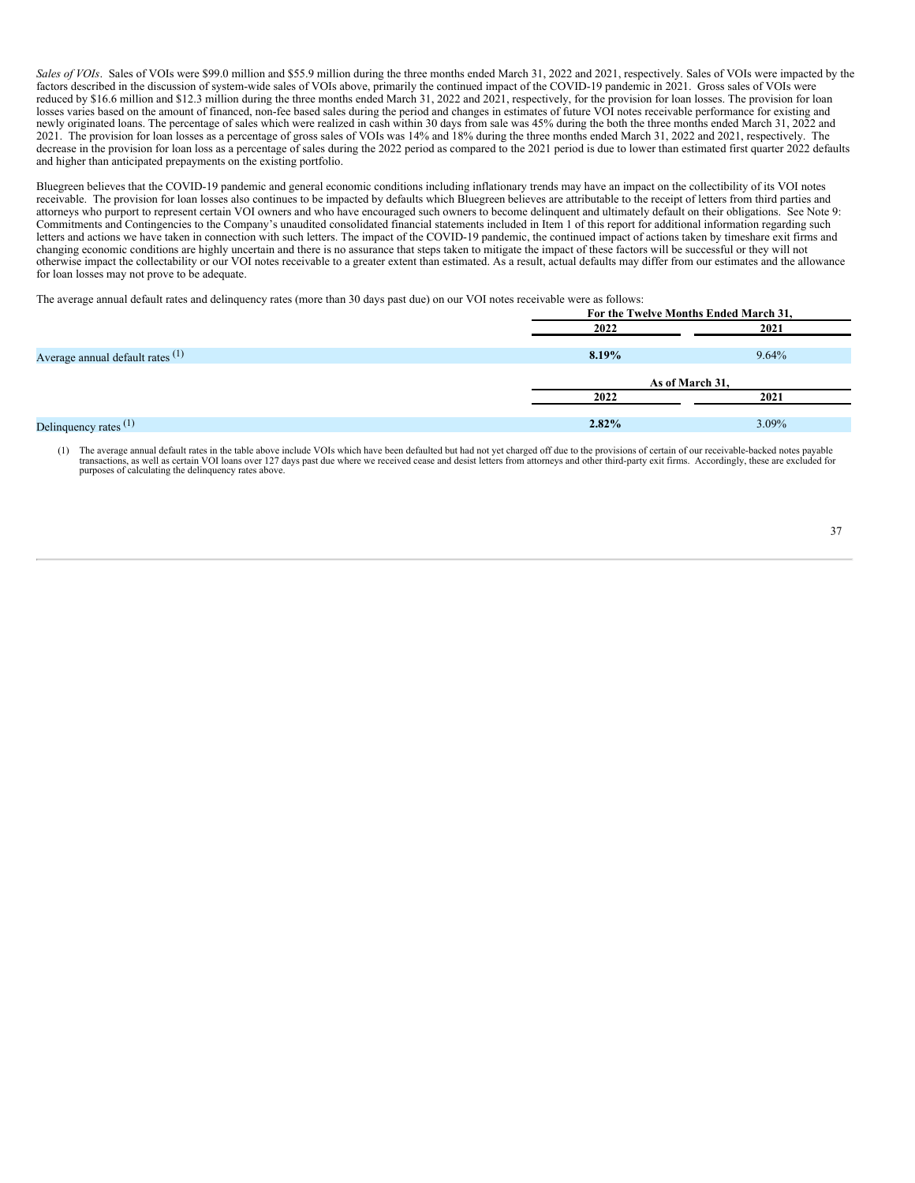Sales of *VOIs*. Sales of VOIs were \$99.0 million and \$55.9 million during the three months ended March 31, 2022 and 2021, respectively. Sales of VOIs were impacted by the factors described in the discussion of system-wide sales of VOIs above, primarily the continued impact of the COVID-19 pandemic in 2021. Gross sales of VOIs were reduced by \$16.6 million and \$12.3 million during the three months ended March 31, 2022 and 2021, respectively, for the provision for loan losses. The provision for loan losses varies based on the amount of financed, non-fee based sales during the period and changes in estimates of future VOI notes receivable performance for existing and newly originated loans. The percentage of sales which were realized in cash within 30 days from sale was 45% during the both the three months ended March 31, 2022 and 2021. The provision for loan losses as a percentage of gross sales of VOIs was 14% and 18% during the three months ended March 31, 2022 and 2021, respectively. The decrease in the provision for loan loss as a percentage of sales during the 2022 period as compared to the 2021 period is due to lower than estimated first quarter 2022 defaults and higher than anticipated prepayments on the existing portfolio.

Bluegreen believes that the COVID-19 pandemic and general economic conditions including inflationary trends may have an impact on the collectibility of its VOI notes receivable. The provision for loan losses also continues to be impacted by defaults which Bluegreen believes are attributable to the receipt of letters from third parties and attorneys who purport to represent certain VOI owners and who have encouraged such owners to become delinquent and ultimately default on their obligations. See Note 9: Commitments and Contingencies to the Company's unaudited consolidated financial statements included in Item 1 of this report for additional information regarding such letters and actions we have taken in connection with such letters. The impact of the COVID-19 pandemic, the continued impact of actions taken by timeshare exit firms and changing economic conditions are highly uncertain and there is no assurance that steps taken to mitigate the impact of these factors will be successful or they will not otherwise impact the collectability or our VOI notes receivable to a greater extent than estimated. As a result, actual defaults may differ from our estimates and the allowance for loan losses may not prove to be adequate.

The average annual default rates and delinquency rates (more than 30 days past due) on our VOI notes receivable were as follows:

|                                    | For the Twelve Months Ended March 31, |       |  |  |
|------------------------------------|---------------------------------------|-------|--|--|
|                                    | 2022                                  | 2021  |  |  |
| Average annual default rates $(1)$ | 8.19%                                 | 9.64% |  |  |
|                                    | As of March 31,                       |       |  |  |
|                                    | 2022                                  | 2021  |  |  |
| Delinquency rates $(1)$            | $2.82\%$                              | 3.09% |  |  |

(1) The average annual default rates in the table above include VOIs which have been defaulted but had not yet charged off due to the provisions of certain of our receivable-backed notes payable transactions, as well as certain VOI loans over 127 days past due where we received cease and desist letters from attorneys and other third-party exit firms. Accordingly, these are excluded for purposes of calculating the delinquency rates above.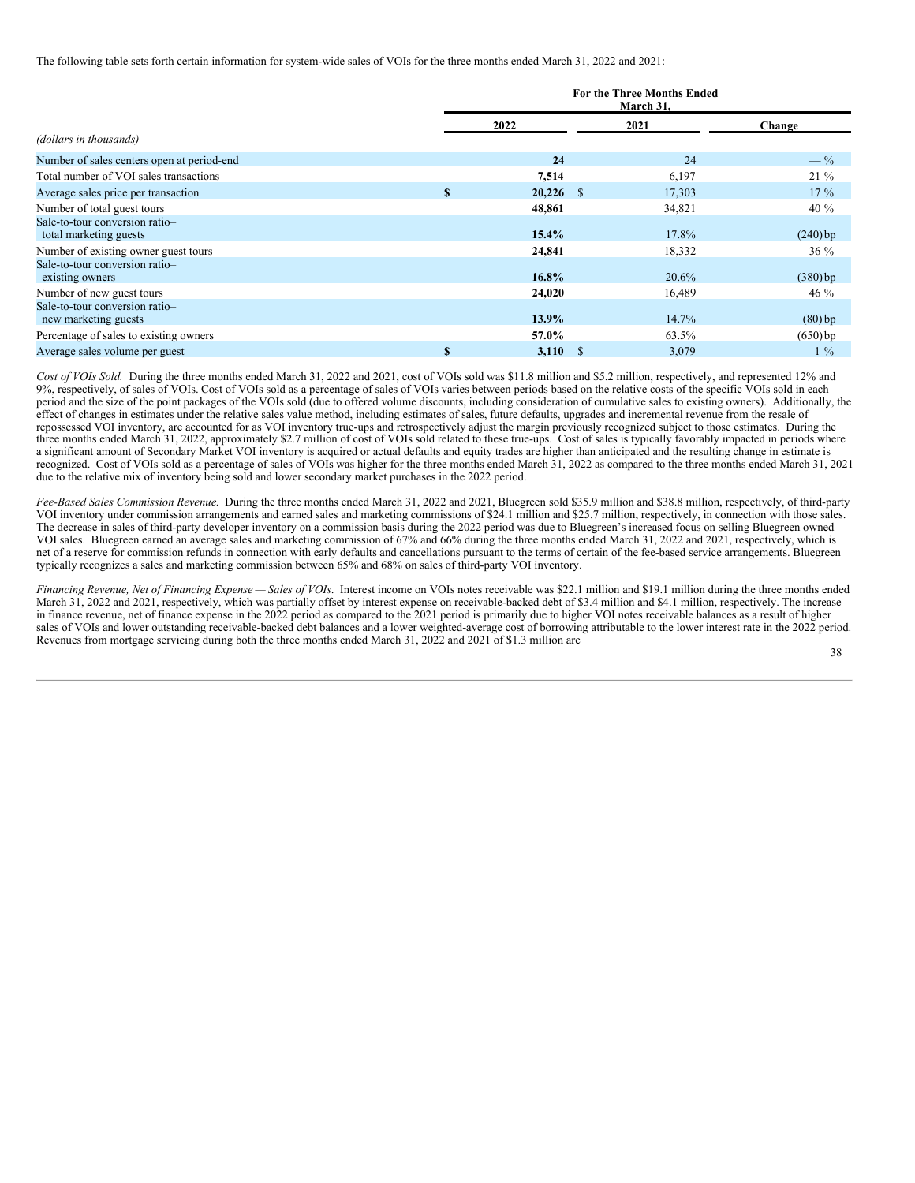The following table sets forth certain information for system-wide sales of VOIs for the three months ended March 31, 2022 and 2021:

|                                                          |              | <b>For the Three Months Ended</b><br>March 31, |        |                 |  |  |
|----------------------------------------------------------|--------------|------------------------------------------------|--------|-----------------|--|--|
|                                                          |              | 2022                                           | 2021   | Change          |  |  |
| (dollars in thousands)                                   |              |                                                |        |                 |  |  |
| Number of sales centers open at period-end               |              | 24                                             | 24     | $- \frac{6}{6}$ |  |  |
| Total number of VOI sales transactions                   |              | 7,514                                          | 6,197  | $21\%$          |  |  |
| Average sales price per transaction                      | $\mathbf{S}$ | $20,226$ \$                                    | 17,303 | $17\%$          |  |  |
| Number of total guest tours                              |              | 48,861                                         | 34,821 | $40\%$          |  |  |
| Sale-to-tour conversion ratio-<br>total marketing guests |              | 15.4%                                          | 17.8%  | (240)bp         |  |  |
| Number of existing owner guest tours                     |              | 24,841                                         | 18,332 | $36\%$          |  |  |
| Sale-to-tour conversion ratio-<br>existing owners        |              | 16.8%                                          | 20.6%  | (380)bp         |  |  |
| Number of new guest tours                                |              | 24,020                                         | 16,489 | $46\%$          |  |  |
| Sale-to-tour conversion ratio-<br>new marketing guests   |              | 13.9%                                          | 14.7%  | $(80)$ bp       |  |  |
| Percentage of sales to existing owners                   |              | 57.0%                                          | 63.5%  | (650)bp         |  |  |
| Average sales volume per guest                           | $\mathbf{s}$ | $3,110$ \$                                     | 3,079  | $1\%$           |  |  |

*Cost of VOIs Sold.* During the three months ended March 31, 2022 and 2021, cost of VOIs sold was \$11.8 million and \$5.2 million, respectively, and represented 12% and 9%, respectively, of sales of VOIs. Cost of VOIs sold as a percentage of sales of VOIs varies between periods based on the relative costs of the specific VOIs sold in each period and the size of the point packages of the VOIs sold (due to offered volume discounts, including consideration of cumulative sales to existing owners). Additionally, the effect of changes in estimates under the relative sales value method, including estimates of sales, future defaults, upgrades and incremental revenue from the resale of repossessed VOI inventory, are accounted for as VOI inventory true-ups and retrospectively adjust the margin previously recognized subject to those estimates. During the three months ended March 31, 2022, approximately \$2.7 million of cost of VOIs sold related to these true-ups. Cost of sales is typically favorably impacted in periods where a significant amount of Secondary Market VOI inventory is acquired or actual defaults and equity trades are higher than anticipated and the resulting change in estimate is recognized. Cost of VOIs sold as a percentage of sales of VOIs was higher for the three months ended March 31, 2022 as compared to the three months ended March 31, 2021 due to the relative mix of inventory being sold and lower secondary market purchases in the 2022 period.

*Fee-Based Sales Commission Revenue.* During the three months ended March 31, 2022 and 2021, Bluegreen sold \$35.9 million and \$38.8 million, respectively, of third-party VOI inventory under commission arrangements and earned sales and marketing commissions of \$24.1 million and \$25.7 million, respectively, in connection with those sales. The decrease in sales of third-party developer inventory on a commission basis during the 2022 period was due to Bluegreen's increased focus on selling Bluegreen owned VOI sales. Bluegreen earned an average sales and marketing commission of 67% and 66% during the three months ended March 31, 2022 and 2021, respectively, which is net of a reserve for commission refunds in connection with early defaults and cancellations pursuant to the terms of certain of the fee-based service arrangements. Bluegreen typically recognizes a sales and marketing commission between 65% and 68% on sales of third-party VOI inventory.

Financing Revenue, Net of Financing Expense - Sales of VOIs. Interest income on VOIs notes receivable was \$22.1 million and \$19.1 million during the three months ended March 31, 2022 and 2021, respectively, which was partially offset by interest expense on receivable-backed debt of \$3.4 million and \$4.1 million, respectively. The increase in finance revenue, net of finance expense in the 2022 period as compared to the 2021 period is primarily due to higher VOI notes receivable balances as a result of higher sales of VOIs and lower outstanding receivable-backed debt balances and a lower weighted-average cost of borrowing attributable to the lower interest rate in the 2022 period. Revenues from mortgage servicing during both the three months ended March 31, 2022 and 2021 of \$1.3 million are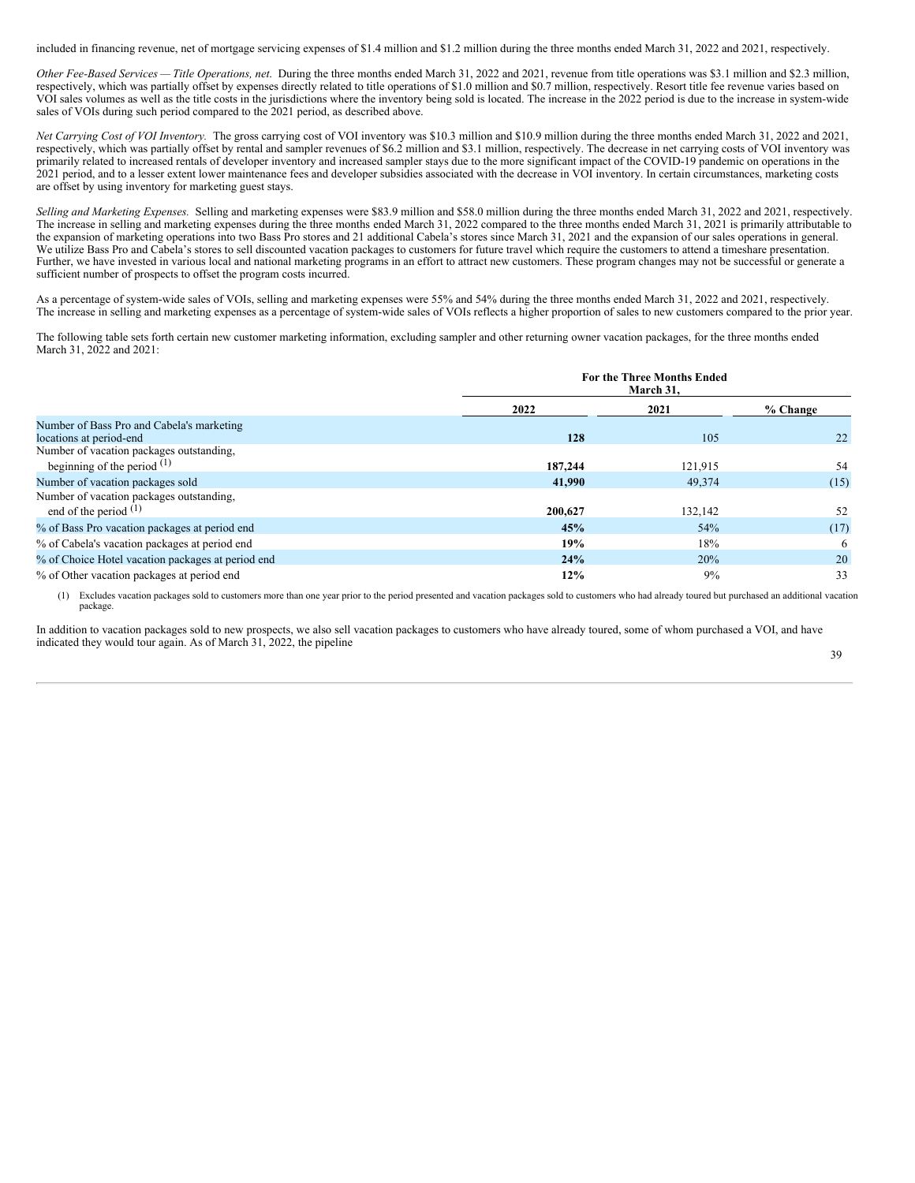included in financing revenue, net of mortgage servicing expenses of \$1.4 million and \$1.2 million during the three months ended March 31, 2022 and 2021, respectively.

*Other Fee-Based Services — Title Operations, net*. During the three months ended March 31, 2022 and 2021, revenue from title operations was \$3.1 million and \$2.3 million, respectively, which was partially offset by expenses directly related to title operations of \$1.0 million and \$0.7 million, respectively. Resort title fee revenue varies based on VOI sales volumes as well as the title costs in the jurisdictions where the inventory being sold is located. The increase in the 2022 period is due to the increase in system-wide sales of VOIs during such period compared to the 2021 period, as described above.

*Net Carrying Cost of VOI Inventory.* The gross carrying cost of VOI inventory was \$10.3 million and \$10.9 million during the three months ended March 31, 2022 and 2021, respectively, which was partially offset by rental and sampler revenues of \$6.2 million and \$3.1 million, respectively. The decrease in net carrying costs of VOI inventory was primarily related to increased rentals of developer inventory and increased sampler stays due to the more significant impact of the COVID-19 pandemic on operations in the 2021 period, and to a lesser extent lower maintenance fees and developer subsidies associated with the decrease in VOI inventory. In certain circumstances, marketing costs are offset by using inventory for marketing guest stays.

*Selling and Marketing Expenses.* Selling and marketing expenses were \$83.9 million and \$58.0 million during the three months ended March 31, 2022 and 2021, respectively. The increase in selling and marketing expenses during the three months ended March 31, 2022 compared to the three months ended March 31, 2021 is primarily attributable to the expansion of marketing operations into two Bass Pro stores and 21 additional Cabela's stores since March 31, 2021 and the expansion of our sales operations in general. We utilize Bass Pro and Cabela's stores to sell discounted vacation packages to customers for future travel which require the customers to attend a timeshare presentation. Further, we have invested in various local and national marketing programs in an effort to attract new customers. These program changes may not be successful or generate a sufficient number of prospects to offset the program costs incurred.

As a percentage of system-wide sales of VOIs, selling and marketing expenses were 55% and 54% during the three months ended March 31, 2022 and 2021, respectively. The increase in selling and marketing expenses as a percentage of system-wide sales of VOIs reflects a higher proportion of sales to new customers compared to the prior year.

The following table sets forth certain new customer marketing information, excluding sampler and other returning owner vacation packages, for the three months ended March 31, 2022 and 2021:

|                                                                           |         | For the Three Months Ended<br>March 31. |            |  |  |
|---------------------------------------------------------------------------|---------|-----------------------------------------|------------|--|--|
|                                                                           | 2022    | 2021                                    | $%$ Change |  |  |
| Number of Bass Pro and Cabela's marketing<br>locations at period-end      | 128     | 105                                     | 22         |  |  |
| Number of vacation packages outstanding,<br>beginning of the period $(1)$ |         |                                         |            |  |  |
|                                                                           | 187,244 | 121,915                                 | 54         |  |  |
| Number of vacation packages sold                                          | 41,990  | 49,374                                  | (15)       |  |  |
| Number of vacation packages outstanding,                                  |         |                                         |            |  |  |
| end of the period $(1)$                                                   | 200,627 | 132,142                                 | 52         |  |  |
| % of Bass Pro vacation packages at period end                             | 45%     | 54%                                     | (17)       |  |  |
| % of Cabela's vacation packages at period end                             | 19%     | 18%                                     | 6          |  |  |
| % of Choice Hotel vacation packages at period end                         | 24%     | 20%                                     | 20         |  |  |
| % of Other vacation packages at period end                                | 12%     | 9%                                      | 33         |  |  |

(1) Excludes vacation packages sold to customers more than one year prior to the period presented and vacation packages sold to customers who had already toured but purchased an additional vacation package.

In addition to vacation packages sold to new prospects, we also sell vacation packages to customers who have already toured, some of whom purchased a VOI, and have indicated they would tour again. As of March 31, 2022, the pipeline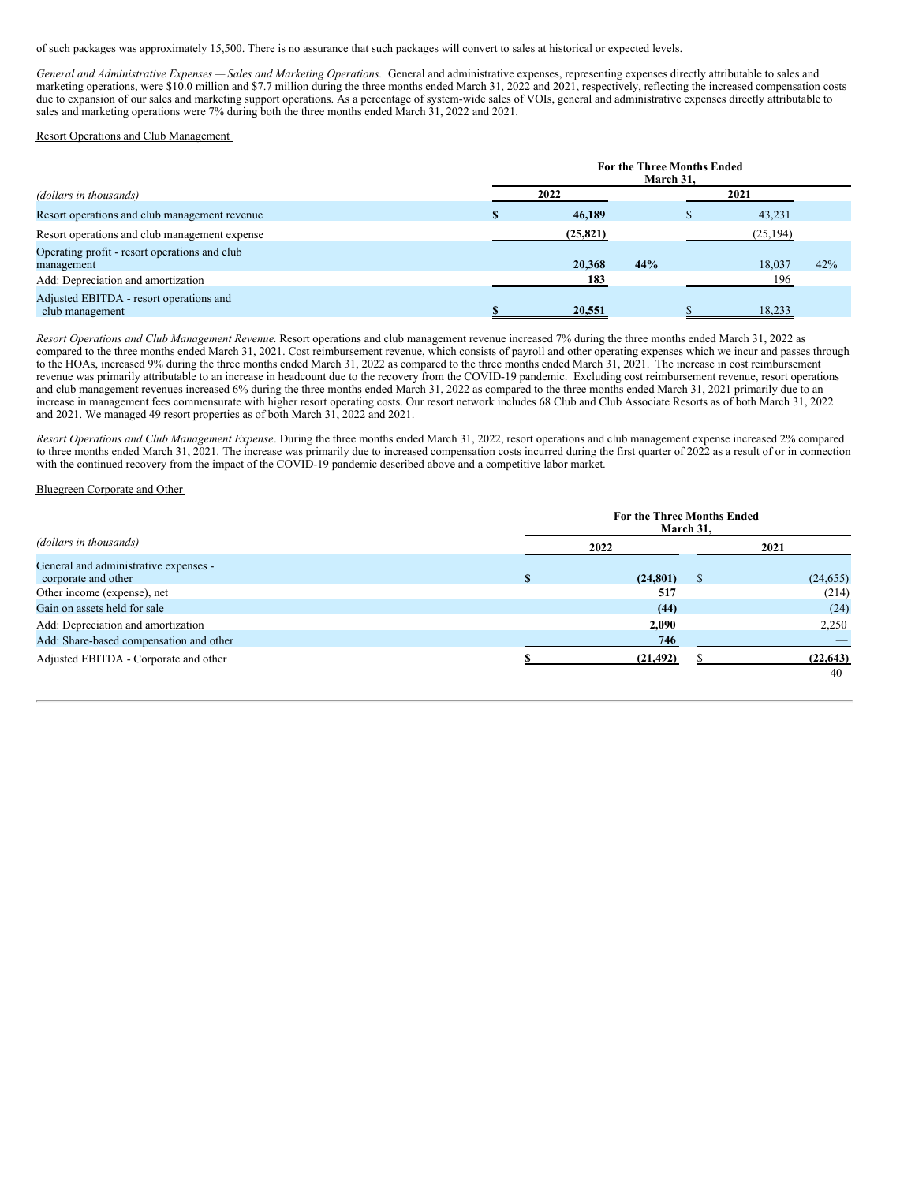of such packages was approximately 15,500. There is no assurance that such packages will convert to sales at historical or expected levels.

General and Administrative Expenses - Sales and Marketing Operations. General and administrative expenses, representing expenses directly attributable to sales and marketing operations, were \$10.0 million and \$7.7 million during the three months ended March 31, 2022 and 2021, respectively, reflecting the increased compensation costs due to expansion of our sales and marketing support operations. As a percentage of system-wide sales of VOIs, general and administrative expenses directly attributable to sales and marketing operations were 7% during both the three months ended March 31, 2022 and 2021.

#### Resort Operations and Club Management

|                                                             | <b>For the Three Months Ended</b><br>March 31. |     |  |           |     |  |
|-------------------------------------------------------------|------------------------------------------------|-----|--|-----------|-----|--|
| (dollars in thousands)                                      | 2022                                           |     |  | 2021      |     |  |
| Resort operations and club management revenue               | 46,189                                         |     |  | 43,231    |     |  |
| Resort operations and club management expense               | (25, 821)                                      |     |  | (25, 194) |     |  |
| Operating profit - resort operations and club<br>management | 20.368                                         | 44% |  | 18.037    | 42% |  |
| Add: Depreciation and amortization                          | 183                                            |     |  | 196       |     |  |
| Adjusted EBITDA - resort operations and<br>club management  | 20,551                                         |     |  | 18,233    |     |  |

*Resort Operations and Club Management Revenue.* Resort operations and club management revenue increased 7% during the three months ended March 31, 2022 as compared to the three months ended March 31, 2021. Cost reimbursement revenue, which consists of payroll and other operating expenses which we incur and passes through to the HOAs, increased 9% during the three months ended March 31, 2022 as compared to the three months ended March 31, 2021. The increase in cost reimbursement revenue was primarily attributable to an increase in headcount due to the recovery from the COVID-19 pandemic. Excluding cost reimbursement revenue, resort operations and club management revenues increased 6% during the three months ended March 31, 2022 as compared to the three months ended March 31, 2021 primarily due to an increase in management fees commensurate with higher resort operating costs. Our resort network includes 68 Club and Club Associate Resorts as of both March 31, 2022 and 2021. We managed 49 resort properties as of both March 31, 2022 and 2021.

*Resort Operations and Club Management Expense*. During the three months ended March 31, 2022, resort operations and club management expense increased 2% compared to three months ended March 31, 2021. The increase was primarily due to increased compensation costs incurred during the first quarter of 2022 as a result of or in connection with the continued recovery from the impact of the COVID-19 pandemic described above and a competitive labor market.

Bluegreen Corporate and Other

|                                                              | <b>For the Three Months Ended</b><br>March 31, |  |                 |  |  |
|--------------------------------------------------------------|------------------------------------------------|--|-----------------|--|--|
| (dollars in thousands)                                       | 2022                                           |  | 2021            |  |  |
| General and administrative expenses -<br>corporate and other | (24, 801)                                      |  | (24, 655)       |  |  |
| Other income (expense), net                                  | 517                                            |  | (214)           |  |  |
| Gain on assets held for sale                                 | (44)                                           |  | (24)            |  |  |
| Add: Depreciation and amortization                           | 2,090                                          |  | 2,250           |  |  |
| Add: Share-based compensation and other                      | 746                                            |  |                 |  |  |
| Adjusted EBITDA - Corporate and other                        | (21, 492)                                      |  | (22, 643)<br>40 |  |  |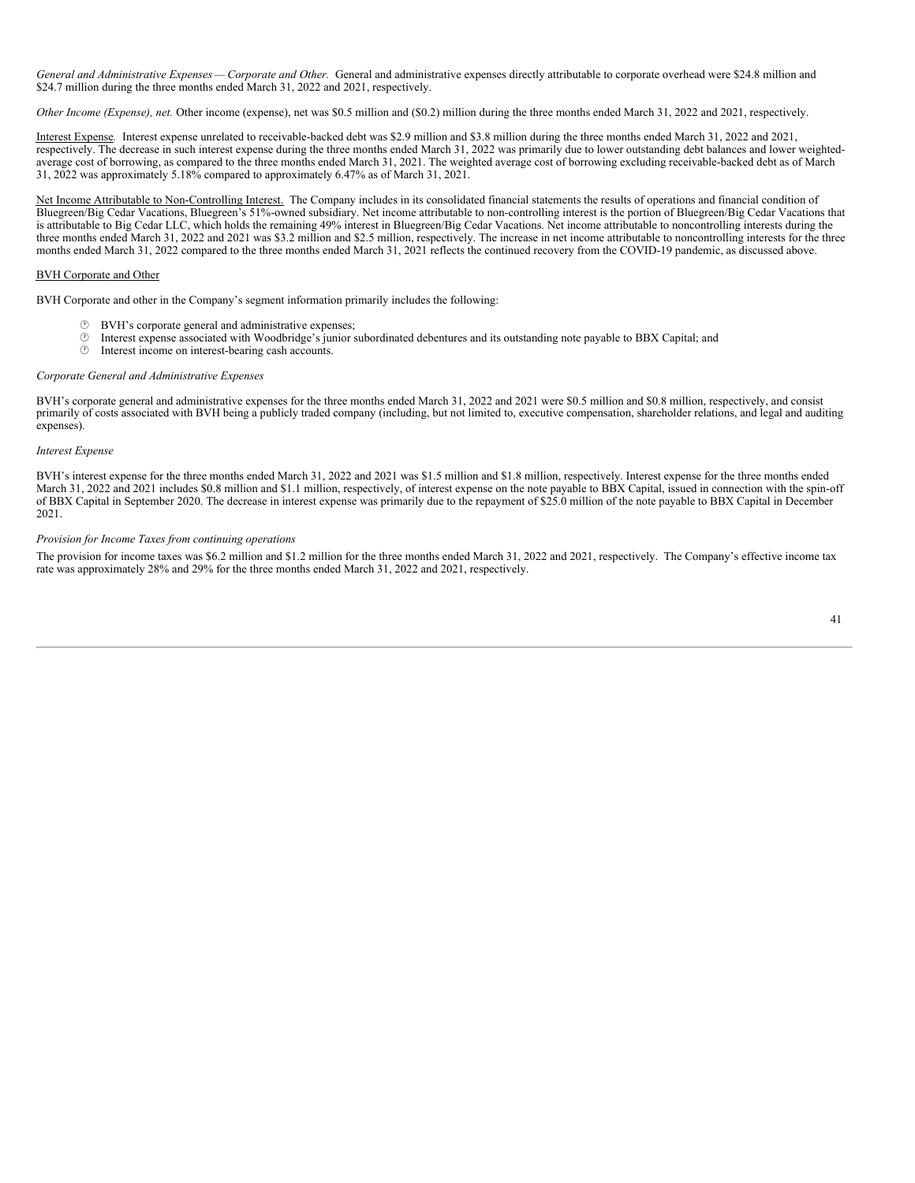*General and Administrative Expenses — Corporate and Other.* General and administrative expenses directly attributable to corporate overhead were \$24.8 million and \$24.7 million during the three months ended March 31, 2022 and 2021, respectively.

*Other Income (Expense), net.* Other income (expense), net was \$0.5 million and (\$0.2) million during the three months ended March 31, 2022 and 2021, respectively.

Interest Expense*.* Interest expense unrelated to receivable-backed debt was \$2.9 million and \$3.8 million during the three months ended March 31, 2022 and 2021, respectively. The decrease in such interest expense during the three months ended March 31, 2022 was primarily due to lower outstanding debt balances and lower weightedaverage cost of borrowing, as compared to the three months ended March 31, 2021. The weighted average cost of borrowing excluding receivable-backed debt as of March 31, 2022 was approximately 5.18% compared to approximately 6.47% as of March 31, 2021.

Net Income Attributable to Non-Controlling Interest. The Company includes in its consolidated financial statements the results of operations and financial condition of Bluegreen/Big Cedar Vacations, Bluegreen's 51%-owned subsidiary. Net income attributable to non-controlling interest is the portion of Bluegreen/Big Cedar Vacations that is attributable to Big Cedar LLC, which holds the remaining 49% interest in Bluegreen/Big Cedar Vacations. Net income attributable to noncontrolling interests during the three months ended March 31, 2022 and 2021 was \$3.2 million and \$2.5 million, respectively. The increase in net income attributable to noncontrolling interests for the three months ended March 31, 2022 compared to the three months ended March 31, 2021 reflects the continued recovery from the COVID-19 pandemic, as discussed above.

## BVH Corporate and Other

BVH Corporate and other in the Company's segment information primarily includes the following:

- $\circled{P}$  BVH's corporate general and administrative expenses;<br> $\circled{P}$  Interest expense associated with Woodbridge's junior
- $\circled{r}$  Interest expense associated with Woodbridge's junior subordinated debentures and its outstanding note payable to BBX Capital; and  $\circled{r}$
- Interest income on interest-bearing cash accounts.

## *Corporate General and Administrative Expenses*

BVH's corporate general and administrative expenses for the three months ended March 31, 2022 and 2021 were \$0.5 million and \$0.8 million, respectively, and consist primarily of costs associated with BVH being a publicly traded company (including, but not limited to, executive compensation, shareholder relations, and legal and auditing expenses).

### *Interest Expense*

BVH's interest expense for the three months ended March 31, 2022 and 2021 was \$1.5 million and \$1.8 million, respectively. Interest expense for the three months ended March 31, 2022 and 2021 includes \$0.8 million and \$1.1 million, respectively, of interest expense on the note payable to BBX Capital, issued in connection with the spin-off of BBX Capital in September 2020. The decrease in interest expense was primarily due to the repayment of \$25.0 million of the note payable to BBX Capital in December 2021.

#### *Provision for Income Taxes from continuing operations*

The provision for income taxes was \$6.2 million and \$1.2 million for the three months ended March 31, 2022 and 2021, respectively. The Company's effective income tax rate was approximately 28% and 29% for the three months ended March 31, 2022 and 2021, respectively.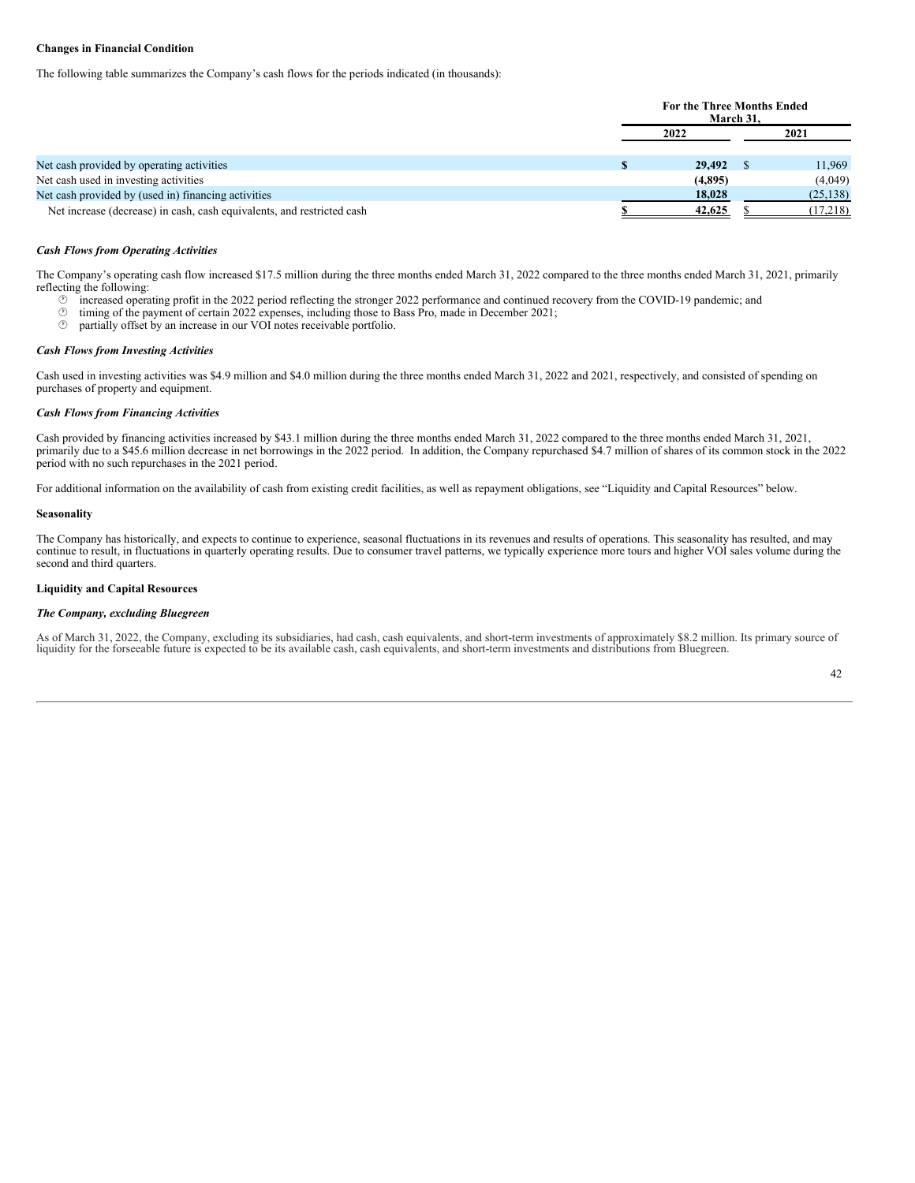## **Changes in Financial Condition**

The following table summarizes the Company's cash flows for the periods indicated (in thousands):

|                                                                        | <b>For the Three Months Ended</b><br>March 31. |  |           |  |
|------------------------------------------------------------------------|------------------------------------------------|--|-----------|--|
|                                                                        | 2022                                           |  | 2021      |  |
| Net cash provided by operating activities                              | 29,492                                         |  | 11,969    |  |
| Net cash used in investing activities                                  | (4,895)                                        |  | (4,049)   |  |
| Net cash provided by (used in) financing activities                    | 18,028                                         |  | (25, 138) |  |
| Net increase (decrease) in cash, cash equivalents, and restricted cash | 42,625                                         |  | (17,218)  |  |

#### *Cash Flows from Operating Activities*

The Company's operating cash flow increased \$17.5 million during the three months ended March 31, 2022 compared to the three months ended March 31, 2021, primarily reflecting the following:

- $\circled{1}$  increased operating profit in the 2022 period reflecting the stronger 2022 performance and continued recovery from the COVID-19 pandemic; and  $\circled{1}$  timing of the payment of certain 2022 expenses, including tho
- $\circled{1}$  timing of the payment of certain 2022 expenses, including those to Bass Pro, made in December 2021;<br> $\circled{1}$  partially offset by an increase in our VOI notes receivable portfolio.
- partially offset by an increase in our VOI notes receivable portfolio.

#### *Cash Flows from Investing Activities*

Cash used in investing activities was \$4.9 million and \$4.0 million during the three months ended March 31, 2022 and 2021, respectively, and consisted of spending on purchases of property and equipment.

#### *Cash Flows from Financing Activities*

Cash provided by financing activities increased by \$43.1 million during the three months ended March 31, 2022 compared to the three months ended March 31, 2021, primarily due to a \$45.6 million decrease in net borrowings in the 2022 period. In addition, the Company repurchased \$4.7 million of shares of its common stock in the 2022 period with no such repurchases in the 2021 period.

For additional information on the availability of cash from existing credit facilities, as well as repayment obligations, see "Liquidity and Capital Resources" below.

#### **Seasonality**

The Company has historically, and expects to continue to experience, seasonal fluctuations in its revenues and results of operations. This seasonality has resulted, and may continue to result, in fluctuations in quarterly operating results. Due to consumer travel patterns, we typically experience more tours and higher VOI sales volume during the second and third quarters.

### **Liquidity and Capital Resources**

#### *The Company, excluding Bluegreen*

As of March 31, 2022, the Company, excluding its subsidiaries, had cash, cash equivalents, and short-term investments of approximately \$8.2 million. Its primary source of liquidity for the forseeable future is expected to be its available cash, cash equivalents, and short-term investments and distributions from Bluegreen.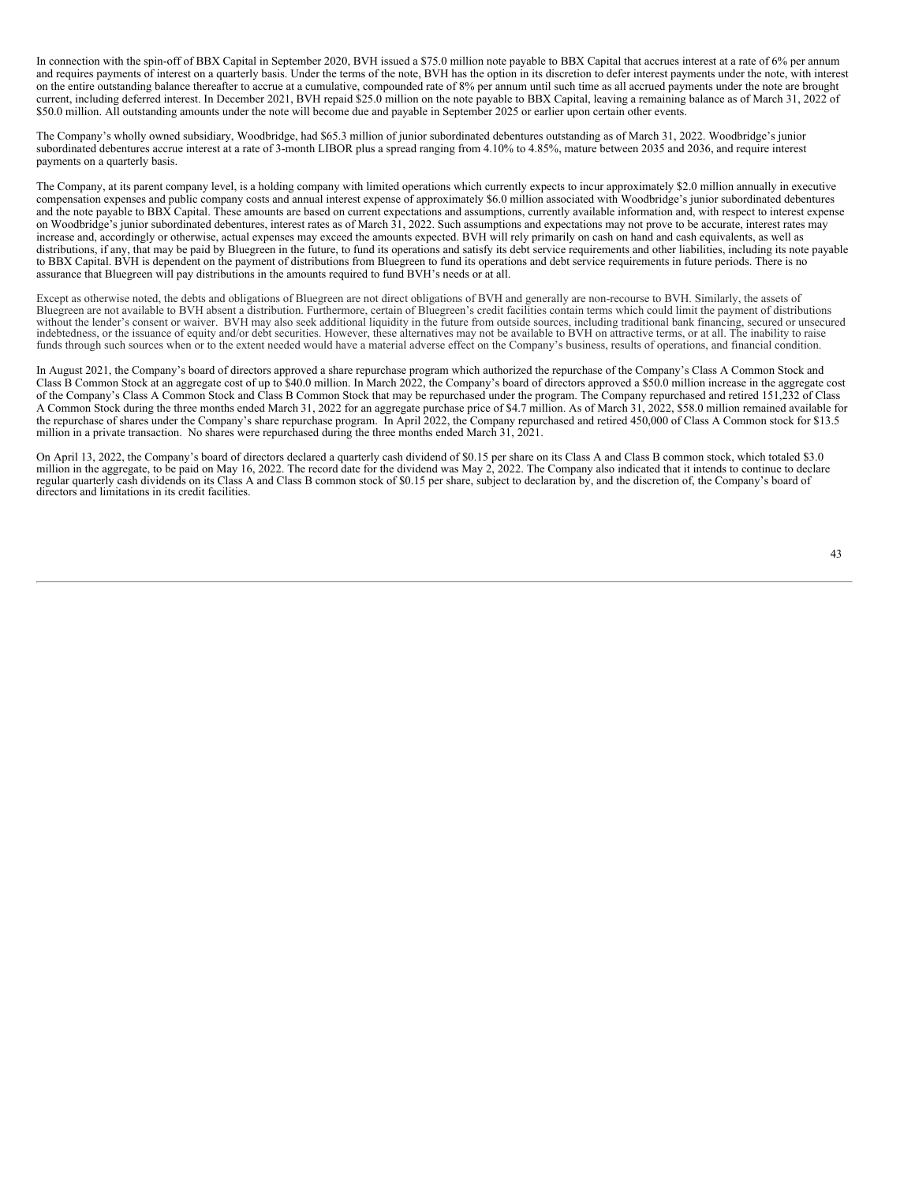In connection with the spin-off of BBX Capital in September 2020, BVH issued a \$75.0 million note payable to BBX Capital that accrues interest at a rate of 6% per annum and requires payments of interest on a quarterly basis. Under the terms of the note, BVH has the option in its discretion to defer interest payments under the note, with interest on the entire outstanding balance thereafter to accrue at a cumulative, compounded rate of 8% per annum until such time as all accrued payments under the note are brought current, including deferred interest. In December 2021, BVH repaid \$25.0 million on the note payable to BBX Capital, leaving a remaining balance as of March 31, 2022 of \$50.0 million. All outstanding amounts under the note will become due and payable in September 2025 or earlier upon certain other events.

The Company's wholly owned subsidiary, Woodbridge, had \$65.3 million of junior subordinated debentures outstanding as of March 31, 2022. Woodbridge's junior subordinated debentures accrue interest at a rate of 3-month LIBOR plus a spread ranging from 4.10% to 4.85%, mature between 2035 and 2036, and require interest payments on a quarterly basis.

The Company, at its parent company level, is a holding company with limited operations which currently expects to incur approximately \$2.0 million annually in executive compensation expenses and public company costs and annual interest expense of approximately \$6.0 million associated with Woodbridge's junior subordinated debentures and the note payable to BBX Capital. These amounts are based on current expectations and assumptions, currently available information and, with respect to interest expense on Woodbridge's junior subordinated debentures, interest rates as of March 31, 2022. Such assumptions and expectations may not prove to be accurate, interest rates may increase and, accordingly or otherwise, actual expenses may exceed the amounts expected. BVH will rely primarily on cash on hand and cash equivalents, as well as distributions, if any, that may be paid by Bluegreen in the future, to fund its operations and satisfy its debt service requirements and other liabilities, including its note payable to BBX Capital. BVH is dependent on the payment of distributions from Bluegreen to fund its operations and debt service requirements in future periods. There is no assurance that Bluegreen will pay distributions in the amounts required to fund BVH's needs or at all.

Except as otherwise noted, the debts and obligations of Bluegreen are not direct obligations of BVH and generally are non-recourse to BVH. Similarly, the assets of Bluegreen are not available to BVH absent a distribution. Furthermore, certain of Bluegreen's credit facilities contain terms which could limit the payment of distributions without the lender's consent or waiver. BVH may also seek additional liquidity in the future from outside sources, including traditional bank financing, secured or unsecured indebtedness, or the issuance of equity and/or debt securities. However, these alternatives may not be available to BVH on attractive terms, or at all. The inability to raise funds through such sources when or to the extent needed would have a material adverse effect on the Company's business, results of operations, and financial condition.

In August 2021, the Company's board of directors approved a share repurchase program which authorized the repurchase of the Company's Class A Common Stock and Class B Common Stock at an aggregate cost of up to \$40.0 million. In March 2022, the Company's board of directors approved a \$50.0 million increase in the aggregate cost of the Company's Class A Common Stock and Class B Common Stock that may be repurchased under the program. The Company repurchased and retired 151,232 of Class A Common Stock during the three months ended March 31, 2022 for an aggregate purchase price of \$4.7 million. As of March 31, 2022, \$58.0 million remained available for the repurchase of shares under the Company's share repurchase program. In April 2022, the Company repurchased and retired 450,000 of Class A Common stock for \$13.5 million in a private transaction. No shares were repurchased during the three months ended March 31, 2021.

On April 13, 2022, the Company's board of directors declared a quarterly cash dividend of \$0.15 per share on its Class A and Class B common stock, which totaled \$3.0<br>million in the aggregate, to be paid on May 16, 2022. Th regular quarterly cash dividends on its Class A and Class B common stock of \$0.15 per share, subject to declaration by, and the discretion of, the Company's board of directors and limitations in its credit facilities.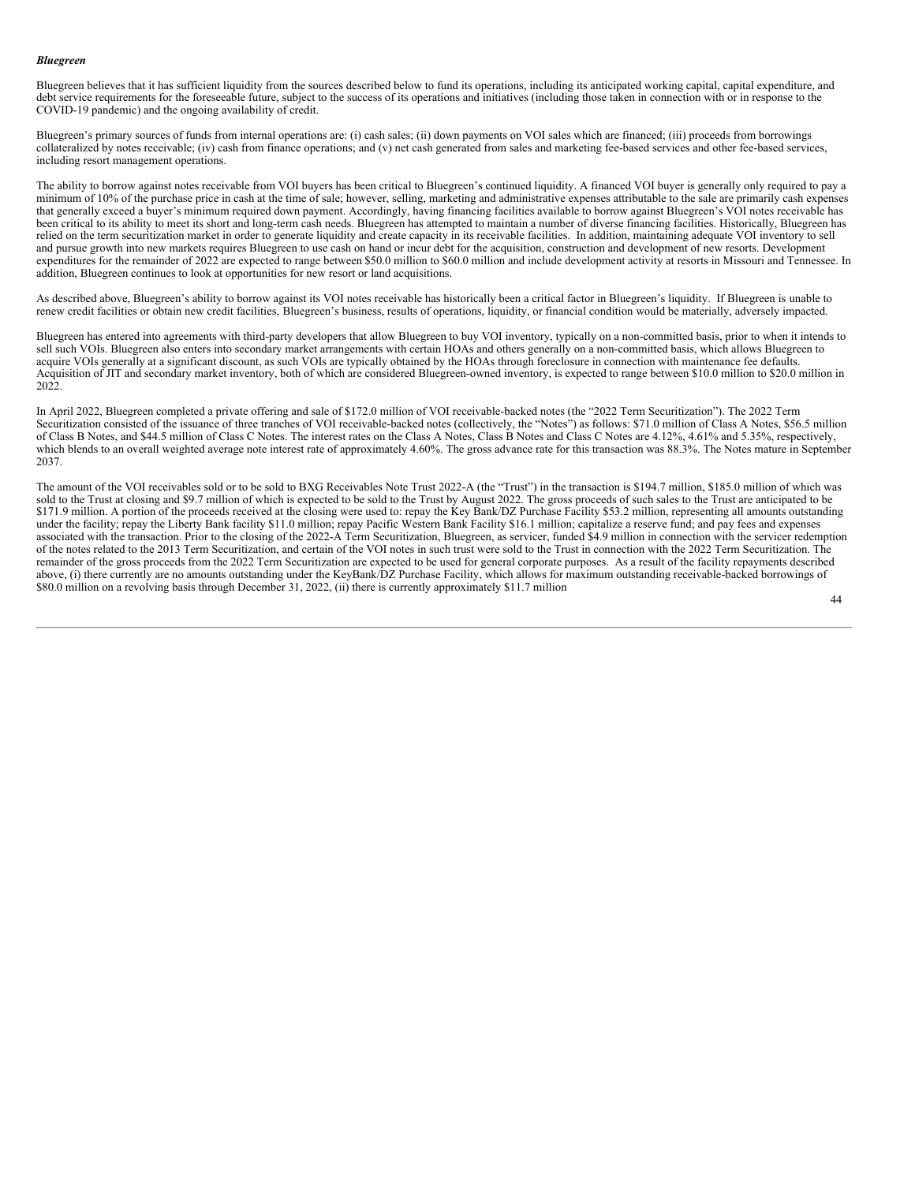#### *Bluegreen*

Bluegreen believes that it has sufficient liquidity from the sources described below to fund its operations, including its anticipated working capital, capital expenditure, and debt service requirements for the foreseeable future, subject to the success of its operations and initiatives (including those taken in connection with or in response to the COVID-19 pandemic) and the ongoing availability of credit.

Bluegreen's primary sources of funds from internal operations are: (i) cash sales; (ii) down payments on VOI sales which are financed; (iii) proceeds from borrowings collateralized by notes receivable; (iv) cash from finance operations; and (v) net cash generated from sales and marketing fee-based services and other fee-based services, including resort management operations.

The ability to borrow against notes receivable from VOI buyers has been critical to Bluegreen's continued liquidity. A financed VOI buyer is generally only required to pay a minimum of 10% of the purchase price in cash at the time of sale; however, selling, marketing and administrative expenses attributable to the sale are primarily cash expenses that generally exceed a buyer's minimum required down payment. Accordingly, having financing facilities available to borrow against Bluegreen's VOI notes receivable has been critical to its ability to meet its short and long-term cash needs. Bluegreen has attempted to maintain a number of diverse financing facilities. Historically, Bluegreen has relied on the term securitization market in order to generate liquidity and create capacity in its receivable facilities. In addition, maintaining adequate VOI inventory to sell and pursue growth into new markets requires Bluegreen to use cash on hand or incur debt for the acquisition, construction and development of new resorts. Development expenditures for the remainder of 2022 are expected to range between \$50.0 million to \$60.0 million and include development activity at resorts in Missouri and Tennessee. In addition, Bluegreen continues to look at opportunities for new resort or land acquisitions.

As described above, Bluegreen's ability to borrow against its VOI notes receivable has historically been a critical factor in Bluegreen's liquidity. If Bluegreen is unable to renew credit facilities or obtain new credit facilities, Bluegreen's business, results of operations, liquidity, or financial condition would be materially, adversely impacted.

Bluegreen has entered into agreements with third-party developers that allow Bluegreen to buy VOI inventory, typically on a non-committed basis, prior to when it intends to sell such VOIs. Bluegreen also enters into secondary market arrangements with certain HOAs and others generally on a non-committed basis, which allows Bluegreen to acquire VOIs generally at a significant discount, as such VOIs are typically obtained by the HOAs through foreclosure in connection with maintenance fee defaults. Acquisition of JIT and secondary market inventory, both of which are considered Bluegreen-owned inventory, is expected to range between \$10.0 million to \$20.0 million in 2022.

In April 2022, Bluegreen completed a private offering and sale of \$172.0 million of VOI receivable-backed notes (the "2022 Term Securitization"). The 2022 Term Securitization consisted of the issuance of three tranches of VOI receivable-backed notes (collectively, the "Notes") as follows: \$71.0 million of Class A Notes, \$56.5 million of Class B Notes, and \$44.5 million of Class C Notes. The interest rates on the Class A Notes, Class B Notes and Class C Notes are 4.12%, 4.61% and 5.35%, respectively, which blends to an overall weighted average note interest rate of approximately 4.60%. The gross advance rate for this transaction was 88.3%. The Notes mature in September 2037.

The amount of the VOI receivables sold or to be sold to BXG Receivables Note Trust 2022-A (the "Trust") in the transaction is \$194.7 million, \$185.0 million of which was sold to the Trust at closing and \$9.7 million of which is expected to be sold to the Trust by August 2022. The gross proceeds of such sales to the Trust are anticipated to be \$171.9 million. A portion of the proceeds received at the closing were used to: repay the Key Bank/DZ Purchase Facility \$53.2 million, representing all amounts outstanding under the facility; repay the Liberty Bank facility \$11.0 million; repay Pacific Western Bank Facility \$16.1 million; capitalize a reserve fund; and pay fees and expenses associated with the transaction. Prior to the closing of the 2022-A Term Securitization, Bluegreen, as servicer, funded \$4.9 million in connection with the servicer redemption of the notes related to the 2013 Term Securitization, and certain of the VOI notes in such trust were sold to the Trust in connection with the 2022 Term Securitization. The remainder of the gross proceeds from the 2022 Term Securitization are expected to be used for general corporate purposes. As a result of the facility repayments described above, (i) there currently are no amounts outstanding under the KeyBank/DZ Purchase Facility, which allows for maximum outstanding receivable-backed borrowings of \$80.0 million on a revolving basis through December 31, 2022, (ii) there is currently approximately \$11.7 million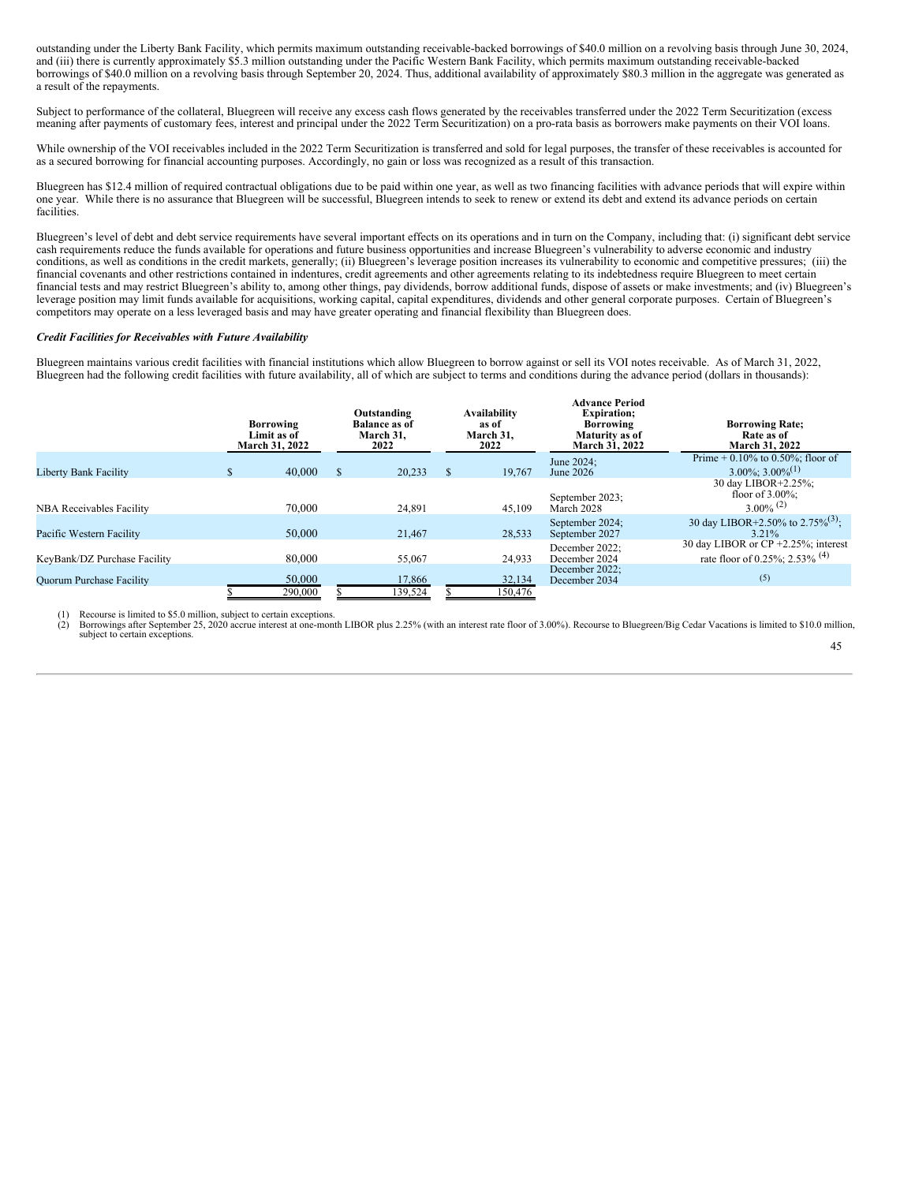outstanding under the Liberty Bank Facility, which permits maximum outstanding receivable-backed borrowings of \$40.0 million on a revolving basis through June 30, 2024, and (iii) there is currently approximately \$5.3 million outstanding under the Pacific Western Bank Facility, which permits maximum outstanding receivable-backed borrowings of \$40.0 million on a revolving basis through September 20, 2024. Thus, additional availability of approximately \$80.3 million in the aggregate was generated as a result of the repayments.

Subject to performance of the collateral, Bluegreen will receive any excess cash flows generated by the receivables transferred under the 2022 Term Securitization (excess meaning after payments of customary fees, interest and principal under the 2022 Term Securitization) on a pro-rata basis as borrowers make payments on their VOI loans.

While ownership of the VOI receivables included in the 2022 Term Securitization is transferred and sold for legal purposes, the transfer of these receivables is accounted for as a secured borrowing for financial accounting purposes. Accordingly, no gain or loss was recognized as a result of this transaction.

Bluegreen has \$12.4 million of required contractual obligations due to be paid within one year, as well as two financing facilities with advance periods that will expire within one year. While there is no assurance that Bluegreen will be successful, Bluegreen intends to seek to renew or extend its debt and extend its advance periods on certain facilities.

Bluegreen's level of debt and debt service requirements have several important effects on its operations and in turn on the Company, including that: (i) significant debt service cash requirements reduce the funds available for operations and future business opportunities and increase Bluegreen's vulnerability to adverse economic and industry conditions, as well as conditions in the credit markets, generally; (ii) Bluegreen's leverage position increases its vulnerability to economic and competitive pressures; (iii) the financial covenants and other restrictions contained in indentures, credit agreements and other agreements relating to its indebtedness require Bluegreen to meet certain financial tests and may restrict Bluegreen's ability to, among other things, pay dividends, borrow additional funds, dispose of assets or make investments; and (iv) Bluegreen's leverage position may limit funds available for acquisitions, working capital, capital expenditures, dividends and other general corporate purposes. Certain of Bluegreen's competitors may operate on a less leveraged basis and may have greater operating and financial flexibility than Bluegreen does.

#### *Credit Facilities for Receivables with Future Availability*

Bluegreen maintains various credit facilities with financial institutions which allow Bluegreen to borrow against or sell its VOI notes receivable. As of March 31, 2022, Bluegreen had the following credit facilities with future availability, all of which are subject to terms and conditions during the advance period (dollars in thousands):

|                                 | <b>Borrowing</b><br>Limit as of<br>March 31, 2022 |               | Outstanding<br><b>Balance as of</b><br>March 31.<br>2022 |               | Availability<br>as of<br>March 31.<br>2022 | <b>Advance Period</b><br><b>Expiration;</b><br><b>Borrowing</b><br>Maturity as of<br>March 31, 2022 | <b>Borrowing Rate:</b><br>Rate as of<br><b>March 31, 2022</b>                        |
|---------------------------------|---------------------------------------------------|---------------|----------------------------------------------------------|---------------|--------------------------------------------|-----------------------------------------------------------------------------------------------------|--------------------------------------------------------------------------------------|
|                                 |                                                   |               |                                                          |               |                                            | June 2024;                                                                                          | Prime $+ 0.10\%$ to 0.50%; floor of                                                  |
| <b>Liberty Bank Facility</b>    | 40,000                                            | <sup>\$</sup> | 20.233                                                   | <sup>\$</sup> | 19,767                                     | June 2026                                                                                           | $3.00\%$ ; $3.00\%$ <sup>(1)</sup>                                                   |
| NBA Receivables Facility        | 70,000                                            |               | 24,891                                                   |               | 45,109                                     | September 2023;<br>March 2028                                                                       | 30 day LIBOR+2.25%;<br>floor of $3.00\%$ :<br>$3.00\%$ <sup>(2)</sup>                |
| Pacific Western Facility        | 50,000                                            |               | 21,467                                                   |               | 28,533                                     | September 2024;<br>September 2027                                                                   | 30 day LIBOR+2.50% to 2.75% <sup>(3)</sup> ;<br>$3.21\%$                             |
| KeyBank/DZ Purchase Facility    | 80,000                                            |               | 55,067                                                   |               | 24,933                                     | December 2022:<br>December 2024                                                                     | 30 day LIBOR or $CP +2.25\%$ ; interest<br>rate floor of 0.25%; 2.53% <sup>(4)</sup> |
| <b>Ouorum Purchase Facility</b> | 50,000                                            |               | 17,866                                                   |               | 32,134                                     | December 2022:<br>December 2034                                                                     | (5)                                                                                  |
|                                 | 290,000                                           |               | 139.524                                                  |               | 150,476                                    |                                                                                                     |                                                                                      |

(1) Recourse is limited to \$5.0 million, subject to certain exceptions.<br>(2) Borrowings after September 25, 2020 accrue interest at one-month LIBOR plus 2.25% (with an interest rate floor of 3.00%). Recourse to Bluegreen/Bi subject to certain exceptions.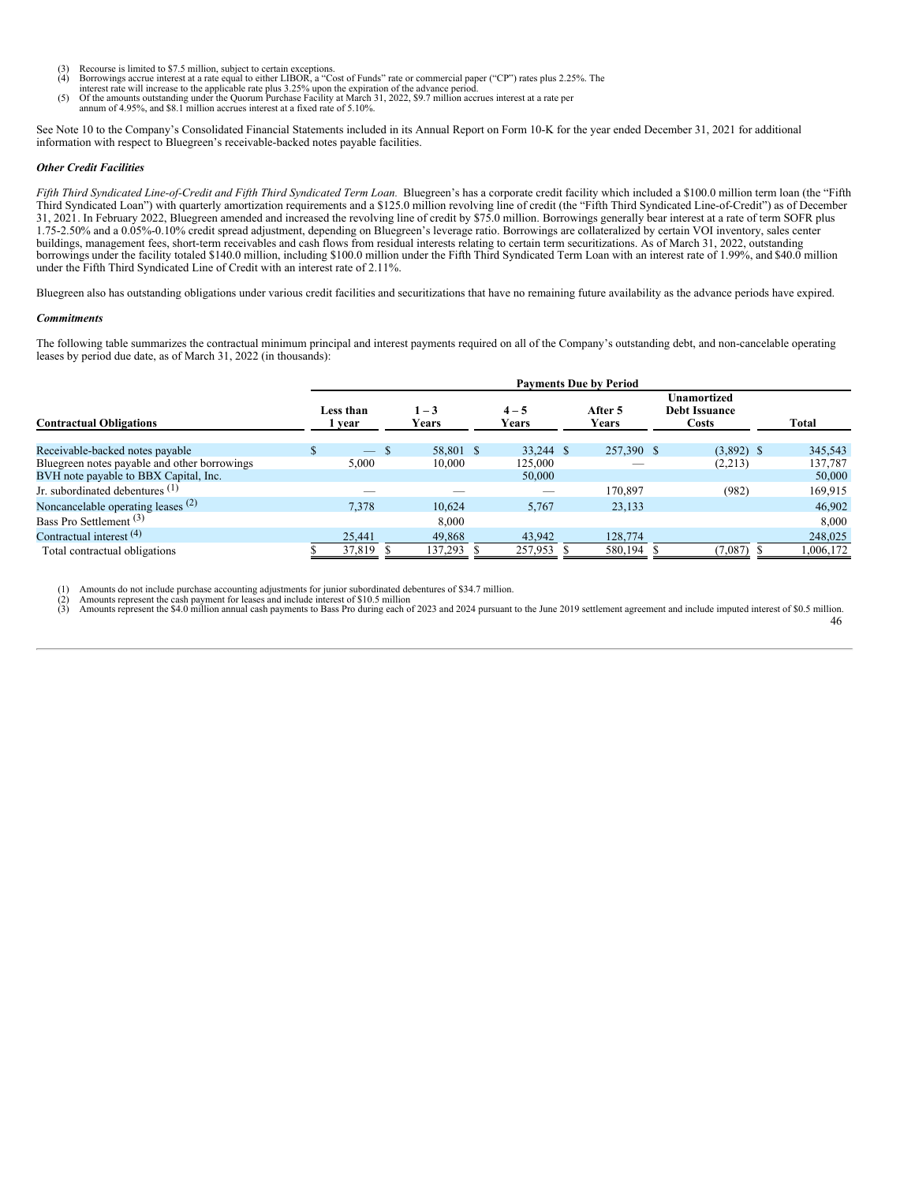- (3) Recourse is limited to \$7.5 million, subject to certain exceptions.<br>(4) Borrowings accrue interest at a rate equal to either LIBOR. a "Comparent
- (4) Borrowings accrue interest at a rate equal to either LIBOR, a "Cost of Funds" rate or commercial paper ("CP") rates plus 2.25%. The<br>interest rate will increase to the applicable rate plus 3.25% upon the expiration of t
- 
- 
- annum of 4.95%, and \$8.1 million accrues interest at a fixed rate of 5.10%.

See Note 10 to the Company's Consolidated Financial Statements included in its Annual Report on Form 10-K for the year ended December 31, 2021 for additional information with respect to Bluegreen's receivable-backed notes payable facilities.

#### *Other Credit Facilities*

Fifth Third Syndicated Line-of-Credit and Fifth Third Syndicated Term Loan. Bluegreen's has a corporate credit facility which included a \$100.0 million term loan (the "Fifth Third Syndicated Loan") with quarterly amortization requirements and a \$125.0 million revolving line of credit (the "Fifth Third Syndicated Line-of-Credit") as of December 31, 2021. In February 2022, Bluegreen amended and increased the revolving line of credit by \$75.0 million. Borrowings generally bear interest at a rate of term SOFR plus 1.75-2.50% and a 0.05%-0.10% credit spread adjustment, depending on Bluegreen's leverage ratio. Borrowings are collateralized by certain VOI inventory, sales center buildings, management fees, short-term receivables and cash flows from residual interests relating to certain term securitizations. As of March 31, 2022, outstanding borrowings under the facility totaled \$140.0 million, including \$100.0 million under the Fifth Third Syndicated Term Loan with an interest rate of 1.99%, and \$40.0 million under the Fifth Third Syndicated Line of Credit with an interest rate of 2.11%.

Bluegreen also has outstanding obligations under various credit facilities and securitizations that have no remaining future availability as the advance periods have expired.

#### *Commitments*

The following table summarizes the contractual minimum principal and interest payments required on all of the Company's outstanding debt, and non-cancelable operating leases by period due date, as of March 31, 2022 (in thousands):

|                                              |                     | <b>Payments Due by Period</b> |                  |  |                  |  |                  |  |                                                     |  |           |  |
|----------------------------------------------|---------------------|-------------------------------|------------------|--|------------------|--|------------------|--|-----------------------------------------------------|--|-----------|--|
| <b>Contractual Obligations</b>               | Less than<br>l vear |                               | $1 - 3$<br>Years |  | $4 - 5$<br>Years |  | After 5<br>Years |  | Unamortized<br><b>Debt Issuance</b><br><b>Costs</b> |  | Total     |  |
| Receivable-backed notes payable              |                     | $-$ \$                        | 58,801 \$        |  | 33.244 \$        |  | 257,390 \$       |  | $(3,892)$ \$                                        |  | 345,543   |  |
| Bluegreen notes payable and other borrowings |                     | 5,000                         | 10.000           |  | 125,000          |  |                  |  | (2,213)                                             |  | 137,787   |  |
| BVH note payable to BBX Capital, Inc.        |                     |                               |                  |  | 50,000           |  |                  |  |                                                     |  | 50,000    |  |
| Jr. subordinated debentures $(1)$            |                     |                               |                  |  |                  |  | 170,897          |  | (982)                                               |  | 169,915   |  |
| Noncancelable operating leases (2)           |                     | 7.378                         | 10.624           |  | 5,767            |  | 23,133           |  |                                                     |  | 46,902    |  |
| Bass Pro Settlement <sup>(3)</sup>           |                     |                               | 8.000            |  |                  |  |                  |  |                                                     |  | 8,000     |  |
| Contractual interest $(4)$                   |                     | 25.441                        | 49,868           |  | 43,942           |  | 128,774          |  |                                                     |  | 248,025   |  |
| Total contractual obligations                |                     | 37,819                        | 137,293          |  | 257,953          |  | 580,194 \$       |  | (7,087)                                             |  | 1,006,172 |  |
|                                              |                     |                               |                  |  |                  |  |                  |  |                                                     |  |           |  |

(1) Amounts do not include purchase accounting adjustments for junior subordinated debentures of \$34.7 million.

(2) Amounts represent the cash payment for leases and include interest of \$10.5 million<br>(3) Amounts represent the \$4.0 million annual cash payments to Bass Pro during each of

Amounts represent the \$4.0 million annual cash payments to Bass Pro during each of 2023 and 2024 pursuant to the June 2019 settlement agreement and include imputed interest of \$0.5 million.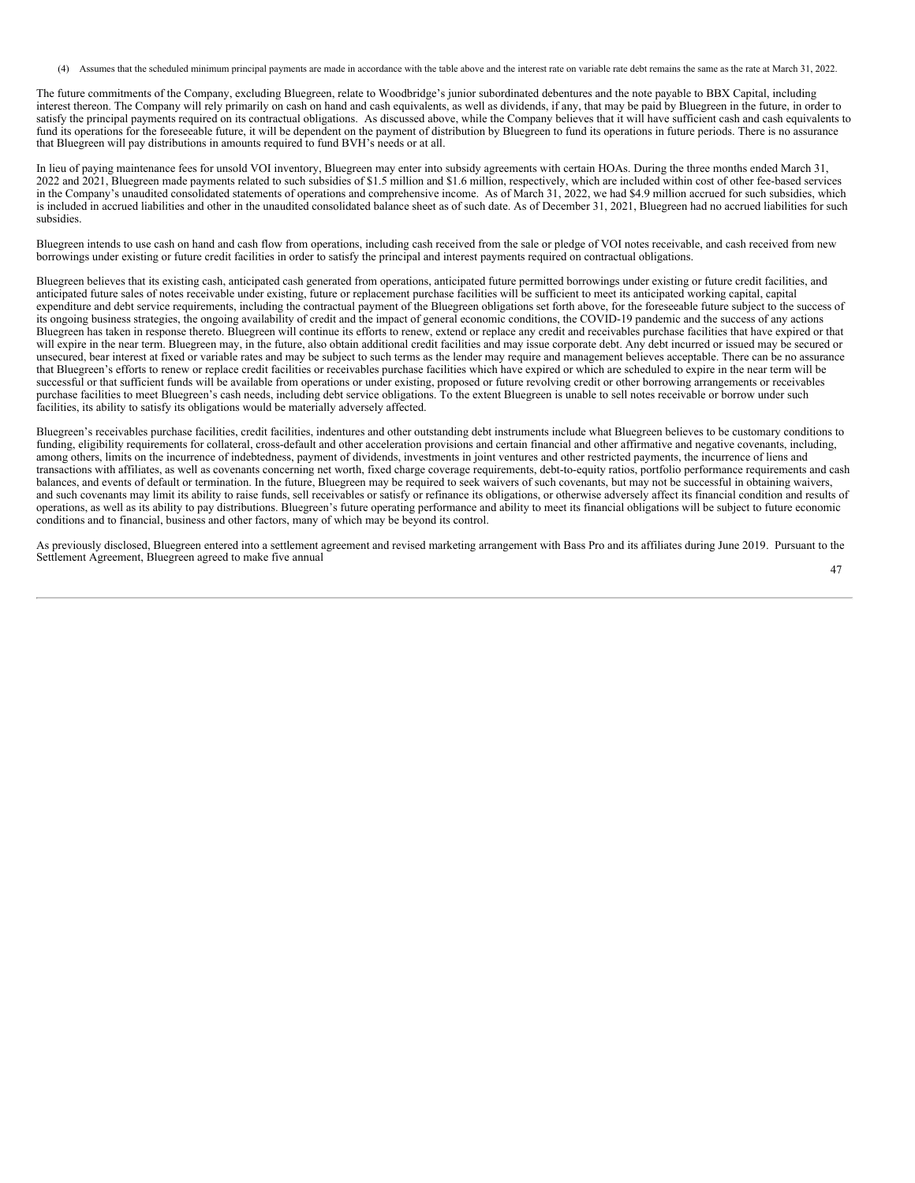(4) Assumes that the scheduled minimum principal payments are made in accordance with the table above and the interest rate on variable rate debt remains the same as the rate at March 31, 2022.

The future commitments of the Company, excluding Bluegreen, relate to Woodbridge's junior subordinated debentures and the note payable to BBX Capital, including interest thereon. The Company will rely primarily on cash on hand and cash equivalents, as well as dividends, if any, that may be paid by Bluegreen in the future, in order to satisfy the principal payments required on its contractual obligations. As discussed above, while the Company believes that it will have sufficient cash and cash equivalents to fund its operations for the foreseeable future, it will be dependent on the payment of distribution by Bluegreen to fund its operations in future periods. There is no assurance that Bluegreen will pay distributions in amounts required to fund BVH's needs or at all.

In lieu of paying maintenance fees for unsold VOI inventory, Bluegreen may enter into subsidy agreements with certain HOAs. During the three months ended March 31, 2022 and 2021, Bluegreen made payments related to such subsidies of \$1.5 million and \$1.6 million, respectively, which are included within cost of other fee-based services in the Company's unaudited consolidated statements of operations and comprehensive income. As of March 31, 2022, we had \$4.9 million accrued for such subsidies, which is included in accrued liabilities and other in the unaudited consolidated balance sheet as of such date. As of December 31, 2021, Bluegreen had no accrued liabilities for such subsidies.

Bluegreen intends to use cash on hand and cash flow from operations, including cash received from the sale or pledge of VOI notes receivable, and cash received from new borrowings under existing or future credit facilities in order to satisfy the principal and interest payments required on contractual obligations.

Bluegreen believes that its existing cash, anticipated cash generated from operations, anticipated future permitted borrowings under existing or future credit facilities, and anticipated future sales of notes receivable under existing, future or replacement purchase facilities will be sufficient to meet its anticipated working capital, capital expenditure and debt service requirements, including the contractual payment of the Bluegreen obligations set forth above, for the foreseeable future subject to the success of its ongoing business strategies, the ongoing availability of credit and the impact of general economic conditions, the COVID-19 pandemic and the success of any actions Bluegreen has taken in response thereto. Bluegreen will continue its efforts to renew, extend or replace any credit and receivables purchase facilities that have expired or that will expire in the near term. Bluegreen may, in the future, also obtain additional credit facilities and may issue corporate debt. Any debt incurred or issued may be secured or unsecured, bear interest at fixed or variable rates and may be subject to such terms as the lender may require and management believes acceptable. There can be no assurance that Bluegreen's efforts to renew or replace credit facilities or receivables purchase facilities which have expired or which are scheduled to expire in the near term will be successful or that sufficient funds will be available from operations or under existing, proposed or future revolving credit or other borrowing arrangements or receivables purchase facilities to meet Bluegreen's cash needs, including debt service obligations. To the extent Bluegreen is unable to sell notes receivable or borrow under such facilities, its ability to satisfy its obligations would be materially adversely affected.

Bluegreen's receivables purchase facilities, credit facilities, indentures and other outstanding debt instruments include what Bluegreen believes to be customary conditions to funding, eligibility requirements for collateral, cross-default and other acceleration provisions and certain financial and other affirmative and negative covenants, including, among others, limits on the incurrence of indebtedness, payment of dividends, investments in joint ventures and other restricted payments, the incurrence of liens and transactions with affiliates, as well as covenants concerning net worth, fixed charge coverage requirements, debt-to-equity ratios, portfolio performance requirements and cash balances, and events of default or termination. In the future, Bluegreen may be required to seek waivers of such covenants, but may not be successful in obtaining waivers, and such covenants may limit its ability to raise funds, sell receivables or satisfy or refinance its obligations, or otherwise adversely affect its financial condition and results of operations, as well as its ability to pay distributions. Bluegreen's future operating performance and ability to meet its financial obligations will be subject to future economic conditions and to financial, business and other factors, many of which may be beyond its control.

As previously disclosed, Bluegreen entered into a settlement agreement and revised marketing arrangement with Bass Pro and its affiliates during June 2019. Pursuant to the Settlement Agreement, Bluegreen agreed to make five annual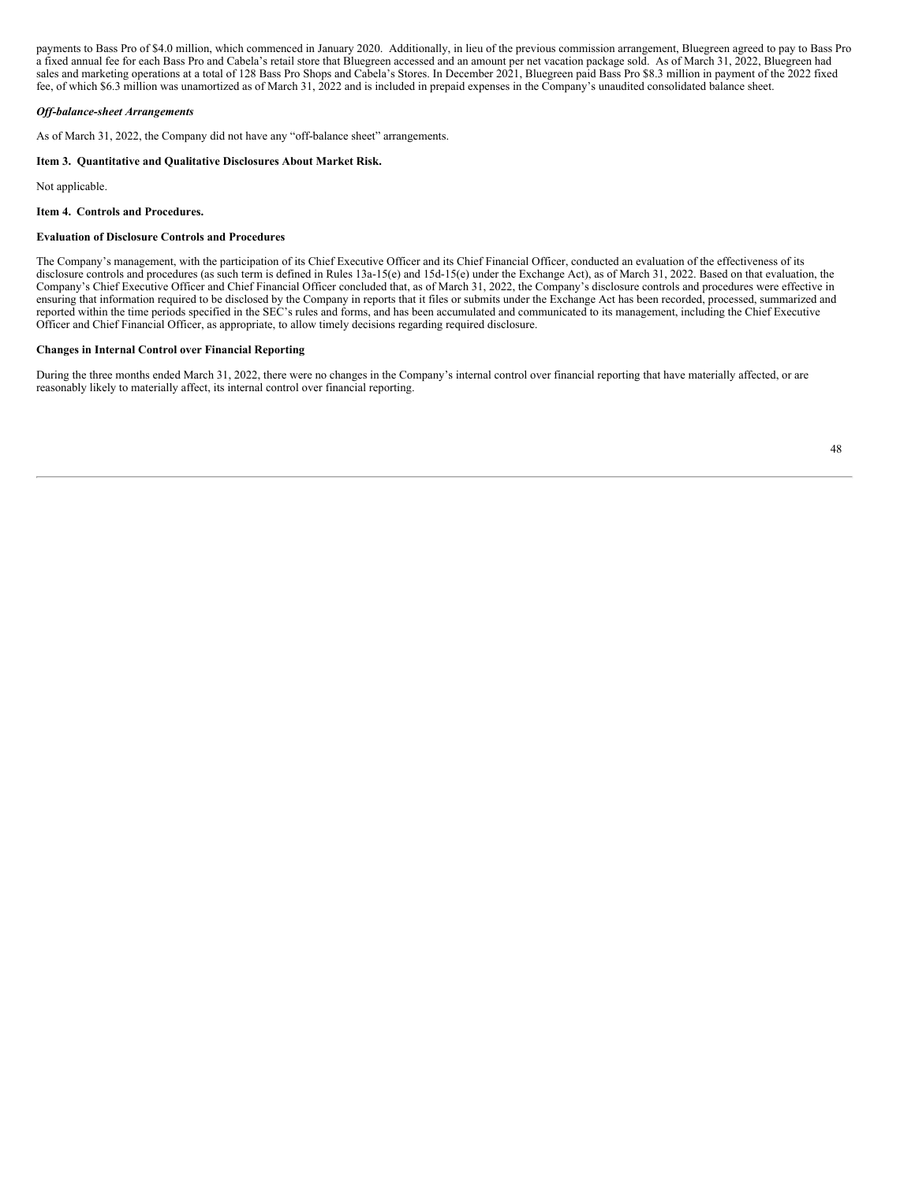payments to Bass Pro of \$4.0 million, which commenced in January 2020. Additionally, in lieu of the previous commission arrangement, Bluegreen agreed to pay to Bass Pro a fixed annual fee for each Bass Pro and Cabela's retail store that Bluegreen accessed and an amount per net vacation package sold. As of March 31, 2022, Bluegreen had sales and marketing operations at a total of 128 Bass Pro Shops and Cabela's Stores. In December 2021, Bluegreen paid Bass Pro \$8.3 million in payment of the 2022 fixed fee, of which \$6.3 million was unamortized as of March 31, 2022 and is included in prepaid expenses in the Company's unaudited consolidated balance sheet.

### *Of -balance-sheet Arrangements*

As of March 31, 2022, the Company did not have any "off-balance sheet" arrangements.

#### <span id="page-47-0"></span>**Item 3. Quantitative and Qualitative Disclosures About Market Risk.**

Not applicable.

## <span id="page-47-1"></span>**Item 4. Controls and Procedures.**

## **Evaluation of Disclosure Controls and Procedures**

The Company's management, with the participation of its Chief Executive Officer and its Chief Financial Officer, conducted an evaluation of the effectiveness of its disclosure controls and procedures (as such term is defined in Rules 13a-15(e) and 15d-15(e) under the Exchange Act), as of March 31, 2022. Based on that evaluation, the Company's Chief Executive Officer and Chief Financial Officer concluded that, as of March 31, 2022, the Company's disclosure controls and procedures were effective in ensuring that information required to be disclosed by the Company in reports that it files or submits under the Exchange Act has been recorded, processed, summarized and reported within the time periods specified in the SEC's rules and forms, and has been accumulated and communicated to its management, including the Chief Executive Officer and Chief Financial Officer, as appropriate, to allow timely decisions regarding required disclosure.

## **Changes in Internal Control over Financial Reporting**

During the three months ended March 31, 2022, there were no changes in the Company's internal control over financial reporting that have materially affected, or are reasonably likely to materially affect, its internal control over financial reporting.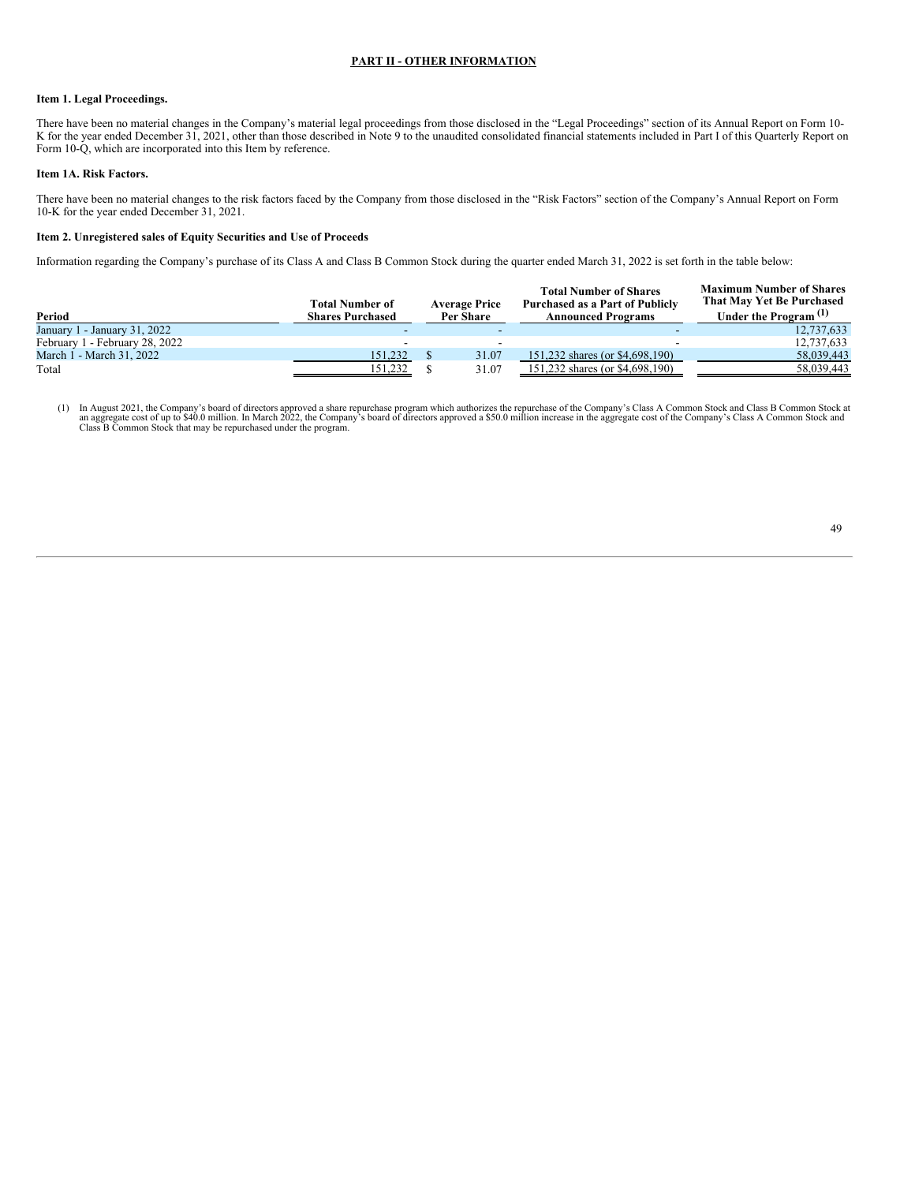## <span id="page-48-3"></span><span id="page-48-0"></span>**PART II - OTHER INFORMATION**

## <span id="page-48-1"></span>**Item 1. Legal Proceedings.**

There have been no material changes in the Company's material legal proceedings from those disclosed in the "Legal Proceedings" section of its Annual Report on Form 10- K for the year ended December 31, 2021, other than those described in Note 9 to the unaudited consolidated financial statements included in Part I of this Quarterly Report on Form 10-Q, which are incorporated into this Item by reference.

## <span id="page-48-2"></span>**Item 1A. Risk Factors.**

There have been no material changes to the risk factors faced by the Company from those disclosed in the "Risk Factors" section of the Company's Annual Report on Form 10-K for the year ended December 31, 2021.

## **Item 2. Unregistered sales of Equity Securities and Use of Proceeds**

Information regarding the Company's purchase of its Class A and Class B Common Stock during the quarter ended March 31, 2022 is set forth in the table below:

| Period                         | <b>Total Number of</b><br><b>Shares Purchased</b> | <b>Total Number of Shares</b><br><b>Purchased as a Part of Publicly</b><br><b>Average Price</b><br>Per Share<br><b>Announced Programs</b> |                          |                                 | <b>Maximum Number of Shares</b><br>That May Yet Be Purchased<br>Under the Program $(1)$ |  |  |
|--------------------------------|---------------------------------------------------|-------------------------------------------------------------------------------------------------------------------------------------------|--------------------------|---------------------------------|-----------------------------------------------------------------------------------------|--|--|
| January 1 - January 31, 2022   |                                                   |                                                                                                                                           |                          |                                 | 12,737,633                                                                              |  |  |
| February 1 - February 28, 2022 |                                                   |                                                                                                                                           | $\overline{\phantom{0}}$ |                                 | 12,737,633                                                                              |  |  |
| March 1 - March 31, 2022       | 151.232                                           | 31.07                                                                                                                                     |                          | 151,232 shares (or \$4,698,190) | 58.039.443                                                                              |  |  |
| Total                          | 151,232                                           | 31.07                                                                                                                                     |                          | 151,232 shares (or \$4,698,190) | 58.039.443                                                                              |  |  |

(1) In August 2021, the Company's board of directors approved a share repurchase program which authorizes the repurchase of the Company's Class A Common Stock and Class B Common Stock at an aggregate cost of the Company's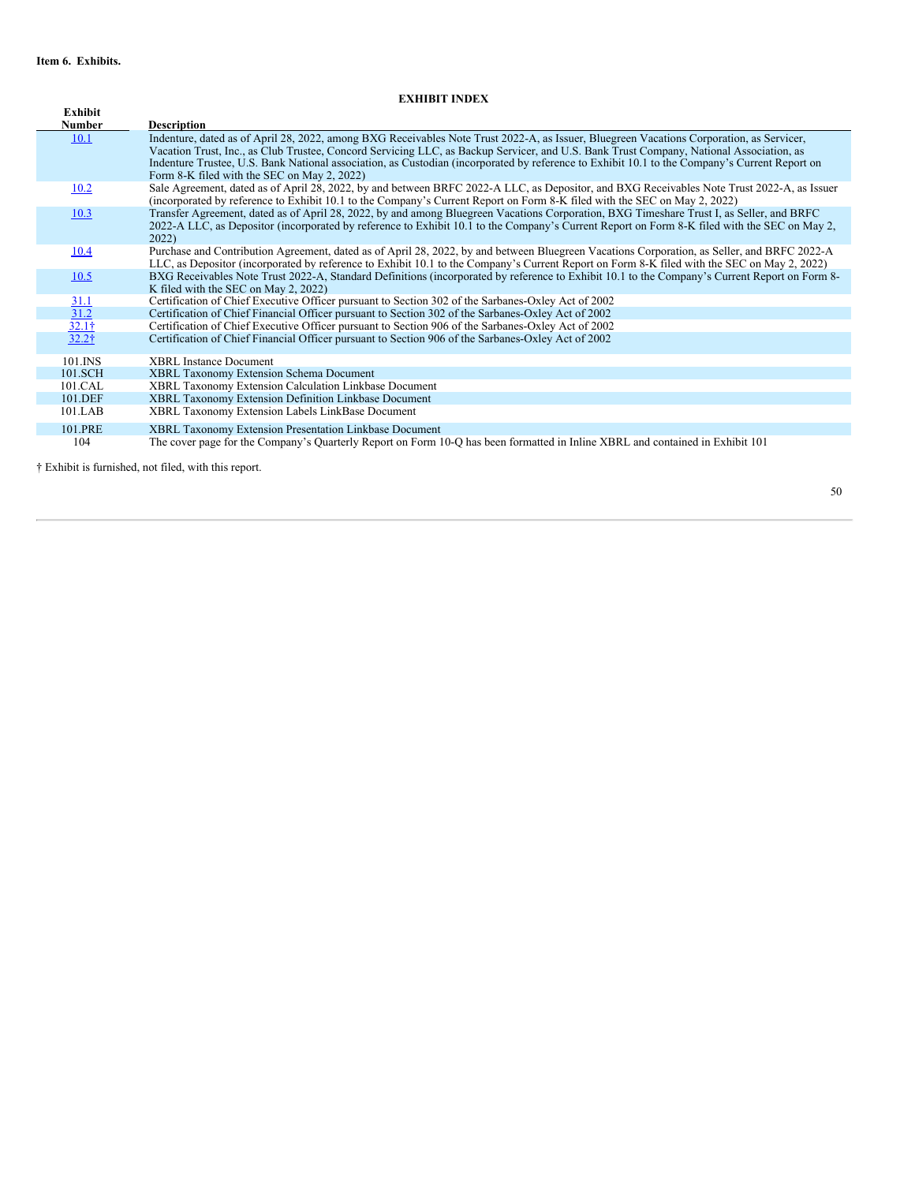## **EXHIBIT INDEX**

<span id="page-49-0"></span>

| Exhibit           |                                                                                                                                                                                                                                                                                                                                                                                                                                                                                     |
|-------------------|-------------------------------------------------------------------------------------------------------------------------------------------------------------------------------------------------------------------------------------------------------------------------------------------------------------------------------------------------------------------------------------------------------------------------------------------------------------------------------------|
| <b>Number</b>     | <b>Description</b>                                                                                                                                                                                                                                                                                                                                                                                                                                                                  |
| 10.1              | Indenture, dated as of April 28, 2022, among BXG Receivables Note Trust 2022-A, as Issuer, Bluegreen Vacations Corporation, as Servicer,<br>Vacation Trust, Inc., as Club Trustee, Concord Servicing LLC, as Backup Servicer, and U.S. Bank Trust Company, National Association, as<br>Indenture Trustee, U.S. Bank National association, as Custodian (incorporated by reference to Exhibit 10.1 to the Company's Current Report on<br>Form 8-K filed with the SEC on May 2, 2022) |
| 10.2              | Sale Agreement, dated as of April 28, 2022, by and between BRFC 2022-A LLC, as Depositor, and BXG Receivables Note Trust 2022-A, as Issuer<br>(incorporated by reference to Exhibit 10.1 to the Company's Current Report on Form 8-K filed with the SEC on May 2, 2022)                                                                                                                                                                                                             |
| 10.3              | Transfer Agreement, dated as of April 28, 2022, by and among Bluegreen Vacations Corporation, BXG Timeshare Trust I, as Seller, and BRFC<br>2022-A LLC, as Depositor (incorporated by reference to Exhibit 10.1 to the Company's Current Report on Form 8-K filed with the SEC on May 2,<br>2022)                                                                                                                                                                                   |
| 10.4              | Purchase and Contribution Agreement, dated as of April 28, 2022, by and between Bluegreen Vacations Corporation, as Seller, and BRFC 2022-A<br>LLC, as Depositor (incorporated by reference to Exhibit 10.1 to the Company's Current Report on Form 8-K filed with the SEC on May 2, 2022)                                                                                                                                                                                          |
| 10.5              | BXG Receivables Note Trust 2022-A, Standard Definitions (incorporated by reference to Exhibit 10.1 to the Company's Current Report on Form 8-<br>K filed with the SEC on May 2, 2022)                                                                                                                                                                                                                                                                                               |
| <u>31.1</u>       | Certification of Chief Executive Officer pursuant to Section 302 of the Sarbanes-Oxley Act of 2002                                                                                                                                                                                                                                                                                                                                                                                  |
| 31.2              | Certification of Chief Financial Officer pursuant to Section 302 of the Sarbanes-Oxley Act of 2002                                                                                                                                                                                                                                                                                                                                                                                  |
| 32.1 <sup>†</sup> | Certification of Chief Executive Officer pursuant to Section 906 of the Sarbanes-Oxley Act of 2002                                                                                                                                                                                                                                                                                                                                                                                  |
| 32.2 <sup>†</sup> | Certification of Chief Financial Officer pursuant to Section 906 of the Sarbanes-Oxley Act of 2002                                                                                                                                                                                                                                                                                                                                                                                  |
| 101.INS           | <b>XBRL</b> Instance Document                                                                                                                                                                                                                                                                                                                                                                                                                                                       |
| 101.SCH           | XBRL Taxonomy Extension Schema Document                                                                                                                                                                                                                                                                                                                                                                                                                                             |
| 101.CAL           | XBRL Taxonomy Extension Calculation Linkbase Document                                                                                                                                                                                                                                                                                                                                                                                                                               |
| 101.DEF           | XBRL Taxonomy Extension Definition Linkbase Document                                                                                                                                                                                                                                                                                                                                                                                                                                |
| 101.LAB           | XBRL Taxonomy Extension Labels LinkBase Document                                                                                                                                                                                                                                                                                                                                                                                                                                    |
| 101.PRE           | XBRL Taxonomy Extension Presentation Linkbase Document                                                                                                                                                                                                                                                                                                                                                                                                                              |
| 10 <sub>A</sub>   | The cover nege for the Company's Querterly Report on Form $10$ Q has been formatted in Ipline YRPI, and contained in Exhibit $101$                                                                                                                                                                                                                                                                                                                                                  |

104 The cover page for the Company's Quarterly Report on Form 10-Q has been formatted in Inline XBRL and contained in Exhibit 101

† Exhibit is furnished, not filed, with this report.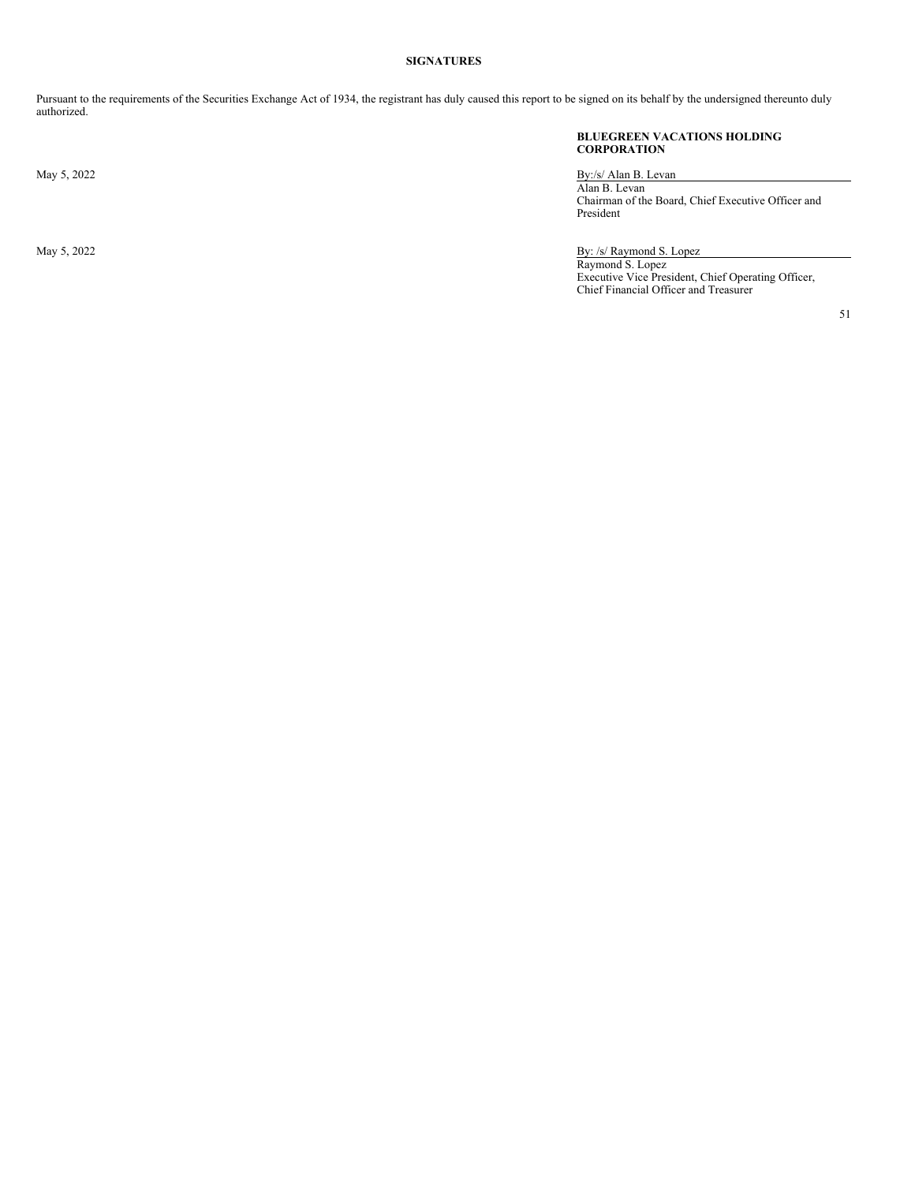## <span id="page-50-0"></span>**SIGNATURES**

Pursuant to the requirements of the Securities Exchange Act of 1934, the registrant has duly caused this report to be signed on its behalf by the undersigned thereunto duly authorized.

## **BLUEGREEN VACATIONS HOLDING CORPORATION**

May 5, 2022 By:/s/ Alan B. Levan

Alan B. Levan Chairman of the Board, Chief Executive Officer and President

May 5, 2022 By: /s/ Raymond S. Lopez Raymond S. Lopez Executive Vice President, Chief Operating Officer, Chief Financial Officer and Treasurer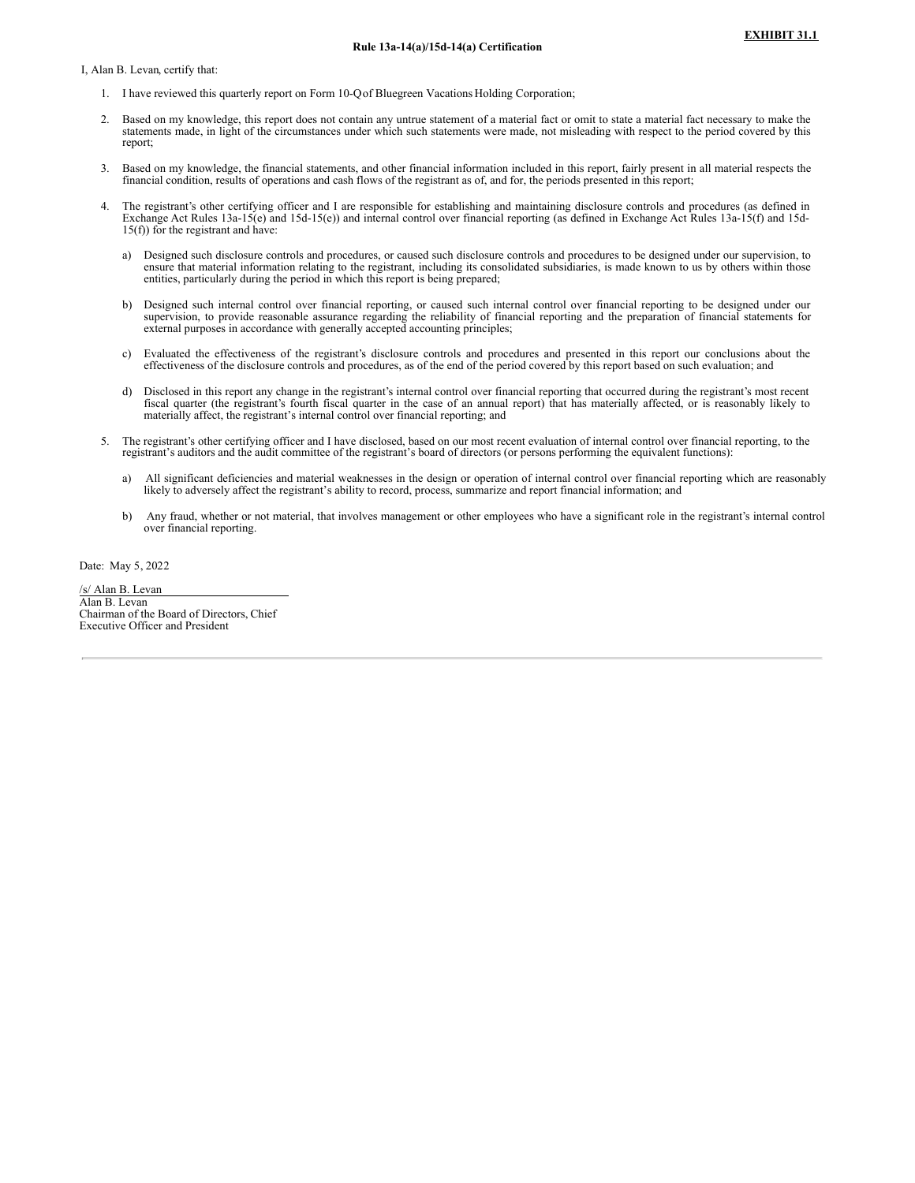### **Rule 13a-14(a)/15d-14(a) Certification**

- <span id="page-51-0"></span>I, Alan B. Levan, certify that:
	- 1. I have reviewed this quarterly report on Form 10-Qof Bluegreen Vacations Holding Corporation;
	- 2. Based on my knowledge, this report does not contain any untrue statement of a material fact or omit to state a material fact necessary to make the statements made, in light of the circumstances under which such statemen report;
	- 3. Based on my knowledge, the financial statements, and other financial information included in this report, fairly present in all material respects the financial condition, results of operations and cash flows of the registrant as of, and for, the periods presented in this report;
	- 4. The registrant's other certifying officer and I are responsible for establishing and maintaining disclosure controls and procedures (as defined in Exchange Act Rules 13a-15(e) and 15d-15(e) and internal control over fin 15(f)) for the registrant and have:
		- a) Designed such disclosure controls and procedures, or caused such disclosure controls and procedures to be designed under our supervision, to ensure that material information relating to the registrant, including its consolidated subsidiaries, is made known to us by others within those entities, particularly during the period in which this report is being prepared;
		- b) Designed such internal control over financial reporting, or caused such internal control over financial reporting to be designed under our supervision, to provide reasonable assurance regarding the reliability of financ
		- c) Evaluated the effectiveness of the registrant's disclosure controls and procedures and presented in this report our conclusions about the effectiveness of the disclosure controls and procedures, as of the end of the period covered by this report based on such evaluation; and
		- d) Disclosed in this report any change in the registrant's internal control over financial reporting that occurred during the registrant's most recent fiscal quarter (the registrant's fourth fiscal quarter in the case of an annual report) that has materially affected, or is reasonably likely to materially affect, the registrant's internal control over financial reporting; and
	- 5. The registrant's other certifying officer and I have disclosed, based on our most recent evaluation of internal control over financial reporting, to the registrant's auditors and the audit committee of the registrant's board of directors (or persons performing the equivalent functions):
		- a) All significant deficiencies and material weaknesses in the design or operation of internal control over financial reporting which are reasonably likely to adversely affect the registrant's ability to record, process, summarize and report financial information; and
		- b) Any fraud, whether or not material, that involves management or other employees who have a significant role in the registrant's internal control over financial reporting.

Date: May 5, 2022

/s/ Alan B. Levan Alan B. Levan Chairman of the Board of Directors, Chief Executive Officer and President